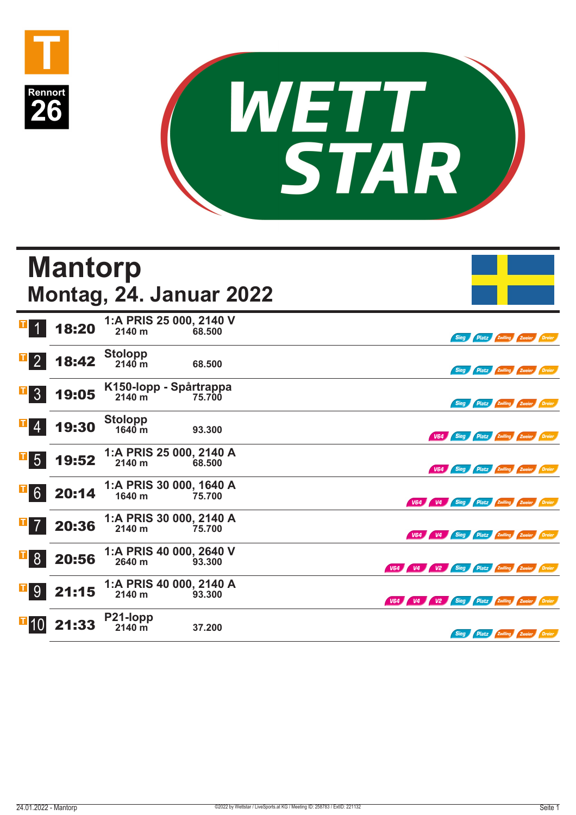



|                                       | <b>Mantorp</b>                                                         | Montag, 24. Januar 2022              |        |                                               |
|---------------------------------------|------------------------------------------------------------------------|--------------------------------------|--------|-----------------------------------------------|
| $\mathbf{T}$ 1                        | 18:20                                                                  | 1:A PRIS 25 000, 2140 V<br>2140 m    | 68.500 | Sieg /<br><b>Platz Zwilling Zweier Dreier</b> |
| $\mathbf{F}$ 2                        | 18:42                                                                  | <b>Stolopp</b><br>$2140 \text{ m}$   | 68.500 | Sieg Platz Zwilling Zweier Dreier             |
| 3 <sup>1</sup>                        | 19:05                                                                  | K150-lopp - Spårtrappa<br>2140 m     | 75.700 | Platz Zwilling Zweier Dreier<br>Sieg          |
| $\mathbf{F}$ 4                        | 19:30                                                                  | <b>Stolopp</b><br>$1640 \; \text{m}$ | 93.300 | V64 Sieg Platz Zwilling Zweier Dreier         |
| $\overline{1}$ 5                      | 19:52                                                                  | 1:A PRIS 25 000, 2140 A<br>2140 m    | 68.500 | V64 Sieg Platz Zwilling Zweier Dreier         |
|                                       | $\begin{array}{ c c }\n\hline\n\hline\n\hline\n6 & 20:14\n\end{array}$ | 1:A PRIS 30 000, 1640 A<br>1640 m    | 75.700 | V64 V4 Sieg Platz Zwilling Zweier Dreier      |
| $\mathbf{I}$ 7                        | 20:36                                                                  | 1:A PRIS 30 000, 2140 A<br>2140 m    | 75.700 | V64 V4 Sieg Platz Zwilling Zweier Dreier      |
| $\begin{bmatrix} 1 & 8 \end{bmatrix}$ | 20:56                                                                  | 1:A PRIS 40 000, 2640 V<br>2640 m    | 93.300 | V64 V4 V2 Sieg Platz Zwilling Zweier Dreier   |
| <b>T</b> 9                            | 21:15                                                                  | 1:A PRIS 40 000, 2140 A<br>2140 m    | 93.300 | V64 V4 V2 Sieg Platz Zwilling Zweier Dreier   |
| <b>410</b>                            | 21:33                                                                  | P21-lopp<br>$2140 \text{ m}$         | 37.200 | <b>Sieg</b><br>Platz Zwilling Zweier Dreier   |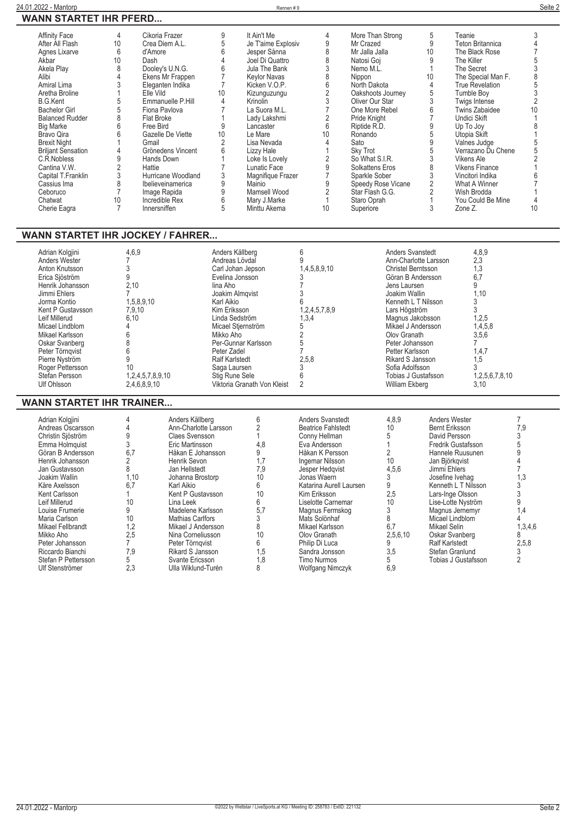| <b>Affinity Face</b>      | 4  | Cikoria Frazer     | 9  | It Ain't Me              | 4  | More Than Strong   | 5  | Teanie                  |    |
|---------------------------|----|--------------------|----|--------------------------|----|--------------------|----|-------------------------|----|
| After All Flash           | 10 | Crea Diem A.L.     |    | Je T'aime Explosiv       | 9  | Mr Crazed          | 9  | <b>Teton Britannica</b> |    |
| Agnes Lixarve             | 6  | d'Amore            |    | Jesper Sånna             | 8  | Mr Jalla Jalla     | 10 | The Black Rose          |    |
| Akbar                     | 10 | Dash               |    | Joel Di Quattro          |    | Natosi Goj         | 9  | The Killer              |    |
| Akela Plav                |    | Dooley's U.N.G.    |    | Jula The Bank            |    | Nemo M.L.          |    | The Secret              |    |
| Alibi                     |    | Ekens Mr Frappen   |    | <b>Keylor Navas</b>      |    | Nippon             | 10 | The Special Man F.      |    |
| Amiral Lima               |    | Eleganten Indika   |    | Kicken V.O.P.            |    | North Dakota       |    | <b>True Revelation</b>  |    |
| Aretha Broline            |    | Elle Vild          | 10 |                          |    | Oakshoots Journey  |    | Tumble Boy              |    |
| <b>B.G.Kent</b>           |    | Emmanuelle P.Hill  |    | Kizunguzungu<br>Krinolin |    | Oliver Our Star    |    | Twigs Intense           |    |
|                           |    |                    |    |                          |    |                    |    |                         |    |
| <b>Bachelor Girl</b>      |    | Fiona Pavlova      |    | La Suora M.L.            |    | One More Rebel     |    | <b>Twins Zabaidee</b>   |    |
| <b>Balanced Rudder</b>    |    | Flat Broke         |    | Lady Lakshmi             |    | Pride Knight       |    | Undici Skift            |    |
| <b>Big Marke</b>          | հ  | Free Bird          |    | Lancaster                |    | Riptide R.D.       |    | Up To Joy               |    |
| Bravo Qira                |    | Gazelle De Viette  | 10 | Le Mare                  | 10 | Ronando            |    | Utopia Skift            |    |
| <b>Brexit Night</b>       |    | Gmail              |    | Lisa Nevada              |    | Sato               |    | Valnes Judge            |    |
| <b>Briljant Sensation</b> |    | Grönedens Vincent  |    | Lizzy Hale               |    | Sky Trot           |    | Verrazano Du Chene      |    |
| C.R.Nobless               |    | Hands Down         |    | Loke Is Lovely           |    | So What S.I.R.     |    | Vikens Ale              |    |
| Cantina V.W.              |    | Hattie             |    | Lunatic Face             |    | Solkattens Eros    |    | <b>Vikens Finance</b>   |    |
| Capital T.Franklin        |    | Hurricane Woodland |    | Magnifique Frazer        |    | Sparkle Sober      |    | Vincitori Indika        |    |
| Cassius Ima               |    | Ibelieveinamerica  |    | Mainio                   |    | Speedy Rose Vicane |    | What A Winner           |    |
| Ceboruco                  |    | Image Rapida       |    | Mamsell Wood             |    | Star Flash G.G.    |    | Wish Brodda             |    |
| Chatwat                   | 10 | Incredible Rex     |    | Mary J.Marke             |    | Staro Oprah        |    | You Could Be Mine       |    |
|                           |    | Innersniffen       |    | Minttu Akema             |    |                    |    | Zone Z.                 | 10 |
| Cherie Eagra              |    |                    |    |                          | 10 | Superiore          |    |                         |    |

## **WANN STARTET IHR JOCKEY / FAHRER...**

| Adrian Kolgjini   | 4,6,9            | Anders Källberg             | h             | <b>Anders Svanstedt</b> | 4,8,9          |
|-------------------|------------------|-----------------------------|---------------|-------------------------|----------------|
| Anders Wester     |                  | Andreas Lövdal              |               | Ann-Charlotte Larsson   | 2,3            |
| Anton Knutsson    |                  | Carl Johan Jepson           | 1,4,5,8,9,10  | Christel Berntsson      | 1,3            |
| Erica Sjöström    |                  | Evelina Jonsson             |               | Göran B Andersson       | 6,7            |
| Henrik Johansson  | 2,10             | lina Aho                    |               | Jens Laursen            |                |
| Jimmi Ehlers      |                  | Joakim Almqvist             |               | Joakim Wallin           | 1,10           |
| Jorma Kontio      | 1,5,8,9,10       | Karl Aikio                  |               | Kenneth L T Nilsson     |                |
| Kent P Gustavsson | 7,9,10           | Kim Eriksson                | 1,2,4,5,7,8,9 | Lars Högström           |                |
| Leif Millerud     | 6.10             | Linda Sedström              | 1,3,4         | Magnus Jakobsson        | 1,2,5          |
| Micael Lindblom   |                  | Micael Stjernström          |               | Mikael J Andersson      | 1,4,5,8        |
| Mikael Karlsson   |                  | Mikko Aho                   |               | Olov Granath            | 3,5,6          |
| Oskar Svanberg    |                  | Per-Gunnar Karlsson         |               | Peter Johansson         |                |
| Peter Törngvist   |                  | Peter Zadel                 |               | Petter Karlsson         | 1,4,7          |
| Pierre Nyström    |                  | <b>Ralf Karlstedt</b>       | 2,5,8         | Rikard S Jansson        | 1,5            |
| Roger Pettersson  | 10               | Saga Laursen                |               | Sofia Adolfsson         |                |
| Stefan Persson    | 1,2,4,5,7,8,9,10 | Stig Rune Sele              |               | Tobias J Gustafsson     | 1,2,5,6,7,8,10 |
| Ulf Ohlsson       | 2,4,6,8,9,10     | Viktoria Granath Von Kleist |               | William Ekberg          | 3.10           |

## **WANN STARTET IHR TRAINER...**

| Adrian Kolgjini     |      | Anders Källberg         | h    | Anders Svanstedt          | 4,8,9    | Anders Wester         |         |
|---------------------|------|-------------------------|------|---------------------------|----------|-----------------------|---------|
| Andreas Oscarsson   |      | Ann-Charlotte Larsson   |      | <b>Beatrice Fahlstedt</b> | 10       | Bernt Eriksson        | 7,9     |
| Christin Sjöström   |      | Claes Svensson          |      | Conny Hellman             |          | David Persson         |         |
| Emma Holmquist      |      | Eric Martinsson         | 4,8  | Eva Andersson             |          | Fredrik Gustafsson    |         |
| Göran B Andersson   | 6,7  | Håkan E Johansson       |      | Håkan K Persson           |          | Hannele Ruusunen      |         |
| Henrik Johansson    |      | Henrik Sevon            |      | Ingemar Nilsson           | 10       | Jan Björkgvist        |         |
| Jan Gustavsson      |      | Jan Hellstedt           | 7,9  | Jesper Hedavist           | 4,5,6    | Jimmi Ehlers          |         |
| Joakim Wallin       | 1.10 | Johanna Brostorp        | 10   | Jonas Waern               |          | Josefine Ivehag       | 1.3     |
| Kåre Axelsson       | 6,7  | Karl Aikio              | հ    | Katarina Aurell Laursen   |          | Kenneth L T Nilsson   |         |
| Kent Carlsson       |      | Kent P Gustavsson       | 10   | Kim Eriksson              | 2,5      | Lars-Inge Olsson      |         |
| Leif Millerud       | 10   | Lina Leek               | 6    | Liselotte Carnemar        | 10       | Lise-Lotte Nyström    |         |
| Louise Frumerie     |      | Madelene Karlsson       | 5,7  | Magnus Fermskog           |          | Magnus Jernemyr       | 1.4     |
| Maria Carlson       | 10   | <b>Mathias Carlfors</b> |      | Mats Solönhaf             |          | Micael Lindblom       |         |
| Mikael Fellbrandt   | 1,2  | Mikael J Andersson      |      | Mikael Karlsson           | 6.7      | Mikael Selin          | 1,3,4,6 |
| Mikko Aho           | 2,5  | Nina Corneliusson       | 10   | Olov Granath              | 2,5,6,10 | Oskar Svanberg        | 8       |
| Peter Johansson     |      | Peter Törngvist         |      | Philip Di Luca            |          | <b>Ralf Karlstedt</b> | 2,5,8   |
| Riccardo Bianchi    | 7.9  | Rikard S Jansson        | 1,5  | Sandra Jonsson            | 3.5      | Stefan Granlund       |         |
| Stefan P Pettersson |      | Svante Ericsson         | 8. ا | Timo Nurmos               |          | Tobias J Gustafsson   |         |
| Ulf Stenströmer     | 2,3  | Ulla Wiklund-Turén      |      | Wolfgang Nimczyk          | 6,9      |                       |         |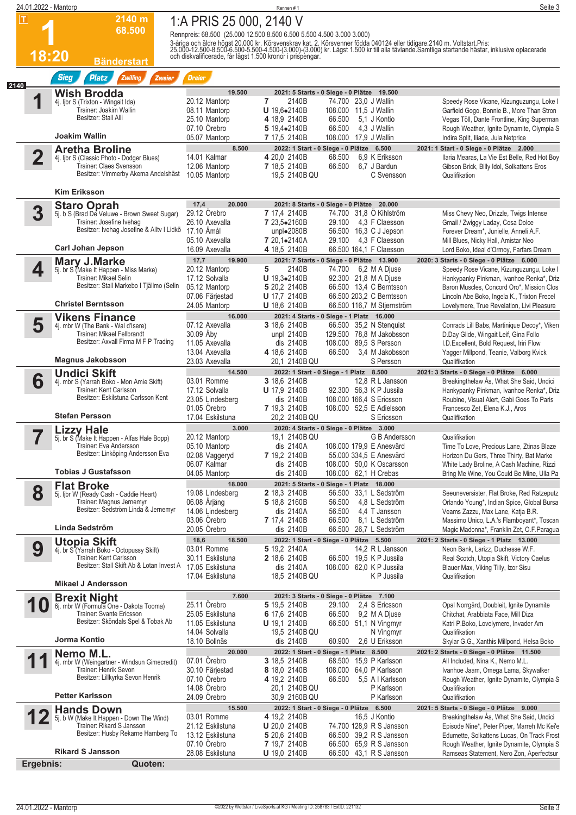|                         | 24.01.2022 - Mantorp                                                            |                                  | Rennen#1                                                                                                                                                                                                                          | Seite 3                                                                                                                                                                                                                                                                                                             |
|-------------------------|---------------------------------------------------------------------------------|----------------------------------|-----------------------------------------------------------------------------------------------------------------------------------------------------------------------------------------------------------------------------------|---------------------------------------------------------------------------------------------------------------------------------------------------------------------------------------------------------------------------------------------------------------------------------------------------------------------|
|                         | 2140 m                                                                          | 1:A PRIS 25 000, 2140 V          |                                                                                                                                                                                                                                   |                                                                                                                                                                                                                                                                                                                     |
|                         | 68.500                                                                          |                                  | Rennpreis: 68.500 (25.000 12.500 8.500 6.500 5.500 4.500 3.000 3.000)                                                                                                                                                             |                                                                                                                                                                                                                                                                                                                     |
|                         |                                                                                 |                                  |                                                                                                                                                                                                                                   |                                                                                                                                                                                                                                                                                                                     |
| 18:20                   | <b>Bänderstart</b>                                                              |                                  | 3-åriga och äldre högst 20.000 kr. Körsvenskrav kat. 2. Körsvenner födda 040124 eller tidigare 2140 m. Voltstart.Pris:<br>25.000-12.500-8.500-6.500-5.500-4.500-(3.000)-(3.000) kr. Lägst 1.500 kr till alla tävlande.Samtliga st |                                                                                                                                                                                                                                                                                                                     |
|                         | <b>Sieg</b><br><b>Platz</b><br>Zwilling<br>Zweier                               | <b>Dreier</b>                    |                                                                                                                                                                                                                                   |                                                                                                                                                                                                                                                                                                                     |
|                         |                                                                                 | 19.500                           | 2021: 5 Starts - 0 Siege - 0 Plätze 19.500                                                                                                                                                                                        |                                                                                                                                                                                                                                                                                                                     |
| 1                       | Wish Brodda<br>4j. ljbr S (Trixton - Wingait Ida)                               | 20.12 Mantorp                    | 7<br>2140B<br>74.700 23,0 J Wallin                                                                                                                                                                                                | Speedy Rose Vicane, Kizunguzungu, Loke I                                                                                                                                                                                                                                                                            |
|                         | Trainer: Joakim Wallin                                                          | 08.11 Mantorp                    | $U$ 19,6 $\bullet$ 2140B<br>108.000 11,5 J Wallin                                                                                                                                                                                 | Garfield Gogo, Bonnie B., More Than Stron                                                                                                                                                                                                                                                                           |
|                         | Besitzer: Stall Alli                                                            | 25.10 Mantorp                    | 4 18,9 2140B<br>66.500<br>5.1 J Kontio                                                                                                                                                                                            | Vegas Töll, Dante Frontline, King Superman                                                                                                                                                                                                                                                                          |
|                         | Joakim Wallin                                                                   | 07.10 Örebro<br>05.07 Mantorp    | 66.500<br>5 19,4•2140B<br>4,3 J Wallin<br>7 17,5 2140B<br>108,000 17.9 J Wallin                                                                                                                                                   | Rough Weather, Ignite Dynamite, Olympia S<br>Indira Split, Iliade, Jula Netprice                                                                                                                                                                                                                                    |
|                         | <b>Aretha Broline</b>                                                           | 8.500                            | 2022: 1 Start - 0 Siege - 0 Plätze 6.500                                                                                                                                                                                          | 2021: 1 Start - 0 Siege - 0 Plätze 2.000                                                                                                                                                                                                                                                                            |
| $\overline{\mathbf{2}}$ | 4j. Ijbr S (Classic Photo - Dodger Blues)                                       | 14.01 Kalmar                     | 4 20,0 2140B<br>68.500<br>6.9 K Eriksson                                                                                                                                                                                          | Ilaria Mearas, La Vie Est Belle, Red Hot Boy                                                                                                                                                                                                                                                                        |
|                         | Trainer: Claes Svensson<br>Besitzer: Vimmerby Akema Andelshäst                  | 12.06 Mantorp                    | 7 18,5 2140B<br>66.500<br>6.7 J Bardun                                                                                                                                                                                            | Gibson Brick, Billy Idol, Solkattens Eros                                                                                                                                                                                                                                                                           |
|                         |                                                                                 | 10.05 Mantorp                    | 19,5 2140B QU<br>C Svensson                                                                                                                                                                                                       | Qualifikation                                                                                                                                                                                                                                                                                                       |
|                         | <b>Kim Eriksson</b>                                                             | 17,4<br>20.000                   | 2021: 8 Starts - 0 Siege - 0 Plätze 20.000                                                                                                                                                                                        |                                                                                                                                                                                                                                                                                                                     |
| 3                       | <b>Staro Oprah</b><br>5j. b S (Brad De Veluwe - Brown Sweet Sugar)              | 29.12 Örebro                     | 74.700 31,8 Ö Kihlström<br>7 17,4 2140B                                                                                                                                                                                           | Miss Chevy Neo, Drizzle, Twigs Intense                                                                                                                                                                                                                                                                              |
|                         | Trainer: Josefine Ivehag                                                        | 26.10 Axevalla                   | 7 23.5 - 2160 B<br>29.100<br>4.3 F Claesson                                                                                                                                                                                       | Gmail / Zwiggy Laday, Cosa Dolce                                                                                                                                                                                                                                                                                    |
|                         | Besitzer: Ivehag Josefine & Allty I Lidkö                                       | 17.10 Åmål                       | unplo2080B<br>56.500 16,3 C J Jepson                                                                                                                                                                                              | Forever Dream*, Junielle, Anneli A.F.                                                                                                                                                                                                                                                                               |
|                         | <b>Carl Johan Jepson</b>                                                        | 05.10 Axevalla<br>16.09 Axevalla | 7 20,1•2140A<br>29.100<br>4,3 F Claesson<br>66.500 164,1 F Claesson<br>4 18,5 2140B                                                                                                                                               | Mill Blues, Nicky Hall, Amistar Neo<br>Lord Boko, Ideal d'Ormoy, Farfars Dream                                                                                                                                                                                                                                      |
|                         | <b>Mary J.Marke</b>                                                             | 17,7<br>19.900                   | 2021: 7 Starts - 0 Siege - 0 Plätze 13.900                                                                                                                                                                                        | 2020: 3 Starts - 0 Siege - 0 Plätze 6.000                                                                                                                                                                                                                                                                           |
| 4                       | 5j. br S (Make It Happen - Miss Marke)                                          | 20.12 Mantorp                    | 2140B<br>5<br>74.700<br>6,2 M A Djuse                                                                                                                                                                                             | Speedy Rose Vicane, Kizunguzungu, Loke I                                                                                                                                                                                                                                                                            |
|                         | Trainer: Mikael Selin                                                           | 17.12 Solvalla                   | U 19,3.2140B<br>92.300 21,8 M A Djuse                                                                                                                                                                                             | Hankypanky Pinkman, Ivanhoe Renka*, Driz                                                                                                                                                                                                                                                                            |
|                         | Besitzer: Stall Markebo I Tjällmo (Selin                                        | 05.12 Mantorp                    | 5 20.2 2140B<br>66.500 13,4 C Berntsson                                                                                                                                                                                           | Baron Muscles, Concord Oro*, Mission Clos                                                                                                                                                                                                                                                                           |
|                         | <b>Christel Berntsson</b>                                                       | 07.06 Färjestad<br>24.05 Mantorp | <b>U</b> 17,7 2140B<br>66.500 203,2 C Berntsson<br><b>U</b> 18,6 2140B<br>66.500 116,7 M Stjernström                                                                                                                              | Lincoln Abe Boko, Ingela K., Trixton Frecel<br>Lovelymere, True Revelation, Livi Pleasure                                                                                                                                                                                                                           |
|                         | <b>Vikens Finance</b>                                                           | 16.000                           | 2021: 4 Starts - 0 Siege - 1 Platz 16.000                                                                                                                                                                                         |                                                                                                                                                                                                                                                                                                                     |
| 5                       | 4j. mbr W (The Bank - Wal d'Isere)                                              | 07.12 Axevalla                   | 3 18,6 2140B<br>66.500 35,2 N Stenguist                                                                                                                                                                                           | Conrads Lill Babs, Martinique Decoy*, Viken                                                                                                                                                                                                                                                                         |
|                         | Trainer: Mikael Fellbrandt                                                      | 30.09 Åby                        | unpl 2140B<br>129.500 78.8 M Jakobsson                                                                                                                                                                                            | D.Day Glide, Wingait Leif, Gina Follo                                                                                                                                                                                                                                                                               |
|                         | Besitzer: Axvall Firma M F P Trading                                            | 11.05 Axevalla                   | dis 2140B<br>108.000 89,5 S Persson                                                                                                                                                                                               | I.D.Excellent, Bold Request, Iriri Flow                                                                                                                                                                                                                                                                             |
|                         | <b>Magnus Jakobsson</b>                                                         | 13.04 Axevalla<br>23.03 Axevalla | 4 18,6 2140B<br>66.500<br>3.4 M Jakobsson<br>20,1 2140B QU<br>S Persson                                                                                                                                                           | Yagger Millpond, Teanie, Valborg Kvick<br>Qualifikation                                                                                                                                                                                                                                                             |
|                         | <b>Undici Skift</b>                                                             | 14.500                           | 2022: 1 Start - 0 Siege - 1 Platz 8.500                                                                                                                                                                                           | 2021: 3 Starts - 0 Siege - 0 Plätze 6.000                                                                                                                                                                                                                                                                           |
| 6                       | 4j. mbr S (Yarrah Boko - Mon Amie Skift)                                        | 03.01 Romme                      | 3 18,6 2140B<br>12,8 RL Jansson                                                                                                                                                                                                   | Breakingthelaw As, What She Said, Undici                                                                                                                                                                                                                                                                            |
|                         | Trainer: Kent Carlsson<br>Besitzer: Eskilstuna Carlsson Kent                    | 17.12 Solvalla                   | <b>U</b> 17,9 2140B<br>92.300 56,3 K P Jussila                                                                                                                                                                                    | Hankypanky Pinkman, Ivanhoe Renka*, Driz                                                                                                                                                                                                                                                                            |
|                         |                                                                                 | 23.05 Lindesberg<br>01.05 Örebro | dis 2140B<br>108.000 166,4 S Ericsson<br>7 19,3 2140B<br>108.000 52,5 E Adielsson                                                                                                                                                 | Roubine, Visual Alert, Gabi Goes To Paris<br>Francesco Zet, Elena K.J., Aros                                                                                                                                                                                                                                        |
|                         | <b>Stefan Persson</b>                                                           | 17.04 Eskilstuna                 | 20,2 2140B QU<br>S Ericsson                                                                                                                                                                                                       | Qualifikation                                                                                                                                                                                                                                                                                                       |
|                         | <b>Lizzy Hale</b>                                                               | 3.000                            | 2020: 4 Starts - 0 Siege - 0 Plätze 3.000                                                                                                                                                                                         |                                                                                                                                                                                                                                                                                                                     |
|                         | 5. br S (Make It Happen - Alfas Hale Bopp)                                      | 20.12 Mantorp                    | 19,1 2140B QU<br>G B Andersson                                                                                                                                                                                                    | Qualifikation                                                                                                                                                                                                                                                                                                       |
|                         | Trainer: Eva Andersson<br>Besitzer: Linköping Andersson Eva                     | 05.10 Mantorp<br>02.08 Vaggeryd  | dis 2140A<br>108.000 179,9 E Anesvärd<br>7 19,2 2140B<br>55.000 334,5 E Anesvärd                                                                                                                                                  | Time To Love, Precious Lane, Ztinas Blaze<br>Horizon Du Gers, Three Thirty, Bat Marke                                                                                                                                                                                                                               |
|                         |                                                                                 | 06.07 Kalmar                     | dis 2140B<br>108.000 50.0 K Oscarsson                                                                                                                                                                                             | White Lady Broline, A Cash Machine, Rizzi                                                                                                                                                                                                                                                                           |
|                         | <b>Tobias J Gustafsson</b>                                                      | 04.05 Mantorp                    | dis 2140B<br>108.000 62,1 H Crebas                                                                                                                                                                                                | Bring Me Wine, You Could Be Mine, Ulla Pa                                                                                                                                                                                                                                                                           |
|                         | <b>Flat Broke</b>                                                               | 18.000                           | 2021: 5 Starts - 0 Siege - 1 Platz 18.000                                                                                                                                                                                         |                                                                                                                                                                                                                                                                                                                     |
| 8                       | 5j. Ijbr W (Ready Cash - Caddie Heart)<br>Trainer: Magnus Jernemyr              | 19.08 Lindesberg<br>06.08 Årjäng | 2 18,3 2140B<br>56.500 33.1 L Sedström<br>5 18,8 2160B<br>56.500<br>4,8 L Sedström                                                                                                                                                | Seeuneversister, Flat Broke, Red Ratzeputz<br>Orlando Young*, Indian Spice, Global Bursa                                                                                                                                                                                                                            |
|                         | Besitzer: Sedström Linda & Jernemyr                                             | 14.06 Lindesberg                 | dis 2140A<br>56.500<br>4,4 T Jansson                                                                                                                                                                                              | Veams Zazzu, Max Lane, Katja B.R.                                                                                                                                                                                                                                                                                   |
|                         |                                                                                 | 03.06 Orebro                     | 7 17,4 2140B<br>66.500<br>8,1 L Sedström                                                                                                                                                                                          | Massimo Unico, L.A.'s Flamboyant*, Toscan                                                                                                                                                                                                                                                                           |
|                         | Linda Sedström                                                                  | 20.05 Örebro                     | dis 2140B<br>66.500 26,7 L Sedström                                                                                                                                                                                               | Magic Madonna*, Franklin Zet, O.F.Paragua                                                                                                                                                                                                                                                                           |
|                         | <b>Utopia Skift</b>                                                             | 18,6<br>18.500                   | 2022: 1 Start - 0 Siege - 0 Plätze 5.500                                                                                                                                                                                          | 2021: 2 Starts - 0 Siege - 1 Platz 13.000                                                                                                                                                                                                                                                                           |
| 9                       | 4j. br S <sup>"</sup> (Yarrah Boko - Octopussy Skift)<br>Trainer: Kent Carlsson | 03.01 Romme<br>30.11 Eskilstuna  | 5 19,2 2140A<br>14,2 R L Jansson<br>2 18,6 2140B<br>66.500 19,5 K P Jussila                                                                                                                                                       | Neon Bank, Larizz, Duchesse W.F.<br>Real Scotch, Utopia Skift, Victory Caelus                                                                                                                                                                                                                                       |
|                         | Besitzer: Stall Skift Ab & Lotan Invest A                                       | 17.05 Eskilstuna                 | dis 2140A<br>108.000 62,0 K P Jussila                                                                                                                                                                                             | Blauer Max, Viking Tilly, Izor Sisu                                                                                                                                                                                                                                                                                 |
|                         | <b>Mikael J Andersson</b>                                                       | 17.04 Eskilstuna                 | 18,5 2140B QU<br>K P Jussila                                                                                                                                                                                                      | Qualifikation                                                                                                                                                                                                                                                                                                       |
|                         |                                                                                 | 7.600                            | 2021: 3 Starts - 0 Siege - 0 Plätze 7.100                                                                                                                                                                                         |                                                                                                                                                                                                                                                                                                                     |
|                         |                                                                                 | 25.11 Örebro                     | 5 19,5 2140B<br>29.100 2,4 S Ericsson                                                                                                                                                                                             | Opal Norrgård, Doubleit, Ignite Dynamite                                                                                                                                                                                                                                                                            |
|                         | <b>Brexit Night</b><br>6j. mbr W (Formula One - Dakota Tooma)                   |                                  |                                                                                                                                                                                                                                   | Chitchat, Arabbiata Face, Mill Diza                                                                                                                                                                                                                                                                                 |
| 10                      | Trainer: Svante Ericsson                                                        | 25.05 Eskilstuna                 | 6 17,6 2140B<br>66.500<br>9,2 M A Djuse                                                                                                                                                                                           |                                                                                                                                                                                                                                                                                                                     |
|                         | Besitzer: Sköndals Spel & Tobak Ab                                              | 11.05 Eskilstuna                 | 66.500 51,1 N Vingmyr<br>$U$ 19,1 2140B                                                                                                                                                                                           | Katri P.Boko, Lovelymere, Invader Am                                                                                                                                                                                                                                                                                |
|                         | Jorma Kontio                                                                    | 14.04 Solvalla                   | 19,5 2140B QU<br>N Vingmyr                                                                                                                                                                                                        | Qualifikation                                                                                                                                                                                                                                                                                                       |
|                         |                                                                                 | 18.10 Bollnäs<br>20.000          | dis 2140B<br>60.900<br>2,6 U Eriksson<br>2022: 1 Start - 0 Siege - 1 Platz 8.500                                                                                                                                                  | 2021: 2 Starts - 0 Siege - 0 Plätze 11.500                                                                                                                                                                                                                                                                          |
|                         | Nemo M.L.<br>4j. mbr W (Weingartner - Windsun Gimecredit)                       | 07.01 Örebro                     | 3 18,5 2140B<br>68.500 15.9 P Karlsson                                                                                                                                                                                            | All Included, Nina K., Nemo M.L.                                                                                                                                                                                                                                                                                    |
|                         | Trainer: Henrik Sevon                                                           | 30.10 Färjestad                  | 108.000 64,0 P Karlsson<br>8 18,0 2140B                                                                                                                                                                                           |                                                                                                                                                                                                                                                                                                                     |
|                         | Besitzer: Lillkyrka Sevon Henrik                                                | 07.10 Orebro                     | 4 19,2 2140B<br>66.500<br>5,5 A I Karlsson                                                                                                                                                                                        |                                                                                                                                                                                                                                                                                                                     |
|                         | <b>Petter Karlsson</b>                                                          | 14.08 Orebro<br>24.09 Örebro     | P Karlsson<br>20,1 2140B QU<br>30,9 2160B QU<br>P Karlsson                                                                                                                                                                        | Qualifikation<br>Qualifikation                                                                                                                                                                                                                                                                                      |
|                         |                                                                                 | 15.500                           | 2022: 1 Start - 0 Siege - 0 Plätze 6.500                                                                                                                                                                                          | 2021: 5 Starts - 0 Siege - 0 Plätze 9.000                                                                                                                                                                                                                                                                           |
|                         | <b>Hands Down</b><br>5j. b W (Make It Happen - Down The Wind)                   | 03.01 Romme                      | 4 19,2 2140B<br>16,5 J Kontio                                                                                                                                                                                                     |                                                                                                                                                                                                                                                                                                                     |
|                         | Trainer: Rikard S Jansson                                                       | 21.12 Eskilstuna                 | <b>U</b> 20,0 2140B<br>74.700 128,9 R S Jansson                                                                                                                                                                                   |                                                                                                                                                                                                                                                                                                                     |
|                         | Besitzer: Husby Rekarne Hamberg To                                              | 13.12 Eskilstuna<br>07.10 Orebro | 5 20,6 2140B<br>66.500 39,2 R S Jansson<br>7 19,7 2140B<br>66.500 65,9 R S Jansson                                                                                                                                                | Skylar G.G., Xanthis Millpond, Helsa Boko<br>Ivanhoe Jaam, Omega Lama, Skywalker<br>Rough Weather, Ignite Dynamite, Olympia S<br>Breakingthelaw As, What She Said, Undici<br>Episode Nine*, Peter Piper, Marreh Mc Kei'e<br>Edumette, Solkattens Lucas, On Track Frost<br>Rough Weather, Ignite Dynamite, Olympia S |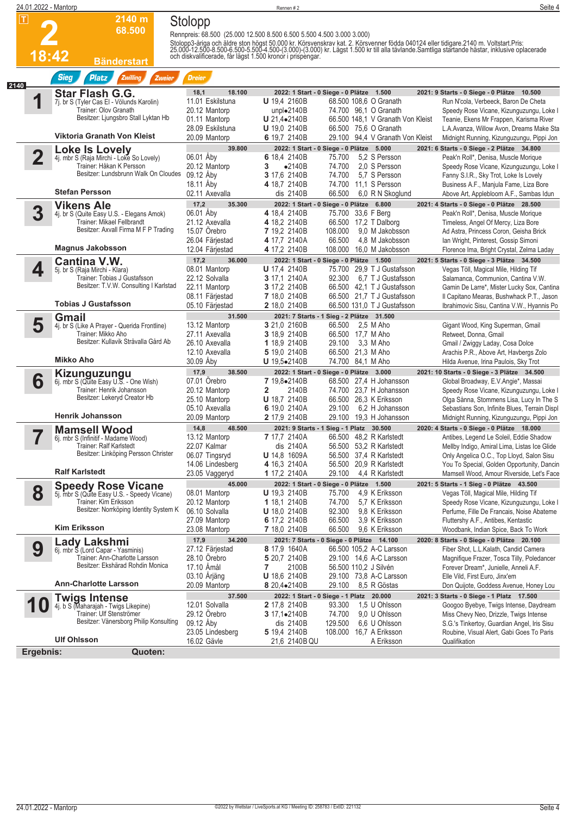|      | 24.01.2022 - Mantorp    |                                                                                                                                                                |                                                                                        | Rennen #2                                                                                                                                                                                                              | Seite 4                                                                                                                                                                                                                                                                                                                              |
|------|-------------------------|----------------------------------------------------------------------------------------------------------------------------------------------------------------|----------------------------------------------------------------------------------------|------------------------------------------------------------------------------------------------------------------------------------------------------------------------------------------------------------------------|--------------------------------------------------------------------------------------------------------------------------------------------------------------------------------------------------------------------------------------------------------------------------------------------------------------------------------------|
|      | $\overline{\mathsf{L}}$ | 2140 m<br>68.500                                                                                                                                               | Stolopp                                                                                | Rennpreis: 68.500 (25.000 12.500 8.500 6.500 5.500 4.500 3.000 3.000)                                                                                                                                                  |                                                                                                                                                                                                                                                                                                                                      |
|      | <u> 18:42</u>           | <b>Bänderstart</b>                                                                                                                                             |                                                                                        |                                                                                                                                                                                                                        | Stolopp3-åriga och äldre ston högst 50.000 kr. Körsvenskrav kat. 2. Körsvenner födda 040124 eller tidigare.2140 m. Voltstart.Pris:<br>25.000-12.500-8.500-6.500-5.500-4.500-(3.000)-(3.000) kr. Lägst 1.500 kr till alla tävlande                                                                                                    |
| 2140 |                         | <b>Sieg</b><br><b>Platz</b><br><b>Zwilling</b><br>Zweier                                                                                                       | <b>Dreier</b>                                                                          |                                                                                                                                                                                                                        |                                                                                                                                                                                                                                                                                                                                      |
|      |                         | <b>Star Flash G.G.</b><br>7j. br S (Tyler Cas El - Völunds Karolin)<br>Trainer: Olov Granath<br>Besitzer: Ljungsbro Stall Lyktan Hb                            | 18,1<br>18.100<br>11.01 Eskilstuna<br>20.12 Mantorp<br>01.11 Mantorp                   | 2022: 1 Start - 0 Siege - 0 Plätze 1.500<br>68.500 108,6 O Granath<br><b>U</b> 19,4 2160B<br>unpl $\bullet$ 2140B<br>74.700 96.1 O Granath<br>U 21.4.2140B                                                             | 2021: 9 Starts - 0 Siege - 0 Plätze 10.500<br>Run N'cola, Verbeeck, Baron De Cheta<br>Speedy Rose Vicane, Kizunguzungu, Loke I<br>66.500 148.1 V Granath Von Kleist<br>Teanie, Ekens Mr Frappen, Karisma River                                                                                                                       |
|      |                         | Viktoria Granath Von Kleist                                                                                                                                    | 28.09 Eskilstuna<br>20.09 Mantorp                                                      | <b>U</b> 19,0 2140B<br>66.500 75,6 O Granath<br>6 19,7 2140B                                                                                                                                                           | L.A.Avanza, Willow Avon, Dreams Make Sta<br>29.100 94,4 V Granath Von Kleist<br>Midnight Running, Kizunguzungu, Pippi Jon                                                                                                                                                                                                            |
|      | $\overline{\mathbf{2}}$ | <b>Loke Is Lovely</b><br>4j. mbr S (Raja Mirchi - Loke So Lovely)<br>Trainer: Håkan K Persson<br>Besitzer: Lundsbrunn Walk On Cloudes<br><b>Stefan Persson</b> | 39.800<br>06.01 Åby<br>20.12 Mantorp<br>09.12 Aby<br>18.11 Aby<br>02.11 Axevalla       | 2022: 1 Start - 0 Siege - 0 Plätze 5.000<br>6 18,4 2140B<br>75.700<br>•2140B<br>3<br>74.700<br>74.700<br><b>3</b> 17,6 2140B<br>4 18,7 2140B<br>74.700 11,1 S Persson<br>dis 2140B<br>66.500                           | 2021: 6 Starts - 0 Siege - 2 Plätze 34.800<br>5,2 S Persson<br>Peak'n Roll*, Denisa, Muscle Morique<br>2.0 S Persson<br>Speedy Rose Vicane, Kizunguzungu, Loke I<br>5.7 S Persson<br>Fanny S.I.R., Sky Trot, Loke Is Lovely<br>Business A.F., Manjula Fame, Liza Bore<br>6,0 R N Skoglund<br>Above Art, Applebloom A.F., Sambas Idun |
|      |                         | <b>Vikens Ale</b>                                                                                                                                              | 17,2<br>35.300                                                                         | 2022: 1 Start - 0 Siege - 0 Plätze 6.800                                                                                                                                                                               | 2021: 4 Starts - 0 Siege - 0 Plätze 28.500                                                                                                                                                                                                                                                                                           |
|      | 3                       | 4j. br S (Quite Easy U.S. - Elegans Amok)<br>Trainer: Mikael Fellbrandt<br>Besitzer: Axvall Firma M F P Trading<br><b>Magnus Jakobsson</b>                     | 06.01 Åby<br>21.12 Axevalla<br>15.07 Örebro<br>26.04 Färjestad<br>12.04 Färjestad      | 4 18,4 2140B<br>75.700 33,6 F Berg<br>4 18,2 2140B<br>66.500 17,2 T Dalborg<br>7 19,2 2140B<br>108.000<br>4 17,7 2140A<br>66.500<br>108.000 16,0 M Jakobsson<br>4 17,2 2140B                                           | Peak'n Roll*, Denisa, Muscle Morique<br>Timeless, Angel Of Mercy, Liza Bore<br>9.0 M Jakobsson<br>Ad Astra, Princess Coron, Geisha Brick<br>4.8 M Jakobsson<br>Ian Wright, Pinterest, Gossip Simoni<br>Florence Ima, Bright Crystal, Zelma Laday                                                                                     |
|      |                         | Cantina V.W.                                                                                                                                                   | 17,2<br>36.000                                                                         | 2022: 1 Start - 0 Siege - 0 Plätze 1.500                                                                                                                                                                               | 2021: 5 Starts - 0 Siege - 3 Plätze 34.500                                                                                                                                                                                                                                                                                           |
|      | 4                       | 5j. br S (Raja Mirchi - Klara)<br>Trainer: Tobias J Gustafsson<br>Besitzer: T.V.W. Consulting I Karlstad<br><b>Tobias J Gustafsson</b>                         | 08.01 Mantorp<br>22.12 Solvalla<br>22.11 Mantorp<br>08.11 Färjestad<br>05.10 Färjestad | <b>U</b> 17,4 2140B<br>75.700 29,9 T J Gustafsson<br>3 17,1 2140A<br>92.300<br>3 17,2 2140B<br>66.500 42,1 T J Gustafsson<br>7 18,0 2140B<br>66.500 21,7 T J Gustafsson<br>66.500 131,0 T J Gustafsson<br>2 18,0 2140B | Vegas Töll, Magical Mile, Hilding Tif<br>6.7 T J Gustafsson<br>Salamanca, Communion, Cantina V.W.<br>Gamin De Larre*, Mister Lucky Sox, Cantina<br>Il Capitano Mearas, Bushwhack P.T., Jason                                                                                                                                         |
|      |                         | Gmail                                                                                                                                                          | 31.500                                                                                 | 2021: 7 Starts - 1 Sieg - 2 Plätze 31.500                                                                                                                                                                              | Ibrahimovic Sisu, Cantina V.W., Hyannis Po                                                                                                                                                                                                                                                                                           |
|      | 5                       | 4j. br S (Like A Prayer - Querida Frontline)<br>Trainer: Mikko Aho<br>Besitzer: Kullavik Stråvalla Gård Ab<br><b>Mikko Aho</b>                                 | 13.12 Mantorp<br>27.11 Axevalla<br>26.10 Axevalla<br>12.10 Axevalla<br>30.09 Aby       | 3 21,0 2160B<br>66.500<br>2,5 M Aho<br>3 18,9 2140B<br>66.500 17,7 M Aho<br>1 18,9 2140B<br>29.100<br>3,3 M Aho<br>5 19,0 2140B<br>66.500 21,3 M Aho<br>74.700 84,1 M Aho<br><b>U</b> $19,5\bullet2140B$               | Gigant Wood, King Superman, Gmail<br>Retweet, Donna, Gmail<br>Gmail / Zwiggy Laday, Cosa Dolce<br>Arachis P.R., Above Art, Havbergs Zolo<br>Hilda Avenue, Irina Paulois, Sky Trot                                                                                                                                                    |
|      |                         |                                                                                                                                                                | 17,9<br>38.500                                                                         | 2022: 1 Start - 0 Siege - 0 Plätze 3.000                                                                                                                                                                               | 2021: 10 Starts - 0 Siege - 3 Plätze 34.500                                                                                                                                                                                                                                                                                          |
|      | 6                       | <b>Kizunguzungu</b><br>6j. mbr S (Quite Easy U.S. - One Wish)<br>Trainer: Henrik Johansson<br>Besitzer: Lekeryd Creator Hb<br><b>Henrik Johansson</b>          | 07.01 Örebro<br>20.12 Mantorp<br>25.10 Mantorp<br>05.10 Axevalla<br>20.09 Mantorp      | 7 19,8.2140B<br>68.500 27,4 H Johansson<br>2140B<br>74.700 23.7 H Johansson<br>2<br><b>U</b> 18,7 2140B<br>66.500 26,3 K Eriksson<br>6 19,0 2140A<br>29.100<br>2 17,9 2140B<br>29.100 19.3 H Johansson                 | Global Broadway, E.V.Angie*, Massai<br>Speedy Rose Vicane, Kizunguzungu, Loke I<br>Olga Sånna, Stommens Lisa, Lucy In The S<br>6.2 H Johansson<br>Sebastians Son, Infinite Blues, Terrain Displ                                                                                                                                      |
|      | -7                      | <b>Mamsell Wood</b>                                                                                                                                            | 14,8<br>48.500                                                                         | 2021: 9 Starts - 1 Sieg - 1 Platz 30.500                                                                                                                                                                               | Midnight Running, Kizunguzungu, Pippi Jon<br>2020: 4 Starts - 0 Siege - 0 Plätze 18.000                                                                                                                                                                                                                                              |
|      | I                       | 6j. mbr S (Infinitif - Madame Wood)<br>Trainer: Ralf Karlstedt<br>Besitzer: Linköping Persson Christer<br><b>Ralf Karlstedt</b>                                | 13.12 Mantorp<br>22.07 Kalmar<br>06.07 Tingsryd<br>14.06 Lindesberg<br>23.05 Vaggeryd  | 7 17,7 2140A<br>66.500 48,2 R Karlstedt<br>dis 2140A<br>56.500 53,2 R Karlstedt<br><b>U</b> 14,8 1609A<br>56.500 37,4 R Karlstedt<br>4 16,3 2140A<br>56.500 20,9 R Karlstedt<br>29.100<br>1 17,2 2140A                 | Antibes, Legend Le Soleil, Eddie Shadow<br>Mellby Indigo, Amiral Lima, Listas Ice Glide<br>Only Angelica O.C., Top Lloyd, Salon Sisu<br>You To Special, Golden Opportunity, Dancin<br>4,4 R Karlstedt<br>Mamsell Wood, Amour Riverside, Let's Face                                                                                   |
|      |                         | <b>Speedy Rose Vicane</b>                                                                                                                                      | 45.000                                                                                 | 2022: 1 Start - 0 Siege - 0 Plätze 1.500                                                                                                                                                                               | 2021: 5 Starts - 1 Sieg - 0 Plätze 43.500                                                                                                                                                                                                                                                                                            |
|      | 8                       | 5j. mbr S (Quite Easy U.S. - Speedy Vicane)<br>Trainer: Kim Eriksson<br>Besitzer: Norrköping Identity System K                                                 | 08.01 Mantorp<br>20.12 Mantorp<br>06.10 Solvalla<br>27.09 Mantorp                      | <b>U</b> 19,3 2140B<br>75.700<br>1 18,1 2140B<br>74.700<br><b>U</b> 18,0 2140B<br>92.300<br>66.500<br>6 17,2 2140B                                                                                                     | 4,9 K Eriksson<br>Vegas Töll, Magical Mile, Hilding Tif<br>5.7 K Eriksson<br>Speedy Rose Vicane, Kizunguzungu, Loke I<br>9.8 K Eriksson<br>Perfume, Fille De Francais, Noise Abateme<br>3,9 K Eriksson<br>Fluttershy A.F., Antibes, Kentastic                                                                                        |
|      |                         | <b>Kim Eriksson</b>                                                                                                                                            | 23.08 Mantorp<br>17,9<br>34.200                                                        | 7 18,0 2140B<br>66.500<br>2021: 7 Starts - 0 Siege - 0 Plätze 14.100                                                                                                                                                   | 9,6 K Eriksson<br>Woodbank, Indian Spice, Back To Work<br>2020: 8 Starts - 0 Siege - 0 Plätze 20.100                                                                                                                                                                                                                                 |
|      | 9                       | Lady Lakshmi<br>6. mbr S (Lord Capar - Yasminis)<br>Trainer: Ann-Charlotte Larsson<br>Besitzer: Ekshärad Rohdin Monica<br><b>Ann-Charlotte Larsson</b>         | 27.12 Färjestad<br>28.10 Örebro<br>17.10 Åmål<br>03.10 Arjäng<br>20.09 Mantorp         | 8 17,9 1640A<br>66.500 105,2 A-C Larsson<br>5 20,7 2140B<br>29.100 14,6 A-C Larsson<br>7<br>2100B<br>56.500 110,2 J Silvén<br>29.100 73,8 A-C Larsson<br><b>U</b> 18,6 2140B<br>8 20,4.2140B<br>29.100<br>8,5 R Göstas | Fiber Shot, L.L.Kalath, Candid Camera<br>Magnifique Frazer, Tosca Tilly, Poledancer<br>Forever Dream*, Junielle, Anneli A.F.<br>Elle Vild, First Euro, Jinx'em<br>Don Quijote, Goddess Avenue, Honey Lou                                                                                                                             |
|      |                         | <b>Twigs Intense</b>                                                                                                                                           | 37.500                                                                                 | 2022: 1 Start - 0 Siege - 1 Platz 20.000                                                                                                                                                                               | 2021: 3 Starts - 0 Siege - 1 Platz 17.500                                                                                                                                                                                                                                                                                            |
|      |                         | 4j. b S (Maharajah - Twigs Likepine)<br>Trainer: Ulf Stenströmer<br>Besitzer: Vänersborg Philip Konsulting<br><b>Ulf Ohlsson</b>                               | 12.01 Solvalla<br>29.12 Orebro<br>09.12 Aby<br>23.05 Lindesberg<br>16.02 Gävle         | 2 17,8 2140B<br>93.300<br>74.700<br>3 $17,1 \bullet 2140B$<br>129.500<br>dis 2140B<br>5 19,4 2140B<br>108.000 16,7 A Eriksson<br>21,6 2140B QU                                                                         | 1,5 U Ohlsson<br>Googoo Byebye, Twigs Intense, Daydream<br>9,0 U Ohlsson<br>Miss Chevy Neo, Drizzle, Twigs Intense<br>6,6 U Ohlsson<br>S.G.'s Tinkertoy, Guardian Angel, Iris Sisu<br>Roubine, Visual Alert, Gabi Goes To Paris<br>A Eriksson<br>Qualifikation                                                                       |
|      | Ergebnis:               | Quoten:                                                                                                                                                        |                                                                                        |                                                                                                                                                                                                                        |                                                                                                                                                                                                                                                                                                                                      |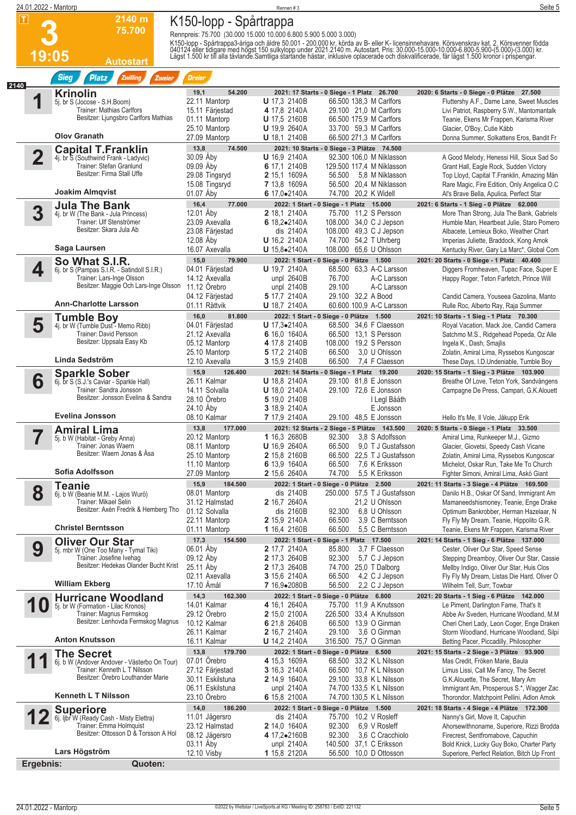|      | 24.01.2022 - Mantorp          |                                                                    |                                   | Rennen#3                                                          |                                                       | Seite 5                                                                                                                                                                                                                           |
|------|-------------------------------|--------------------------------------------------------------------|-----------------------------------|-------------------------------------------------------------------|-------------------------------------------------------|-----------------------------------------------------------------------------------------------------------------------------------------------------------------------------------------------------------------------------------|
|      | $\vert \bm{\mathsf{T}} \vert$ | 2140 m                                                             | K150-lopp - Spårtrappa            |                                                                   |                                                       |                                                                                                                                                                                                                                   |
|      |                               | 75.700                                                             |                                   | Rennpreis: 75.700 (30.000 15.000 10.000 6.800 5.900 5.000 3.000)  |                                                       |                                                                                                                                                                                                                                   |
|      |                               |                                                                    |                                   |                                                                   |                                                       |                                                                                                                                                                                                                                   |
|      |                               |                                                                    |                                   |                                                                   |                                                       | K150-lopp - Spårtrappa3-åriga och äldre 50.001 - 200.000 kr, körda av B- eller K- licensinnehavare. Körsvenskrav kat. 2. Körsvenner födda<br>040124 eller tidigare med högst 150 sulkylopp under 2021.2140 m. Autostart. Pris: 30 |
|      | 19:05                         | Autostart                                                          |                                   |                                                                   |                                                       |                                                                                                                                                                                                                                   |
|      |                               | <b>Sieg</b><br><b>Platz</b><br><b>Zwilling</b><br>Zweier           | <b>Dreier</b>                     |                                                                   |                                                       |                                                                                                                                                                                                                                   |
| 2140 |                               |                                                                    |                                   |                                                                   |                                                       |                                                                                                                                                                                                                                   |
|      |                               | <b>Krinolin</b><br>5j. br S (Jocose - S.H.Boom)                    | 19,1<br>54.200<br>22.11 Mantorp   | 2021: 17 Starts - 0 Siege - 1 Platz 26.700<br><b>U</b> 17,3 2140B | 66.500 138,3 M Carlfors                               | 2020: 6 Starts - 0 Siege - 0 Plätze 27.500<br>Fluttershy A.F., Dame Lane, Sweet Muscles                                                                                                                                           |
|      |                               | Trainer: Mathias Carlfors                                          | 15.11 Färjestad                   | 4 17,8 2140A                                                      | 29.100 21,0 M Carlfors                                | Livi Patriot, Raspberry S.W., Mantomantalk                                                                                                                                                                                        |
|      |                               | Besitzer: Ljungsbro Carlfors Mathias                               | 01.11 Mantorp                     | U 17,5 2160B                                                      | 66.500 175,9 M Carlfors                               | Teanie, Ekens Mr Frappen, Karisma River                                                                                                                                                                                           |
|      |                               |                                                                    | 25.10 Mantorp                     | <b>U</b> 19,9 2640A                                               | 33.700 59.3 M Carlfors                                | Glacier, O'Boy, Cutie Käbb                                                                                                                                                                                                        |
|      |                               | <b>Olov Granath</b>                                                | 27.09 Mantorp                     | <b>U</b> 18,1 2140B                                               | 66.500 271,3 M Carlfors                               | Donna Summer, Solkattens Eros, Bandit Fr                                                                                                                                                                                          |
|      |                               | <b>Capital T.Franklin</b>                                          | 13,8<br>74.500                    | 2021: 10 Starts - 0 Siege - 3 Plätze 74.500                       |                                                       |                                                                                                                                                                                                                                   |
|      | $\overline{\mathbf{2}}$       | 4j. br S (Southwind Frank - Ladyvic)<br>Trainer: Stefan Granlund   | 30.09 Åby<br>09.09 Åby            | <b>U</b> 16,9 2140A<br>6 17,1 2140B                               | 92.300 106,0 M Niklasson<br>129.500 117,4 M Niklasson | A Good Melody, Henessi Hill, Sioux Sad So<br>Grant Hall, Eagle Rock, Sudden Victory                                                                                                                                               |
|      |                               | Besitzer: Firma Stall Uffe                                         | 29.08 Tingsryd                    | 2 15,1 1609A                                                      | 56.500 5.8 M Niklasson                                | Top Lloyd, Capital T.Franklin, Amazing Mån                                                                                                                                                                                        |
|      |                               |                                                                    | 15.08 Tingsryd                    | 7 13,8 1609A                                                      | 56.500 20,4 M Niklasson                               | Rare Magic, Fire Edition, Only Angelica O.C                                                                                                                                                                                       |
|      |                               | <b>Joakim Almqvist</b>                                             | 01.07 Aby                         | 6 17,0●2140A                                                      | 74.700 20,2 K Widell                                  | Al's Brave Bella, Apulica, Perfect Star                                                                                                                                                                                           |
|      |                               | <b>Jula The Bank</b>                                               | 16,4<br>77.000                    | 2022: 1 Start - 0 Siege - 1 Platz 15.000                          |                                                       | 2021: 6 Starts - 1 Sieg - 0 Plätze 62.000                                                                                                                                                                                         |
|      | 3                             | 4. br W (The Bank - Jula Princess)                                 | 12.01 Åby                         | 2 18,1 2140A                                                      | 75.700 11,2 S Persson                                 | More Than Strong, Jula The Bank, Gabriels                                                                                                                                                                                         |
|      |                               | Trainer: Ulf Stenströmer<br>Besitzer: Skara Jula Ab                | 23.09 Axevalla<br>23.08 Färjestad | 6 18,2.2140A<br>dis 2140A                                         | 108.000 34,0 C J Jepson<br>108.000 49,3 C J Jepson    | Humble Man, Heartbeat Julie, Staro Pomero<br>Albacete, Lemieux Boko, Weather Chart                                                                                                                                                |
|      |                               |                                                                    | 12.08 Aby                         | <b>U</b> 16,2 2140A                                               | 74.700 54,2 T Uhrberg                                 | Imperias Juliette, Braddock, Kong Amok                                                                                                                                                                                            |
|      |                               | Saga Laursen                                                       | 16.07 Axevalla                    | $U$ 15,8 $\bullet$ 2140A                                          | 108,000 65.6 U Ohlsson                                | Kentucky River, Gary La Marc*, Global Com                                                                                                                                                                                         |
|      |                               | So What S.I.R.                                                     | 15,0<br>79.900                    | 2022: 1 Start - 0 Siege - 0 Plätze 1.500                          |                                                       | 2021: 20 Starts - 0 Siege - 1 Platz 40.400                                                                                                                                                                                        |
|      |                               | 6j. br S (Pampas S.I.R. - Satindoll S.I.R.)                        | 04.01 Färjestad                   | <b>U</b> 19,7 2140A                                               | 68.500 63.3 A-C Larsson                               | Diggers Fromheaven, Tupac Face, Super E                                                                                                                                                                                           |
|      |                               | Trainer: Lars-Inge Olsson<br>Besitzer: Maggie Och Lars-Inge Olsson | 14.12 Axevalla                    | unpl 2640B<br>76.700<br>29.100                                    | A-C Larsson                                           | Happy Roger, Teton Farfetch, Prince Will                                                                                                                                                                                          |
|      |                               |                                                                    | 11.12 Orebro<br>04.12 Färjestad   | unpl 2140B<br>5 17,7 2140A                                        | A-C Larsson<br>29.100 32,2 A Bood                     | Candid Camera, Youseea Gazolina, Manto                                                                                                                                                                                            |
|      |                               | <b>Ann-Charlotte Larsson</b>                                       | 01.11 Rättvik                     | <b>U</b> 18,7 2140A                                               | 60.600 100,9 A-C Larsson                              | Rulle Roc, Alberto Ray, Raja Summer                                                                                                                                                                                               |
|      |                               | <b>Tumble Boy</b>                                                  | 16,0<br>81.800                    | 2022: 1 Start - 0 Siege - 0 Plätze 1.500                          |                                                       | 2021: 10 Starts - 1 Sieg - 1 Platz 70.300                                                                                                                                                                                         |
|      | 5                             | 4j. br W (Tumble Dust - Memo Ribb)                                 | 04.01 Färjestad                   | $U$ 17,3 $\bullet$ 2140A                                          | 68.500 34,6 F Claesson                                | Royal Vacation, Mack Joe, Candid Camera                                                                                                                                                                                           |
|      |                               | Trainer: David Persson<br>Besitzer: Uppsala Easy Kb                | 21.12 Axevalla                    | 6 16,0 1640A                                                      | 66.500 13,1 S Persson                                 | Satchmo M.S., Ridgehead Popeda, Oz Alle                                                                                                                                                                                           |
|      |                               |                                                                    | 05.12 Mantorp<br>25.10 Mantorp    | 4 17,8 2140B<br>5 17,2 2140B<br>66.500                            | 108.000 19,2 S Persson<br>3.0 U Ohlsson               | Ingela K., Dash, Smajlis                                                                                                                                                                                                          |
|      |                               | Linda Sedström                                                     | 12.10 Axevalla                    | 3 15,9 2140B<br>66.500                                            | 7,4 F Claesson                                        | Zolatin, Amiral Lima, Ryssebos Kungoscar<br>These Days, I.D. Undeniable, Tumble Boy                                                                                                                                               |
|      |                               | <b>Sparkle Sober</b>                                               | 15,9<br>126.400                   | 2021: 14 Starts - 0 Siege - 1 Platz 19.200                        |                                                       | 2020: 15 Starts - 1 Sieg - 3 Plätze 103.900                                                                                                                                                                                       |
|      | 6                             | 6j. br S (S.J.'s Caviar - Sparkle Hall)                            | 26.11 Kalmar                      | <b>U</b> 18,8 2140A                                               | 29.100 81,8 E Jonsson                                 | Breathe Of Love, Teton York, Sandvångens                                                                                                                                                                                          |
|      |                               | Trainer: Sandra Jonsson                                            | 14.11 Solvalla                    | <b>U</b> 18,0 2140A                                               | 29.100 72,6 E Jonsson                                 | Campagne De Press, Campari, G.K.Alouett                                                                                                                                                                                           |
|      |                               | Besitzer: Jonsson Evelina & Sandra                                 | 28.10 Orebro                      | 5 19,0 2140B                                                      | I Legl Bååth                                          |                                                                                                                                                                                                                                   |
|      |                               | <b>Evelina Jonsson</b>                                             | 24.10 Aby<br>08.10 Kalmar         | 3 18,9 2140A<br>7 17,9 2140A                                      | E Jonsson<br>29.100 48,5 E Jonsson                    | Hello It's Me, Il Vole, Jåkupp Erik                                                                                                                                                                                               |
|      |                               | <b>Amiral Lima</b>                                                 | 177.000<br>13,8                   | 2021: 12 Starts - 2 Siege - 5 Plätze 143.500                      |                                                       | 2020: 5 Starts - 0 Siege - 1 Platz 33.500                                                                                                                                                                                         |
|      | ۳,                            | 5j. b W (Habitat - Greby Anna)                                     | 20.12 Mantorp                     | 1 16,3 2680B<br>92.300                                            | 3,8 S Adolfsson                                       | Amiral Lima, Runkeeper M.J., Gizmo                                                                                                                                                                                                |
|      |                               | Trainer: Jonas Waern                                               | 08.11 Mantorp                     | <b>U</b> 16,9 2640A<br>66.500                                     | 9.0 T J Gustafsson                                    | Glacier, Giovetsi, Speedy Cash Vicane                                                                                                                                                                                             |
|      |                               | Besitzer: Waern Jonas & Asa                                        | 25.10 Mantorp                     | <b>2</b> 15,8 2160B<br>66.500                                     | 22,5 T J Gustafsson                                   | Zolatin, Amiral Lima, Ryssebos Kungoscar                                                                                                                                                                                          |
|      |                               | Sofia Adolfsson                                                    | 11.10 Mantorp<br>27.09 Mantorp    | 6 13,9 1640A<br>66.500<br>2 15,6 2640A<br>74.700                  | 7.6 K Eriksson<br>5.5 K Eriksson                      | Michelot, Oskar Run, Take Me To Church<br>Fighter Simoni, Amiral Lima, Askö Giant                                                                                                                                                 |
|      |                               |                                                                    | 15,9<br>184.500                   | 2022: 1 Start - 0 Siege - 0 Plätze 2.500                          |                                                       | 2021: 11 Starts - 3 Siege - 4 Plätze 169.500                                                                                                                                                                                      |
|      | 8                             | <b>Teanie</b><br>6j. b W (Beanie M.M. - Lajos Wurö)                | 08.01 Mantorp                     | dis 2140B                                                         | 250.000 57.5 T J Gustafsson                           | Danilo H.B., Oskar Of Sand, Immigrant Am                                                                                                                                                                                          |
|      |                               | Trainer: Mikael Selin                                              | 31.12 Halmstad                    | 2 16,7 2640A                                                      | 21,2 U Ohlsson                                        | Mamaneedshismoney, Teanie, Enge Drake                                                                                                                                                                                             |
|      |                               | Besitzer: Axén Fredrik & Hemberg Tho                               | 01.12 Solvalla                    | dis 2160B<br>92.300                                               | 6.8 U Ohlsson                                         | Optimum Bankrobber, Herman Hazelaar, N                                                                                                                                                                                            |
|      |                               | <b>Christel Berntsson</b>                                          | 22.11 Mantorp<br>01.11 Mantorp    | 2 15,9 2140A<br>66.500<br>1 16,4 2160B<br>66.500                  | 3,9 C Berntsson<br>5,5 C Berntsson                    | Fly Fly My Dream, Teanie, Hippolito G.R.<br>Teanie, Ekens Mr Frappen, Karisma River                                                                                                                                               |
|      |                               | <b>Oliver Our Star</b>                                             | 17,3<br>154.500                   | 2022: 1 Start - 0 Siege - 1 Platz 17.500                          |                                                       | 2021: 14 Starts - 1 Sieg - 6 Plätze 137.000                                                                                                                                                                                       |
|      | 9                             | 5j. mbr W (One Too Many - Tymal Tiki)                              | 06.01 Aby                         | 2 17,7 2140A<br>85.800                                            | 3,7 F Claesson                                        | Cester, Oliver Our Star, Speed Sense                                                                                                                                                                                              |
|      |                               | Trainer: Josefine Ivehag                                           | 09.12 Åby                         | 2 17,3 2640B<br>92.300                                            | 5,7 C J Jepson                                        | Stepping Dreamboy, Oliver Our Star, Cassie                                                                                                                                                                                        |
|      |                               | Besitzer: Hedekas Olander Bucht Krist                              | 25.11 Aby                         | 2 17,3 2640B                                                      | 74.700 25,0 T Dalborg                                 | Mellby Indigo, Oliver Our Star, Huis Clos                                                                                                                                                                                         |
|      |                               | <b>William Ekberg</b>                                              | 02.11 Axevalla<br>17.10 Amål      | 66.500<br><b>3</b> 15,6 2140A<br>56.500                           | 4,2 C J Jepson                                        | Fly Fly My Dream, Listas Die Hard, Oliver O                                                                                                                                                                                       |
|      |                               |                                                                    |                                   | <b>7</b> 16,9●2080B                                               | 2,2 C J Jepson                                        | Wilhelm Tell, Surr, Towbar                                                                                                                                                                                                        |
|      | 1 U                           | <b>Hurricane Woodland</b><br>5j. br W (Formation - Lilac Kronos)   | 14,3<br>162.300<br>14.01 Kalmar   | 2022: 1 Start - 0 Siege - 0 Plätze 6.800<br>4 16,1 2640A          | 75.700 11,9 A Knutsson                                | 2021: 20 Starts - 1 Sieg - 6 Plätze 142.000<br>Le Piment, Darlington Fame, That's It                                                                                                                                              |
|      |                               | Trainer: Magnus Fermskog                                           | 29.12 Örebro                      | 2 15,0 2100A                                                      | 226.500 33,4 A Knutsson                               | Abbe Av Sveden, Hurricane Woodland, M.M.                                                                                                                                                                                          |
|      |                               | Besitzer: Lenhovda Fermskog Magnus                                 | 10.12 Kalmar                      | 6 21,8 2640B                                                      | 66.500 13,9 O Ginman                                  | Cheri Cheri Lady, Leon Coger, Enge Draken                                                                                                                                                                                         |
|      |                               | <b>Anton Knutsson</b>                                              | 26.11 Kalmar                      | <b>2</b> 16,7 2140A<br>29.100                                     | 3.6 O Ginman                                          | Storm Woodland, Hurricane Woodland, Silpi                                                                                                                                                                                         |
|      |                               |                                                                    | 16.11 Kalmar                      | <b>U</b> 14,2 2140A                                               | 316.500 75,7 O Ginman                                 | Betting Pacer, Piccadilly, Philosopher                                                                                                                                                                                            |
|      |                               | <b>The Secret</b><br>6j. b W (Andover Andover - Västerbo On Tour)  | 13,8<br>179.700<br>07.01 Örebro   | 2022: 1 Start - 0 Siege - 0 Plätze 6.500<br>4 15,3 1609A          | 68.500 33,2 K L Nilsson                               | 2021: 15 Starts - 2 Siege - 3 Plätze 93.900<br>Mas Credit, Fröken Marie, Baula                                                                                                                                                    |
|      |                               | Trainer: Kenneth L T Nilsson                                       | 27.12 Färjestad                   | 3 16,3 2140A                                                      | 66.500 10,7 K L Nilsson                               | Limus Lissi, Call Me Fancy, The Secret                                                                                                                                                                                            |
|      |                               | Besitzer: Orebro Louthander Marie                                  | 30.11 Eskilstuna                  | <b>2</b> 14,9 1640A                                               | 29.100 33,8 K L Nilsson                               | G.K.Alouette, The Secret, Mary Am                                                                                                                                                                                                 |
|      |                               | <b>Kenneth L T Nilsson</b>                                         | 06.11 Eskilstuna                  | unpl 2140A                                                        | 74.700 133,5 K L Nilsson                              | Immigrant Am, Prosperous S.*, Wagger Zac                                                                                                                                                                                          |
|      |                               |                                                                    | 23.10 Örebro                      | 6 15,8 2100A                                                      | 74.700 130,5 K L Nilsson                              | Thorondor, Matchpoint Pellini, Adlon Amok                                                                                                                                                                                         |
|      |                               | <b>Superiore</b>                                                   | 14,0<br>186.200<br>11.01 Jägersro | 2022: 1 Start - 0 Siege - 0 Plätze 1.500<br>dis 2140A             | 75.700 10,2 V Rosleff                                 | 2021: 18 Starts - 4 Siege - 4 Plätze 172.300                                                                                                                                                                                      |
|      |                               | 6j. ljbr W (Ready Cash - Misty Elettra)<br>Trainer: Emma Holmquist | 23.12 Halmstad                    | 2 14,0 1640A<br>92.300                                            | 6.9 V Rosleff                                         | Nanny's Girl, Move It, Capuchin<br>Ahorsewithnoname, Superiore, Rizzi Brodda                                                                                                                                                      |
|      |                               | Besitzer: Ottosson D & Torsson A Hol                               | 08.12 Jägersro                    | 92.300<br><b>4</b> 17,2●2160B                                     | 3.6 C Cracchiolo                                      | Firecrest, Sentfromabove, Capuchin                                                                                                                                                                                                |
|      |                               |                                                                    | 03.11 Aby                         | unpl 2140A                                                        | 140.500 37,1 C Eriksson                               | Bold Knick, Lucky Guy Boko, Charter Party                                                                                                                                                                                         |
|      |                               | Lars Högström                                                      | 12.10 Visby                       | 1 15,8 2120A                                                      | 56.500 10,0 D Ottosson                                | Superiore, Perfect Relation, Bitch Up Front                                                                                                                                                                                       |
|      | Ergebnis:                     | Quoten:                                                            |                                   |                                                                   |                                                       |                                                                                                                                                                                                                                   |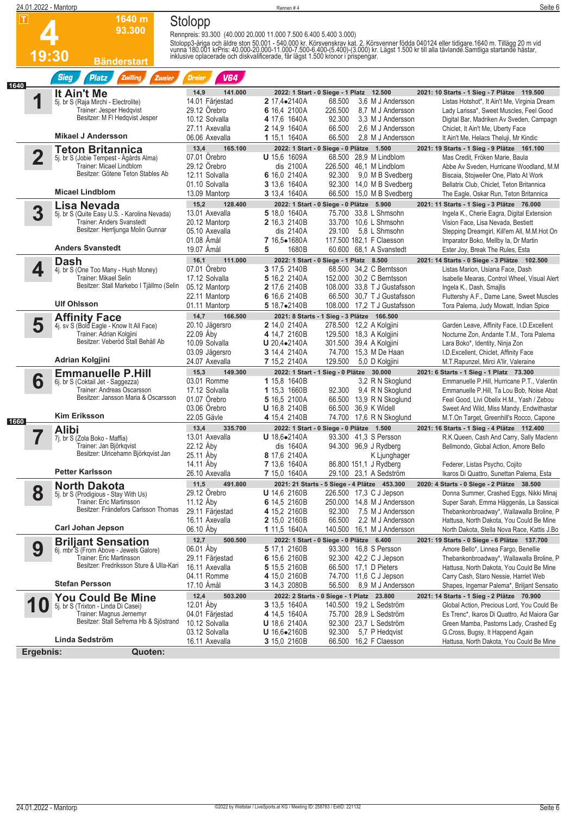|      | 24.01.2022 - Mantorp    |                                                                                                                                                                                  |                                                                                                           | Rennen#4                                                                                                                                                                                                                                                                                              | Seite 6                                                                                                                                                                                                                                                              |
|------|-------------------------|----------------------------------------------------------------------------------------------------------------------------------------------------------------------------------|-----------------------------------------------------------------------------------------------------------|-------------------------------------------------------------------------------------------------------------------------------------------------------------------------------------------------------------------------------------------------------------------------------------------------------|----------------------------------------------------------------------------------------------------------------------------------------------------------------------------------------------------------------------------------------------------------------------|
|      | $\blacksquare$<br>19:30 | 1640 m<br>93.300                                                                                                                                                                 | Stolopp                                                                                                   | Rennpreis: 93.300 (40.000 20.000 11.000 7.500 6.400 5.400 3.000)<br>Stolopp3-åriga och äldre ston 50.001 - 540.000 kr. Körsvenskrav kat. 2. Körsvenner födda 040124 eller tidigare 1640 m. Tillägg 20 m vid<br>vunna 180.001 krPris: 40.000-20.000-11.000-7.500-6.400-(5.400)-(3.000) kr. Lägst 1.500 |                                                                                                                                                                                                                                                                      |
|      |                         | <b>Bänderstart</b><br><b>Sieg</b><br>Platz<br><b>Zwilling</b><br>Zweier                                                                                                          | <b>Dreier</b><br><b>V64</b>                                                                               |                                                                                                                                                                                                                                                                                                       |                                                                                                                                                                                                                                                                      |
| 1640 |                         | It Ain't Me<br>5j. br S (Raja Mirchi - Electrolite)<br>Trainer: Jesper Hedqvist<br>Besitzer: M FI Hedqvist Jesper                                                                | 141.000<br>14,9<br>14.01 Färjestad<br>29.12 Örebro<br>10.12 Solvalla<br>27.11 Axevalla                    | 2022: 1 Start - 0 Siege - 1 Platz 12.500<br>2 17,4•2140A<br>68.500<br>3.6 M J Andersson<br>226.500<br>6 16,4 2100A<br>8.7 M J Andersson<br>92.300<br>4 17,6 1640A<br>3.3 M J Andersson<br>66.500<br>2.6 M J Andersson<br><b>2</b> 14,9 1640A                                                          | 2021: 10 Starts - 1 Sieg - 7 Plätze 119.500<br>Listas Hotshot*, It Ain't Me, Virginia Dream<br>Lady Larissa*, Sweet Muscles, Feel Good<br>Digital Bar, Madriken Av Sveden, Campagn<br>Chiclet, It Ain't Me, Uberty Face                                              |
|      |                         | <b>Mikael J Andersson</b>                                                                                                                                                        | 06.06 Axevalla                                                                                            | 66.500<br>2.8 M J Andersson<br>1 15,1 1640A                                                                                                                                                                                                                                                           | It Ain't Me, Helacs Theluji, Mr Kindic                                                                                                                                                                                                                               |
|      |                         | <b>Teton Britannica</b><br>5j. br S (Jobie Tempest - Ågårds Alma)<br>Trainer: Micael Lindblom<br>Besitzer: Götene Teton Stables Ab<br><b>Micael Lindblom</b>                     | 13,4<br>165.100<br>07.01 Örebro<br>29.12 Örebro<br>12.11 Solvalla<br>01.10 Solvalla<br>13.09 Mantorp      | 2022: 1 Start - 0 Siege - 0 Plätze 1.500<br><b>U</b> 15,6 1609A<br>68.500 28,9 M Lindblom<br>dis 2100A<br>226.500 46.1 M Lindblom<br>6 16,0 2140A<br>92.300<br>9,0 M B Svedberg<br>3 13,6 1640A<br>92.300 14,0 M B Svedberg<br><b>3</b> 13,4 1640A<br>66.500 15,0 M B Svedberg                        | 2021: 19 Starts - 1 Sieg - 9 Plätze 161.100<br>Mas Credit, Fröken Marie, Baula<br>Abbe Av Sveden, Hurricane Woodland, M.M.<br>Biscaia, Stojweiler One, Plato At Work<br>Bellatrix Club, Chiclet, Teton Britannica<br>The Eagle, Oskar Run, Teton Britannica          |
|      |                         | Lisa Nevada<br>5j. br S (Quite Easy U.S. - Karolina Nevada)<br>Trainer: Anders Svanstedt<br>Besitzer: Herrljunga Molin Gunnar<br><b>Anders Svanstedt</b>                         | 15,2<br>128.400<br>13.01 Axevalla<br>20.12 Mantorp<br>05.10 Axevalla<br>01.08 Amål<br>19.07 Åmål          | 2022: 1 Start - 0 Siege - 0 Plätze 5.900<br>5 18,0 1640A<br>75.700 33,8 L Shmsohn<br>2 16,3 2140B<br>33.700 10,6 L Shmsohn<br>dis 2140A<br>29.100 5.8 L Shmsohn<br>7 16,5.1680A<br>117,500 182.1 F Claesson<br>5<br>1680B<br>60.600 68.1 A Svanstedt                                                  | 2021: 11 Starts - 1 Sieg - 3 Plätze 76.000<br>Ingela K., Cherie Eagra, Digital Extension<br>Vision Face, Lisa Nevada, Bestiett<br>Stepping Dreamgirl, Kill'em All, M.M.Hot On<br>Imparator Boko, Mellby Ia, Dr Martin<br>Ester Joy, Break The Rules, Esta            |
|      | 4                       | <b>Dash</b><br>4j. br S (One Too Many - Hush Money)<br>Trainer: Mikael Selin<br>Besitzer: Stall Markebo I Tjällmo (Selin<br><b>Ulf Ohlsson</b>                                   | 16,1<br>111.000<br>07.01 Orebro<br>17.12 Solvalla<br>05.12 Mantorp<br>22.11 Mantorp<br>01.11 Mantorp      | 2022: 1 Start - 0 Siege - 1 Platz 8.500<br>3 17,5 2140B<br>68.500 34.2 C Berntsson<br>5 16,2 2140A<br>152.000 30,2 C Berntsson<br>2 17,6 2140B<br>108.000 33,8 T J Gustafsson<br>6 16,6 2140B<br>66.500 30,7 T J Gustafsson<br>5 $18,7$ $\bullet$ $2140B$<br>108.000 17,2 T J Gustafsson              | 2021: 14 Starts - 0 Siege - 3 Plätze 102.500<br>Listas Marion, Usiana Face, Dash<br>Isabelle Mearas, Control Wheel, Visual Alert<br>Ingela K., Dash, Smajlis<br>Fluttershy A.F., Dame Lane, Sweet Muscles<br>Tora Palema, Judy Mowatt, Indian Spice                  |
|      | 5                       | <b>Affinity Face</b><br>4j. sv S (Bold Eagle - Know It All Face)<br>Trainer: Adrian Kolgjini<br>Besitzer: Veberöd Stall Behåll Ab<br>Adrian Kolgjini                             | 14,7<br>166.500<br>20.10 Jägersro<br>22.09 Aby<br>10.09 Solvalla<br>03.09 Jägersro<br>24.07 Axevalla      | 2021: 8 Starts - 1 Sieg - 3 Plätze 166.500<br>2 14,0 2140A<br>278.500 12,2 A Kolgjini<br>4 14,7 2160B<br>129.500 18,3 A Kolgjini<br>U 20,4.2140A<br>301.500 39,4 A Kolgjini<br>3 14,4 2140A<br>74.700 15,3 M De Haan<br>7 15,2 2140A<br>129.500<br>5,0 D Kolgjini                                     | Garden Leave, Affinity Face, I.D. Excellent<br>Nocturne Zon, Andante T.M., Tora Palema<br>Lara Boko*, Identity, Ninja Zon<br>I.D. Excellent, Chiclet, Affinity Face<br>M.T.Rapunzel, Mirci A'lir, Valeraine                                                          |
|      | 6                       | <b>Emmanuelle P.Hill</b><br>6j. br S (Coktail Jet - Saggezza)<br>Trainer: Andreas Oscarsson<br>Besitzer: Jansson Maria & Oscarsson<br><b>Kim Eriksson</b>                        | 15,3<br>149.300<br>03.01 Romme<br>17.12 Solvalla<br>01.07 Orebro<br>03.06 Örebro                          | 2022: 1 Start - 1 Sieg - 0 Plätze 30.000<br>3,2 R N Skoglund<br>1 15,8 1640B<br>1 15,3 1660B<br>9,4 R N Skoglund<br>92.300<br>5 16,5 2100A<br>66.500 13,9 R N Skoglund<br><b>U</b> 16,8 2140B<br>66.500 36,9 K Widell                                                                                 | 2021: 6 Starts - 1 Sieg - 1 Platz 73.300<br>Emmanuelle P.Hill, Hurricane P.T., Valentin<br>Emmanuelle P.Hill, Ta Lou Bob, Noise Abat<br>Feel Good, Livi Obelix H.M., Yash / Zebou<br>Sweet And Wild, Miss Mandy, Endwithastar                                        |
| 1660 |                         | <b>Alibi</b><br>7j. br S (Zola Boko - Maffia)<br>Trainer: Jan Björkgvist<br>Besitzer: Ulricehamn Björkqvist Jan<br><b>Petter Karlsson</b>                                        | 22.05 Gävle<br>13,4<br>335.700<br>13.01 Axevalla<br>22.12 Aby<br>25.11 Åby<br>14.11 Aby<br>26.10 Axevalla | 4 15,4 2140B<br>74.700 17,6 R N Skoglund<br>2022: 1 Start - 0 Siege - 0 Plätze 1.500<br>U 18,6.2140A<br>93.300 41,3 S Persson<br>dis 1640A<br>94.300 96,9 J Rydberg<br>8 17,6 2140A<br>K Ljunghager<br>86.800 151,1 J Rydberg<br><b>7</b> 13,6 1640A<br>29.100 23,1 A Sedström<br><b>7</b> 15,0 1640A | M.T.On Target, Greenhill's Rocco, Capone<br>2021: 16 Starts - 1 Sieg - 4 Plätze 112.400<br>R.K.Queen, Cash And Carry, Sally Maclenn<br>Bellmondo, Global Action, Amore Bello<br>Federer, Listas Psycho, Cojito<br>Ikaros Di Quattro, Sunettan Palema, Esta           |
|      | 8                       | <b>North Dakota</b><br>5j. br S (Prodigious - Stay With Us)<br>Trainer: Eric Martinsson<br>Besitzer: Frändefors Carlsson Thomas                                                  | 11,5<br>491.800<br>29.12 Örebro<br>11.12 Åby<br>29.11 Färjestad<br>16.11 Axevalla                         | 2021: 21 Starts - 5 Siege - 4 Plätze 453.300<br>226.500 17,3 C J Jepson<br><b>U</b> 14,6 2160B<br>250.000 14,8 M J Andersson<br>6 14,5 2160B<br>4 15,2 2160B<br>92.300<br>7,5 M J Andersson<br>2 15,0 2160B<br>66.500 2,2 M J Andersson                                                               | 2020: 4 Starts - 0 Siege - 2 Plätze 38.500<br>Donna Summer, Crashed Eggs, Nikki Minaj<br>Super Sarah, Emma Häggenäs, La Sassicai<br>Thebankonbroadway*, Wallawalla Broline, P<br>Hattusa, North Dakota, You Could Be Mine                                            |
|      |                         | <b>Carl Johan Jepson</b>                                                                                                                                                         | 06.10 Aby                                                                                                 | 1 11,5 1640A<br>140.500 16,1 M J Andersson                                                                                                                                                                                                                                                            | North Dakota, Stella Nova Race, Kattis J.Bo                                                                                                                                                                                                                          |
|      | 9                       | <b>Briljant Sensation</b><br>6j. mbr <sup>5</sup> S (From Above - Jewels Galore)<br>Trainer: Eric Martinsson<br>Besitzer: Fredriksson Sture & Ulla-Kari<br><b>Stefan Persson</b> | 12,7<br>500.500<br>06.01 Åby<br>29.11 Färjestad<br>16.11 Axevalla<br>04.11 Romme<br>17.10 Amål            | 2022: 1 Start - 0 Siege - 0 Plätze 6.400<br>5 17,1 2160B<br>93.300 16,8 S Persson<br>92.300 42,2 C J Jepson<br>6 15,6 2160B<br>66.500 17,1 D Pieters<br>5 15,5 2160B<br>74.700 11,6 C J Jepson<br>4 15,0 2160B<br>3 14,3 2080B<br>56.500<br>8,9 M J Andersson                                         | 2021: 19 Starts - 0 Siege - 6 Plätze 137.700<br>Amore Bello*, Linnea Fargo, Benellie<br>Thebankonbroadway*, Wallawalla Broline, P<br>Hattusa, North Dakota, You Could Be Mine<br>Carry Cash, Staro Nessie, Harriet Web<br>Shapes, Ingemar Palema*, Briljant Sensatio |
|      | 10                      | <b>You Could Be Mine</b><br>5j. br S (Trixton - Linda Di Casei)<br>Trainer: Magnus Jernemyr<br>Besitzer: Stall Sefrema Hb & Sjöstrand<br>Linda Sedström                          | 12,4<br>503.200<br>12.01 Åby<br>04.01 Färjestad<br>10.12 Solvalla<br>03.12 Solvalla<br>16.11 Axevalla     | 2022: 2 Starts - 0 Siege - 1 Platz 23.800<br><b>3</b> 13,5 1640A<br>140.500 19,2 L Sedström<br>4 14,5 1640A<br>75.700 28,9 L Sedström<br><b>U</b> 18,6 2140A<br>92.300 23,7 L Sedström<br><b>U</b> $16,6 \bullet 2160B$<br>92.300<br>5,7 P Hedgvist<br>3 15,0 2160B<br>66.500 16,2 F Claesson         | 2021: 14 Starts - 1 Sieg - 2 Plätze 70.900<br>Global Action, Precious Lord, You Could Be<br>Es Trenc*, Ikaros Di Quattro, Ad Maiora Gar<br>Green Mamba, Pastorns Lady, Crashed Eg<br>G.Cross, Bugsy, It Happend Again<br>Hattusa, North Dakota, You Could Be Mine    |
|      | Ergebnis:               | Quoten:                                                                                                                                                                          |                                                                                                           |                                                                                                                                                                                                                                                                                                       |                                                                                                                                                                                                                                                                      |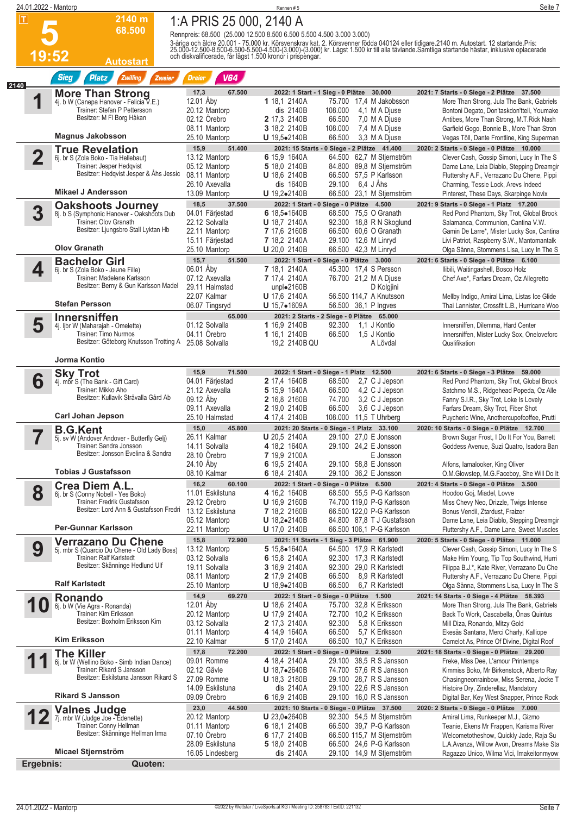| 24.01.2022 - Mantorp    |                                                                         |                                                                       | Rennen#5                                    |                                                                      | Seite 7                                                                                                                                                                                                                           |
|-------------------------|-------------------------------------------------------------------------|-----------------------------------------------------------------------|---------------------------------------------|----------------------------------------------------------------------|-----------------------------------------------------------------------------------------------------------------------------------------------------------------------------------------------------------------------------------|
| ΙΤ                      | 2140 m                                                                  | 1:A PRIS 25 000, 2140 A                                               |                                             |                                                                      |                                                                                                                                                                                                                                   |
|                         | 68.500                                                                  | Rennpreis: 68.500 (25.000 12.500 8.500 6.500 5.500 4.500 3.000 3.000) |                                             |                                                                      |                                                                                                                                                                                                                                   |
|                         |                                                                         |                                                                       |                                             |                                                                      | 3-åriga och äldre 20.001 - 75.000 kr. Körsvenskrav kat. 2. Körsvenner födda 040124 eller tidigare 2140 m. Autostart. 12 startande Pris:<br>25.000-12.500-8.500-6.500-5.500-4.500-(3.000)-(3.000) kr. Lägst 1.500 kr till alla täv |
| 19:52                   |                                                                         | och diskvalificerade, får lägst 1.500 kronor i prispengar.            |                                             |                                                                      |                                                                                                                                                                                                                                   |
|                         | <b>Autostart</b>                                                        |                                                                       |                                             |                                                                      |                                                                                                                                                                                                                                   |
|                         | <b>Sieg</b><br>Zweier<br><b>Platz</b><br>Zwilling                       | <b>V64</b><br><b>Dreier</b>                                           |                                             |                                                                      |                                                                                                                                                                                                                                   |
| 2140                    | <b>More Than Strong</b>                                                 | 17,3<br>67.500                                                        |                                             | 2022: 1 Start - 1 Sieg - 0 Plätze 30.000                             | 2021: 7 Starts - 0 Siege - 2 Plätze 37.500                                                                                                                                                                                        |
| ◀                       | 4j. b W (Canepa Hanover - Felicia V.E.)                                 | 12.01 Åby                                                             | 1 18.1 2140A                                | 75.700 17.4 M Jakobsson                                              | More Than Strong, Jula The Bank, Gabriels                                                                                                                                                                                         |
|                         | Trainer: Stefan P Pettersson<br>Besitzer: M FI Borg Håkan               | 20.12 Mantorp                                                         | dis 2140B                                   | 108.000<br>4.1 M A Diuse                                             | Bontoni Degato, Don'taskdon'ttell, Youmake                                                                                                                                                                                        |
|                         |                                                                         | 02.12 Örebro<br>08.11 Mantorp                                         | 2 17,3 2140B<br>3 18,2 2140B                | 66.500<br>7,0 M A Djuse<br>108.000<br>7,4 M A Djuse                  | Antibes, More Than Strong, M.T.Rick Nash<br>Garfield Gogo, Bonnie B., More Than Stron                                                                                                                                             |
|                         | <b>Magnus Jakobsson</b>                                                 | 25.10 Mantorp                                                         | U 19,5.2140B                                | 66.500<br>3,3 M A Djuse                                              | Vegas Töll, Dante Frontline, King Superman                                                                                                                                                                                        |
|                         | <b>True Revelation</b>                                                  | 15,9<br>51.400                                                        |                                             | 2021: 15 Starts - 0 Siege - 2 Plätze 41.400                          | 2020: 2 Starts - 0 Siege - 0 Plätze 10.000                                                                                                                                                                                        |
| $\overline{\mathbf{2}}$ | 6j. br S (Zola Boko - Tia Hellebaut)                                    | 13.12 Mantorp                                                         | 6 15,9 1640A                                | 64.500 62,7 M Stjernström                                            | Clever Cash, Gossip Simoni, Lucy In The S                                                                                                                                                                                         |
|                         | Trainer: Jesper Hedqvist<br>Besitzer: Hedqvist Jesper & Åhs Jessic      | 05.12 Mantorp                                                         | 5 18,0 2140B                                | 84.800 89,8 M Stjernström                                            | Dame Lane, Leia Diablo, Stepping Dreamgir                                                                                                                                                                                         |
|                         |                                                                         | 08.11 Mantorp<br>26.10 Axevalla                                       | <b>U</b> 18,6 2140B<br>dis 1640B            | 66.500 57,5 P Karlsson<br>29.100<br>6,4 J Ahs                        | Fluttershy A.F., Verrazano Du Chene, Pippi<br>Charming, Tessie Lock, Arevs Indeed                                                                                                                                                 |
|                         | <b>Mikael J Andersson</b>                                               | 13.09 Mantorp                                                         | $U$ 19,2 $\bullet$ 2140B                    | 66.500 23,1 M Stjernström                                            | Pinterest, These Days, Skarpinge Novix                                                                                                                                                                                            |
|                         | <b>Oakshoots Journey</b><br>8j. b S (Symphonic Hanover - Oakshoots Dub  | 18,5<br>37.500                                                        |                                             | 2022: 1 Start - 0 Siege - 0 Plätze 4.500                             | 2021: 9 Starts - 0 Siege - 1 Platz 17.200                                                                                                                                                                                         |
| 3                       |                                                                         | 04.01 Färjestad                                                       | 6 18,5•1640B                                | 68.500 75.5 O Granath                                                | Red Pond Phantom, Sky Trot, Global Brook                                                                                                                                                                                          |
|                         | Trainer: Olov Granath<br>Besitzer: Ljungsbro Stall Lyktan Hb            | 22.12 Solvalla<br>22.11 Mantorp                                       | <b>U</b> 18,7 2140A<br>7 17,6 2160B         | 92.300 18,8 R N Skoglund<br>66.500 60.6 O Granath                    | Salamanca, Communion, Cantina V.W.<br>Gamin De Larre*, Mister Lucky Sox, Cantina                                                                                                                                                  |
|                         |                                                                         | 15.11 Färjestad                                                       | 7 18,2 2140A                                | 29.100 12,6 M Linryd                                                 | Livi Patriot, Raspberry S.W., Mantomantalk                                                                                                                                                                                        |
|                         | <b>Olov Granath</b>                                                     | 25.10 Mantorp                                                         | U 20,0 2140B                                | 66.500 42,3 M Linryd                                                 | Olga Sånna, Stommens Lisa, Lucy In The S                                                                                                                                                                                          |
|                         | <b>Bachelor Girl</b>                                                    | 15,7<br>51.500                                                        |                                             | 2022: 1 Start - 0 Siege - 0 Plätze 3.000                             | 2021: 6 Starts - 0 Siege - 0 Plätze 6.100                                                                                                                                                                                         |
| 4                       | 6j. br S (Zola Boko - Jeune Fille)<br>Trainer: Madelene Karlsson        | 06.01 Aby                                                             | <b>7</b> 18,1 2140A                         | 45.300 17,4 S Persson<br>76.700 21,2 M A Diuse                       | Ilibili, Waitingashell, Bosco Holz                                                                                                                                                                                                |
|                         | Besitzer: Berny & Gun Karlsson Madel                                    | 07.12 Axevalla<br>29.11 Halmstad                                      | <b>7</b> 17,4 2140A<br>unpl $\bullet$ 2160B | D Kolgjini                                                           | Chef Axe*, Farfars Dream, Oz Allegretto                                                                                                                                                                                           |
|                         |                                                                         | 22.07 Kalmar                                                          | U 17,6 2140A                                | 56.500 114,7 A Knutsson                                              | Mellby Indigo, Amiral Lima, Listas Ice Glide                                                                                                                                                                                      |
|                         | <b>Stefan Persson</b>                                                   | 06.07 Tingsryd                                                        | $U$ 15,7 $\bullet$ 1609A                    | 56.500 36,1 P Ingves                                                 | Thai Lannister, Crossfit L.B., Hurricane Woo                                                                                                                                                                                      |
|                         | Innersniffen                                                            | 65.000                                                                |                                             | 2021: 2 Starts - 2 Siege - 0 Plätze 65.000                           |                                                                                                                                                                                                                                   |
| 5                       | 4j. ljbr W (Maharajah - Omelette)<br>Trainer: Timo Nurmos               | 01.12 Solvalla<br>04.11 Orebro                                        | 1 16,9 2140B<br>1 16,1 2140B                | 92.300<br>1.1 J Kontio<br>66.500<br>1,5 J Kontio                     | Innersniffen, Dilemma, Hard Center<br>Innersniffen, Mister Lucky Sox, Oneloveforc                                                                                                                                                 |
|                         | Besitzer: Göteborg Knutsson Trotting A                                  | 25.08 Solvalla                                                        | 19,2 2140B QU                               | A Lövdal                                                             | Qualifikation                                                                                                                                                                                                                     |
|                         |                                                                         |                                                                       |                                             |                                                                      |                                                                                                                                                                                                                                   |
|                         | Jorma Kontio                                                            |                                                                       |                                             |                                                                      |                                                                                                                                                                                                                                   |
| 6                       | <b>Sky Trot</b><br>4j. mbr S (The Bank - Gift Card)                     | 71.500<br>15,9<br>04.01 Färjestad                                     | <b>2</b> 17,4 1640B                         | 2022: 1 Start - 0 Siege - 1 Platz 12.500<br>68.500<br>2,7 C J Jepson | 2021: 6 Starts - 0 Siege - 3 Plätze 59.000<br>Red Pond Phantom, Sky Trot, Global Brook                                                                                                                                            |
|                         | Trainer: Mikko Aho                                                      | 21.12 Axevalla                                                        | 5 15,9 1640A                                | 66.500<br>4,2 C J Jepson                                             | Satchmo M.S., Ridgehead Popeda, Oz Alle                                                                                                                                                                                           |
|                         | Besitzer: Kullavik Stråvalla Gård Ab                                    | 09.12 Åby                                                             | 2 16,8 2160B                                | 74.700<br>3,2 C J Jepson                                             | Fanny S.I.R., Sky Trot, Loke Is Lovely                                                                                                                                                                                            |
|                         | <b>Carl Johan Jepson</b>                                                | 09.11 Axevalla<br>25.10 Halmstad                                      | 2 19.0 2140B<br>4 17,4 2140B                | 66.500<br>3,6 C J Jepson<br>108.000<br>11,5 T Uhrberg                | Farfars Dream, Sky Trot, Fiber Shot<br>Puycheric Wine, Anothercupofcoffee, Prutti                                                                                                                                                 |
|                         | <b>B.G.Kent</b>                                                         | 15,0<br>45.800                                                        |                                             | 2021: 20 Starts - 0 Siege - 1 Platz 33.100                           | 2020: 10 Starts - 0 Siege - 0 Plätze 12.700                                                                                                                                                                                       |
| -7                      | 5j. sv W (Andover Andover - Butterfly Gelj)                             | 26.11 Kalmar                                                          | <b>U</b> 20,5 2140A                         | 29.100 27,0 E Jonsson                                                | Brown Sugar Frost, I Do It For You, Barrett                                                                                                                                                                                       |
|                         | Trainer: Sandra Jonsson<br>Besitzer: Jonsson Evelina & Sandra           | 14.11 Solvalla                                                        | 4 18,2 1640A                                | 29.100 24,2 E Jonsson                                                | Goddess Avenue, Suzi Quatro, Isadora Ban                                                                                                                                                                                          |
|                         |                                                                         | 28.10 Örebro<br>24.10 Åby                                             | 7 19,9 2100A<br>6 19,5 2140A                | E Jonsson<br>29.100 58,8 E Jonsson                                   | Alfons, lamalooker, King Oliver                                                                                                                                                                                                   |
|                         | <b>Tobias J Gustafsson</b>                                              | 08.10 Kalmar                                                          | 6 18,4 2140A                                | 29.100 36,2 E Jonsson                                                | O.M.Glowstep, M.G.Faceboy, She Will Do It                                                                                                                                                                                         |
|                         | Crea Diem A.L.                                                          | 16,2<br>60.100                                                        |                                             | 2022: 1 Start - 0 Siege - 0 Plätze 6.500                             | 2021: 4 Starts - 0 Siege - 0 Plätze 3.500                                                                                                                                                                                         |
| 8                       | 6j. br S (Conny Nobell - Yes Boko)                                      | 11.01 Eskilstuna                                                      | 4 16,2 1640B                                | 68.500 55,5 P-G Karlsson                                             | Hoodoo Goj, Miadel, Lovve                                                                                                                                                                                                         |
|                         | Trainer: Fredrik Gustafsson<br>Besitzer: Lord Ann & Gustafsson Fredri   | 29.12 Örebro<br>13.12 Eskilstuna                                      | <b>U</b> 16,9 2160B<br>7 18,2 2160B         | 74.700 119,0 P-G Karlsson<br>66.500 122,0 P-G Karlsson               | Miss Chevy Neo, Drizzle, Twigs Intense<br>Bonus Vendil, Ztardust, Fraizer                                                                                                                                                         |
|                         |                                                                         | 05.12 Mantorp                                                         | U 18,2.2140B                                | 84.800 87,8 T J Gustafsson                                           | Dame Lane, Leia Diablo, Stepping Dreamgir                                                                                                                                                                                         |
|                         | <b>Per-Gunnar Karlsson</b>                                              | 22.11 Mantorp                                                         | <b>U</b> 17,0 2140B                         | 66.500 106,1 P-G Karlsson                                            | Fluttershy A.F., Dame Lane, Sweet Muscles                                                                                                                                                                                         |
|                         | Verrazano Du Chene                                                      | 15,8<br>72.900                                                        |                                             | 2021: 11 Starts - 1 Sieg - 3 Plätze 61.900                           | 2020: 5 Starts - 0 Siege - 0 Plätze 11.000                                                                                                                                                                                        |
| 9                       | 5j. mbr S (Quarcio Du Chene - Old Lady Boss)<br>Trainer: Ralf Karlstedt | 13.12 Mantorp<br>03.12 Solvalla                                       | 5 15,8•1640A<br>6 15,8 2140A                | 64.500 17,9 R Karlstedt<br>92.300 17,3 R Karlstedt                   | Clever Cash, Gossip Simoni, Lucy In The S<br>Make Him Young, Tip Top Southwind, Hurri                                                                                                                                             |
|                         | Besitzer: Skänninge Hedlund Ulf                                         | 19.11 Solvalla                                                        | <b>3</b> 16,9 2140A                         | 92.300 29,0 R Karlstedt                                              | Filippa B.J.*, Kate River, Verrazano Du Che                                                                                                                                                                                       |
|                         |                                                                         | 08.11 Mantorp                                                         | <b>2</b> 17,9 2140B                         | 66.500<br>8,9 R Karlstedt                                            | Fluttershy A.F., Verrazano Du Chene, Pippi                                                                                                                                                                                        |
|                         | <b>Ralf Karlstedt</b>                                                   | 25.10 Mantorp                                                         | <b>U</b> $18,9-2140B$                       | 66.500<br>6,7 R Karlstedt                                            | Olga Sånna, Stommens Lisa, Lucy In The S                                                                                                                                                                                          |
| 1                       | Ronando<br>6j. b W (Vie Agra - Ronanda)                                 | 14,9<br>69.270<br>12.01 Åby                                           | <b>U</b> 18,6 2140A                         | 2022: 1 Start - 0 Siege - 0 Plätze 1.500<br>75.700 32,8 K Eriksson   | 2021: 14 Starts - 0 Siege - 4 Plätze 58.393<br>More Than Strong, Jula The Bank, Gabriels                                                                                                                                          |
|                         | Trainer: Kim Eriksson                                                   | 20.12 Mantorp                                                         | <b>U</b> 17,9 2140A                         | 72.700<br>10,2 K Eriksson                                            | Back To Work, Cascabella, Onas Quintus                                                                                                                                                                                            |
|                         | Besitzer: Boxholm Eriksson Kim                                          | 03.12 Solvalla                                                        | <b>2</b> 17,3 2140A                         | 92.300<br>5,8 K Eriksson                                             | Mill Diza, Ronando, Mitzy Gold                                                                                                                                                                                                    |
|                         | <b>Kim Eriksson</b>                                                     | 01.11 Mantorp                                                         | 4 14,9 1640A                                | 66.500<br>5,7 K Eriksson                                             | Ekesås Santana, Merci Charly, Kalliope                                                                                                                                                                                            |
|                         |                                                                         | 22.10 Kalmar<br>17,8<br>72.200                                        | 5 17,0 2140A                                | 66.500 10,7 K Eriksson<br>2022: 1 Start - 0 Siege - 0 Plätze 2.500   | Camelot As, Prince Of Divine, Digital Roof<br>2021: 18 Starts - 0 Siege - 0 Plätze 29.200                                                                                                                                         |
| 1                       | <b>The Killer</b><br>6j. br W (Wellino Boko - Simb Indian Dance)        | 09.01 Romme                                                           | 4 18.4 2140A                                | 29.100 38,5 R S Jansson                                              | Freke, Miss Dee, L'amour Printemps                                                                                                                                                                                                |
|                         | Trainer: Rikard S Jansson                                               | 02.12 Gävle                                                           | <b>U</b> 18,7 $\bullet$ 2640B               | 74.700 57,6 R S Jansson                                              | Kimmiss Boko, Mr Birkenstock, Alberto Ray                                                                                                                                                                                         |
|                         | Besitzer: Eskilstuna Jansson Rikard S                                   | 27.09 Romme                                                           | <b>U</b> 18,3 2180B                         | 29.100 28,7 R S Jansson                                              | Chasingneonrainbow, Miss Serena, Jocke T                                                                                                                                                                                          |
|                         | <b>Rikard S Jansson</b>                                                 | 14.09 Eskilstuna<br>09.09 Orebro                                      | dis 2140A<br>6 16,9 2140B                   | 29.100 22.6 R S Jansson<br>29.100 16,0 R S Jansson                   | Histoire Dry, Zinderellaz, Mandatory<br>Digital Bar, Key West Snapper, Prince Rock                                                                                                                                                |
|                         | <b>Valnes Judge</b>                                                     | 23,0<br>44.500                                                        |                                             | 2021: 10 Starts - 0 Siege - 0 Plätze 37.500                          | 2020: 2 Starts - 0 Siege - 0 Plätze 7.000                                                                                                                                                                                         |
|                         | 7j. mbr W (Judge Joe - Edenette)                                        | 20.12 Mantorp                                                         | $U$ 23,0 $\bullet$ 2640B                    | 92.300 54,5 M Stjernström                                            | Amiral Lima, Runkeeper M.J., Gizmo                                                                                                                                                                                                |
|                         | Trainer: Conny Hellman<br>Besitzer: Skänninge Hellman Irma              | 01.11 Mantorp                                                         | 6 18,1 2140B                                | 66.500 39,7 P-G Karlsson                                             | Teanie, Ekens Mr Frappen, Karisma River                                                                                                                                                                                           |
|                         |                                                                         | 07.10 Orebro<br>28.09 Eskilstuna                                      | 6 17,7 2140B<br>5 18,0 2140B                | 66.500 115,7 M Stjernström<br>66.500 24,6 P-G Karlsson               | Welcometotheshow, Quickly Jade, Raja Su<br>L.A.Avanza, Willow Avon, Dreams Make Sta                                                                                                                                               |
|                         | Micael Stjernström                                                      | 16.05 Lindesberg                                                      | dis 2140A                                   | 29.100 14,9 M Stjernström                                            | Ragazzo Unico, Wilma Vici, Imakeitonmyow                                                                                                                                                                                          |
| Ergebnis:               | Quoten:                                                                 |                                                                       |                                             |                                                                      |                                                                                                                                                                                                                                   |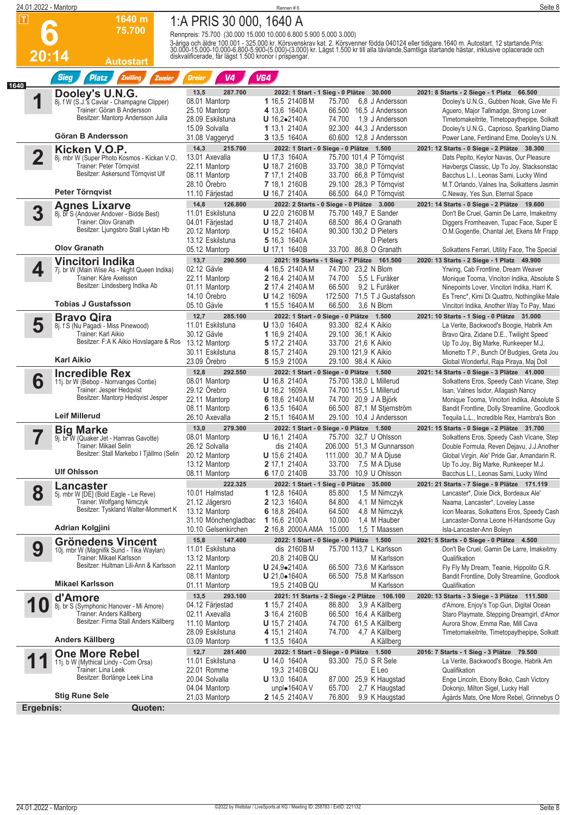| 24.01.2022 - Mantorp    |                                                                           |                                                                  | Rennen#6                                     |                                                                       | Seite 8                                                                                                                                                                                                                           |
|-------------------------|---------------------------------------------------------------------------|------------------------------------------------------------------|----------------------------------------------|-----------------------------------------------------------------------|-----------------------------------------------------------------------------------------------------------------------------------------------------------------------------------------------------------------------------------|
| ΙΤ                      | 1640 m                                                                    | 1:A PRIS 30 000, 1640 A                                          |                                              |                                                                       |                                                                                                                                                                                                                                   |
|                         | 75.700                                                                    | Rennpreis: 75.700 (30.000 15.000 10.000 6.800 5.900 5.000 3.000) |                                              |                                                                       |                                                                                                                                                                                                                                   |
|                         |                                                                           |                                                                  |                                              |                                                                       | 3-åriga och äldre 100.001 - 325.000 kr. Körsvenskrav kat. 2. Körsvenner födda 040124 eller tidigare.1640 m. Autostart. 12 startande Pris:<br>30.000-15.000-10.000-6.800-5.900-(5.000)-(3.000) kr. Lägst 1.500 kr till alla tävlan |
| 20:14                   | <b>Autostart</b>                                                          |                                                                  |                                              |                                                                       |                                                                                                                                                                                                                                   |
|                         |                                                                           |                                                                  |                                              |                                                                       |                                                                                                                                                                                                                                   |
| 1640                    | <b>Sieg</b><br><b>Platz</b><br>Zwilling<br>Zweier                         | V <sub>4</sub><br><b>Dreier</b>                                  | V64                                          |                                                                       |                                                                                                                                                                                                                                   |
| И                       | Dooley's U.N.G.                                                           | 287.700<br>13,5<br>08.01 Mantorp                                 | 1 16,5 2140BM                                | 2022: 1 Start - 1 Sieg - 0 Plätze 30.000<br>75.700<br>6.8 J Andersson | 2021: 8 Starts - 2 Siege - 1 Platz 66.500<br>Dooley's U.N.G., Gubben Noak, Give Me Fi                                                                                                                                             |
|                         | 8j. f W (S.J.'s Caviar - Champagne Clipper)<br>Trainer: Göran B Andersson | 25.10 Mantorp                                                    | 4 13.6 1640A                                 | 66.500 16,5 J Andersson                                               | Aquero, Major Tallmadge, Strong Lover                                                                                                                                                                                             |
|                         | Besitzer: Mantorp Andersson Julia                                         | 28.09 Eskilstuna                                                 | $U$ 16,2 $\bullet$ 2140A                     | 74.700<br>1,9 J Andersson                                             | Timetomakeitrite, Timetopaythepipe, Solkatt                                                                                                                                                                                       |
|                         | Göran B Andersson                                                         | 15.09 Solvalla<br>31.08 Vaggeryd                                 | 1 13,1 2140A<br>3 13,5 1640A                 | 92.300 44,3 J Andersson<br>60.600<br>12,8 J Andersson                 | Dooley's U.N.G., Caprioso, Sparkling Diamo<br>Power Lane, Ferdinand Eme, Dooley's U.N.                                                                                                                                            |
|                         | Kicken V.O.P.                                                             | 14,3<br>215.700                                                  |                                              | 2022: 1 Start - 0 Siege - 0 Plätze 1.500                              | 2021: 12 Starts - 0 Siege - 2 Plätze 38.300                                                                                                                                                                                       |
| $\overline{\mathbf{2}}$ | 8j. mbr W (Super Photo Kosmos - Kickan V.O.                               | 13.01 Axevalla                                                   | <b>U</b> 17,3 1640A                          | 75.700 101,4 P Törngvist                                              | Dats Pepito, Keylor Navas, Our Pleasure                                                                                                                                                                                           |
|                         | Trainer: Peter Törngvist<br>Besitzer: Askersund Törngvist Ulf             | 22.11 Mantorp<br>08.11 Mantorp                                   | <b>U</b> 18,7 2160B<br>7 17,1 2140B          | 33.700 38,0 P Törngvist<br>33.700 66,8 P Törngvist                    | Havbergs Classic, Up To Joy, Stacksonstac<br>Bacchus L.I., Leonas Sami, Lucky Wind                                                                                                                                                |
|                         |                                                                           | 28.10 Orebro                                                     | 7 18,1 2160B                                 | 29.100 28.3 P Törngvist                                               | M.T.Orlando, Valnes Ina, Solkattens Jasmin                                                                                                                                                                                        |
|                         | Peter Törngvist                                                           | 11.10 Färjestad                                                  | <b>U</b> 16,7 2140A                          | 66.500 64,0 P Törnqvist                                               | C.Neway, Yes Sun, Eternal Space                                                                                                                                                                                                   |
|                         | <b>Agnes Lixarve</b>                                                      | 14,8<br>126.800                                                  |                                              | 2022: 2 Starts - 0 Siege - 0 Plätze 3.000                             | 2021: 14 Starts - 0 Siege - 2 Plätze 19.600                                                                                                                                                                                       |
| 3                       | 8j. br S (Andover Andover - Bidde Best)<br>Trainer: Olov Granath          | 11.01 Eskilstuna<br>04.01 Färjestad                              | <b>U</b> 22,0 2160B M<br><b>U</b> 18,7 2140A | 75.700 149,7 E Sander<br>68.500 86,4 O Granath                        | Don't Be Cruel, Gamin De Larre, Imakeitmy<br>Diggers Fromheaven, Tupac Face, Super E                                                                                                                                              |
|                         | Besitzer: Ljungsbro Stall Lyktan Hb                                       | 20.12 Mantorp                                                    | <b>U</b> 15.2 1640A                          | 90.300 130,2 D Pieters                                                | O.M.Gogentle, Chantal Jet, Ekens Mr Frapp                                                                                                                                                                                         |
|                         | <b>Olov Granath</b>                                                       | 13.12 Eskilstuna<br>05.12 Mantorp                                | 5 16,3 1640A                                 | D Pieters<br>33.700 86,8 O Granath                                    |                                                                                                                                                                                                                                   |
|                         | Vincitori Indika                                                          | 13,7<br>290.500                                                  | <b>U</b> 17,1 1640B                          | 2021: 19 Starts - 1 Sieg - 7 Plätze 161.500                           | Solkattens Ferrari, Utility Face, The Special<br>2020: 13 Starts - 2 Siege - 1 Platz 49.900                                                                                                                                       |
|                         | 7j. br W (Main Wise As - Night Queen Indika)                              | 02.12 Gävle                                                      | 4 16.5 2140AM                                | 74.700 23.2 N Blom                                                    | Yrwing, Cab Frontline, Dream Weaver                                                                                                                                                                                               |
|                         | Trainer: Kåre Axelsson<br>Besitzer: Lindesberg Indika Ab                  | 22.11 Mantorp                                                    | 2 16,4 2140AM                                | 74.700<br>5,5 L Furåker                                               | Monique Tooma, Vincitori Indika, Absolute S                                                                                                                                                                                       |
|                         |                                                                           | 01.11 Mantorp<br>14.10 Orebro                                    | <b>2</b> 17,4 2140AM<br><b>U</b> 14,2 1609A  | 9.2 L Furåker<br>66.500<br>172.500 71,5 T J Gustafsson                | Ninepoints Lover, Vincitori Indika, Harri K.<br>Es Trenc*, Kimi Di Quattro, Nothinglike Male                                                                                                                                      |
|                         | <b>Tobias J Gustafsson</b>                                                | 05.10 Gävle                                                      | <b>1</b> 15,5 1640 A M                       | 66.500<br>3.6 N Blom                                                  | Vincitori Indika, Another Way To Pay, Maxi                                                                                                                                                                                        |
|                         | <b>Bravo Qira</b>                                                         | 12,7<br>285.100                                                  |                                              | 2022: 1 Start - 0 Siege - 0 Plätze 1.500                              | 2021: 10 Starts - 1 Sieg - 0 Plätze 31.000                                                                                                                                                                                        |
|                         | 8j. f S (Nu Pagadi - Miss Pinewood)<br>Trainer: Karl Aikio                | 11.01 Eskilstuna<br>30.12 Gävle                                  | <b>U</b> 13.0 1640A<br>1 16,9 2140A          | 93.300 82,4 K Aikio<br>29.100 36.1 K Aikio                            | La Verite, Backwood's Boogie, Habrik Am<br>Bravo Qira, Zidane D.E., Twilight Speed                                                                                                                                                |
|                         | Besitzer: F:A K Aikio Hovslagare & Ros                                    | 13.12 Mantorp                                                    | 5 17,2 2140A                                 | 33.700 21,6 K Aikio                                                   | Up To Joy, Big Marke, Runkeeper M.J.                                                                                                                                                                                              |
|                         | <b>Karl Aikio</b>                                                         | 30.11 Eskilstuna                                                 | 8 15,7 2140A                                 | 29.100 121,9 K Aikio                                                  | Mionetto T.P., Bunch Of Budgies, Greta Jou                                                                                                                                                                                        |
|                         |                                                                           | 23.09 Örebro<br>12,8<br>292.550                                  | 5 15,9 2100A                                 | 29.100 98,4 K Aikio<br>2022: 1 Start - 0 Siege - 0 Plätze 1.500       | Global Wonderful, Raja Piraya, Maj Doll<br>2021: 14 Starts - 0 Siege - 3 Plätze 41.000                                                                                                                                            |
| 6                       | <b>Incredible Rex</b><br>11j. br W (Bebop - Norrvanges Contie)            | 08.01 Mantorp                                                    | <b>U</b> 16,8 2140A                          | 75.700 138,0 L Millerud                                               | Solkattens Eros, Speedy Cash Vicane, Step                                                                                                                                                                                         |
|                         | Trainer: Jesper Hedgvist<br>Besitzer: Mantorp Hedqvist Jesper             | 29.12 Örebro                                                     | <b>U</b> 16.2 1609A                          | 74.700 115,5 L Millerud                                               | Isan, Valnes Isidor, Allagash Nancy                                                                                                                                                                                               |
|                         |                                                                           | 22.11 Mantorp<br>08.11 Mantorp                                   | 6 18,6 2140AM<br>6 13.5 1640A                | 74.700 20,9 J A Björk<br>66.500 87,1 M Stjernström                    | Monique Tooma, Vincitori Indika, Absolute S<br>Bandit Frontline, Dolly Streamline, Goodlook                                                                                                                                       |
|                         | <b>Leif Millerud</b>                                                      | 26.10 Axevalla                                                   | <b>2</b> 15,1 1640AM                         | 29.100 10.4 J Andersson                                               | Tequila L.L., Incredible Rex, Hambra's Bon                                                                                                                                                                                        |
|                         | <b>Big Marke</b>                                                          | 13,0<br>279.300                                                  |                                              | 2022: 1 Start - 0 Siege - 0 Plätze 1.500                              | 2021: 15 Starts - 0 Siege - 2 Plätze 31.700                                                                                                                                                                                       |
|                         | 9j. br W (Quaker Jet - Hamras Gavotte)<br>Trainer: Mikael Selin           | 08.01 Mantorp<br>26.12 Solvalla                                  | <b>U</b> 16,1 2140A<br>dis 2140A             | 75.700 32,7 U Ohlsson<br>206.000 51,3 M Gunnarsson                    | Solkattens Eros, Speedy Cash Vicane, Step<br>Double Formula, Reven Dejavu, J.J.Another                                                                                                                                            |
|                         | Besitzer: Stall Markebo I Tjällmo (Selin                                  | 20.12 Mantorp                                                    | <b>U</b> 15,6 2140A                          | 111.000 30,7 M A Djuse                                                | Global Virgin, Ale' Pride Gar, Amandarin R.                                                                                                                                                                                       |
|                         | <b>Ulf Ohlsson</b>                                                        | 13.12 Mantorp<br>08.11 Mantorp                                   | <b>2</b> 17,1 2140A<br>6 17,0 2140B          | 33.700<br>7,5 M A Djuse<br>33.700<br>10,9 U Ohlsson                   | Up To Joy, Big Marke, Runkeeper M.J.<br>Bacchus L.I., Leonas Sami, Lucky Wind                                                                                                                                                     |
|                         | Lancaster                                                                 | 222.325                                                          |                                              | 2022: 1 Start - 1 Sieg - 0 Plätze 35.000                              | 2021: 21 Starts - 7 Siege - 9 Plätze 171.119                                                                                                                                                                                      |
| 8                       | 5j. mbr W [DE] (Bold Eagle - Le Reve)                                     | 10.01 Halmstad                                                   | 1 12,8 1640A                                 | 85.800<br>1,5 M Nimczyk                                               | Lancaster*, Dixie Dick, Bordeaux Ale'                                                                                                                                                                                             |
|                         | Trainer: Wolfgang Nimczyk<br>Besitzer: Tyskland Walter-Mommert K          | 21.12 Jägersro                                                   | 2 12,3 1640A                                 | 84.800<br>4,1 M Nimczyk                                               | Naama, Lancaster*, Loveley Lasse                                                                                                                                                                                                  |
|                         |                                                                           | 13.12 Mantorp<br>31.10 Mönchengladbac                            | 6 18,8 2640A<br>1 16,6 2100A                 | 64.500<br>4,8 M Nimczyk<br>10.000<br>1,4 M Hauber                     | Icon Mearas, Solkattens Eros, Speedy Cash<br>Lancaster-Donna Leone H-Handsome Guy                                                                                                                                                 |
|                         | Adrian Kolgjini                                                           | 10.10 Gelsenkirchen                                              | 2 16.8 2000A AMA                             | 15.000<br>1,5 T Maassen                                               | Isla-Lancaster-Ann Boleyn                                                                                                                                                                                                         |
|                         | <b>Grönedens Vincent</b>                                                  | 15,8<br>147.400                                                  |                                              | 2022: 1 Start - 0 Siege - 0 Plätze 1.500                              | 2021: 5 Starts - 0 Siege - 0 Plätze 4.500                                                                                                                                                                                         |
| 9                       | 10j. mbr W (Magnifik Sund - Tika Waylan)<br>Trainer: Mikael Karlsson      | 11.01 Eskilstuna<br>13.12 Mantorp                                | dis 2160B M<br>20,8 2140B QU                 | 75.700 113,7 L Karlsson<br>M Karlsson                                 | Don't Be Cruel, Gamin De Larre, Imakeitmy<br>Qualifikation                                                                                                                                                                        |
|                         | Besitzer: Hultman Lili-Ann & Karlsson                                     | 22.11 Mantorp                                                    | U 24,9•2140A                                 | 66.500 73,6 M Karlsson                                                | Fly Fly My Dream, Teanie, Hippolito G.R.                                                                                                                                                                                          |
|                         | <b>Mikael Karlsson</b>                                                    | 08.11 Mantorp                                                    | <b>U</b> 21,0 $\bullet$ 1640A                | 66.500 75,8 M Karlsson                                                | Bandit Frontline, Dolly Streamline, Goodlook                                                                                                                                                                                      |
|                         | d'Amore                                                                   | 01.11 Mantorp<br>13,5<br>293.100                                 | 19,5 2140B QU                                | M Karlsson<br>2021: 11 Starts - 2 Siege - 2 Plätze 106.100            | Qualifikation<br>2020: 13 Starts - 3 Siege - 3 Plätze 111.500                                                                                                                                                                     |
|                         | 8j. br S (Symphonic Hanover - Mi Amore)                                   | 04.12 Färjestad                                                  | 1 15,7 2140A                                 | 86.800<br>3,9 A Källberg                                              | d'Amore, Enjoy's Top Gun, Digital Ocean                                                                                                                                                                                           |
|                         | Trainer: Anders Källberg<br>Besitzer: Firma Stall Anders Källberg         | 02.11 Axevalla                                                   | 3 16,4 2160B                                 | 66.500 16,4 A Källberg                                                | Staro Playmate, Stepping Dreamgirl, d'Amor                                                                                                                                                                                        |
|                         |                                                                           | 11.10 Mantorp<br>28.09 Eskilstuna                                | <b>U</b> 15,7 2140A<br>4 15,1 2140A          | 74.700 61,5 A Källberg<br>74.700<br>4,7 A Källberg                    | Aurora Show, Emma Rae, Mill Cava<br>Timetomakeitrite, Timetopaythepipe, Solkatt                                                                                                                                                   |
|                         | Anders Källberg                                                           | 03.09 Mantorp                                                    | 1 13,5 1640A                                 | A Källberg                                                            |                                                                                                                                                                                                                                   |
|                         | <b>One More Rebel</b>                                                     | 12,7<br>281.400                                                  |                                              | 2022: 1 Start - 0 Siege - 0 Plätze 1.500                              | 2016: 7 Starts - 1 Sieg - 3 Plätze 79.500                                                                                                                                                                                         |
|                         | 11j. b W (Mythical Lindy - Com Orsa)<br>Trainer: Lina Leek                | 11.01 Eskilstuna<br>22.01 Romme                                  | <b>U</b> 14,0 1640A<br>19,3 2140B QU         | 93.300 75,0 S R Sele<br>E Leo                                         | La Verite, Backwood's Boogie, Habrik Am<br>Qualifikation                                                                                                                                                                          |
|                         | Besitzer: Borlänge Leek Lina                                              | 20.04 Solvalla                                                   | $U$ 13,0 1640A                               | 87.000 25,9 K Haugstad                                                | Enge Lincoln, Ebony Boko, Cash Victory                                                                                                                                                                                            |
|                         | <b>Stig Rune Sele</b>                                                     | 04.04 Mantorp                                                    | unpl●1640AV                                  | 65.700<br>2,7 K Haugstad                                              | Dokonjo, Milton Sigel, Lucky Hall                                                                                                                                                                                                 |
| Ergebnis:               | Quoten:                                                                   | 21.03 Mantorp                                                    | 2 14,5 2140AV                                | 76.800<br>9,9 K Haugstad                                              | Ágårds Mats, One More Rebel, Grinnebys O                                                                                                                                                                                          |
|                         |                                                                           |                                                                  |                                              |                                                                       |                                                                                                                                                                                                                                   |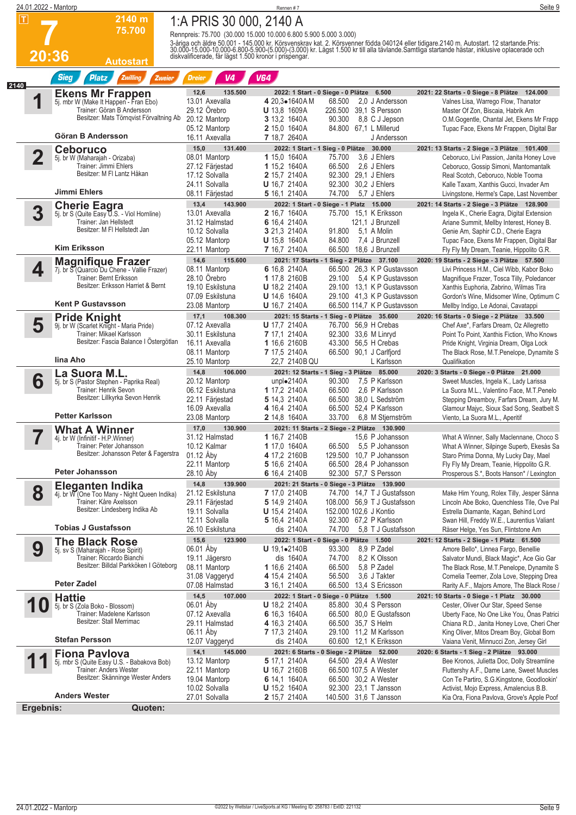|      | 24.01.2022 - Mantorp |                                                                        |                                                                  | Rennen #7                                  |                                                                          | Seite 9                                                                                                                                                                                                                           |
|------|----------------------|------------------------------------------------------------------------|------------------------------------------------------------------|--------------------------------------------|--------------------------------------------------------------------------|-----------------------------------------------------------------------------------------------------------------------------------------------------------------------------------------------------------------------------------|
|      | Π                    | 2140 m                                                                 | 1:A PRIS 30 000, 2140 A                                          |                                            |                                                                          |                                                                                                                                                                                                                                   |
|      |                      | 75.700                                                                 | Rennpreis: 75.700 (30.000 15.000 10.000 6.800 5.900 5.000 3.000) |                                            |                                                                          |                                                                                                                                                                                                                                   |
|      |                      |                                                                        |                                                                  |                                            |                                                                          | 3-åriga och äldre 50.001 - 145.000 kr. Körsvenskrav kat. 2. Körsvenner födda 040124 eller tidigare.2140 m. Autostart. 12 startande Pris:<br>30.000-15.000-10.000-6.800-5.900-(5.000)-(3.000) kr. Lägst 1.500 kr till alla tävland |
|      | <b>20:36</b>         | <b>Autostart</b>                                                       |                                                                  |                                            |                                                                          |                                                                                                                                                                                                                                   |
|      |                      | <b>Sieg</b><br>Zwilling<br><b>Platz</b><br>Zweier                      | V4<br>Dreier                                                     | <b>V64</b>                                 |                                                                          |                                                                                                                                                                                                                                   |
| 2140 |                      | <b>Ekens Mr Frappen</b>                                                | 12,6<br>135.500                                                  |                                            | 2022: 1 Start - 0 Siege - 0 Plätze 6.500                                 | 2021: 22 Starts - 0 Siege - 8 Plätze 124.000                                                                                                                                                                                      |
|      |                      | 5j. mbr W (Make It Happen - Fran Ebo)<br>Trainer: Göran B Andersson    | 13.01 Axevalla<br>29.12 Örebro                                   | 4 20,3.1640AM<br><b>U</b> 13.8 1609A       | 2.0 J Andersson<br>68.500<br>226.500 39.1 S Persson                      | Valnes Lisa, Warrego Flow, Thanator                                                                                                                                                                                               |
|      |                      | Besitzer: Mats Törngvist Förvaltning Ab                                | 20.12 Mantorp                                                    | 3 13,2 1640A                               | 90.300<br>8,8 C J Jepson                                                 | Master Of Zon, Biscaia, Habrik Am<br>O.M.Gogentle, Chantal Jet, Ekens Mr Frapp                                                                                                                                                    |
|      |                      | Göran B Andersson                                                      | 05.12 Mantorp                                                    | 2 15,0 1640A                               | 84.800 67.1 L Millerud                                                   | Tupac Face, Ekens Mr Frappen, Digital Bar                                                                                                                                                                                         |
|      |                      | <b>Ceboruco</b>                                                        | 16.11 Axevalla<br>15,0<br>131.400                                | 7 18,7 2640A                               | J Andersson<br>2022: 1 Start - 1 Sieg - 0 Plätze 30.000                  | 2021: 13 Starts - 2 Siege - 3 Plätze 101.400                                                                                                                                                                                      |
|      |                      | 5j. br W (Maharajah - Orizaba)                                         | 08.01 Mantorp                                                    | 1 15,0 1640A                               | 75.700<br>3.6 J Ehlers                                                   | Ceboruco, Livi Passion, Janita Honey Love                                                                                                                                                                                         |
|      |                      | Trainer: Jimmi Ehlers<br>Besitzer: M FI Lantz Håkan                    | 27.12 Färjestad<br>17.12 Solvalla                                | 1 15,2 1640A<br>2 15,7 2140A               | 66.500<br>2,6 J Ehlers<br>92.300 29,1 J Ehlers                           | Ceboruco, Gossip Simoni, Mantomantalk<br>Real Scotch, Ceboruco, Noble Tooma                                                                                                                                                       |
|      |                      |                                                                        | 24.11 Solvalla                                                   | <b>U</b> 16,7 2140A                        | 92.300 30,2 J Ehlers                                                     | Kalle Taxam, Xanthis Gucci, Invader Am                                                                                                                                                                                            |
|      |                      | Jimmi Ehlers                                                           | 08.11 Färjestad                                                  | 5 16,1 2140A                               | 74.700<br>5.7 J Ehlers                                                   | Livingstone, Herme's Cape, Last November                                                                                                                                                                                          |
|      | 3                    | <b>Cherie Eagra</b><br>5j. br S (Quite Easy U.S. - Viol Hornline)      | 13,4<br>143.900<br>13.01 Axevalla                                | <b>2</b> 16,7 1640A                        | 2022: 1 Start - 0 Siege - 1 Platz 15.000<br>75.700 15,1 K Eriksson       | 2021: 14 Starts - 2 Siege - 3 Plätze 128.900<br>Ingela K., Cherie Eagra, Digital Extension                                                                                                                                        |
|      |                      | Trainer: Jan Hellstedt                                                 | 31.12 Halmstad                                                   | 6 16,4 2140A                               | 121.1 J Brunzell                                                         | Ariane Summit, Mellby Interest, Honey B.                                                                                                                                                                                          |
|      |                      | Besitzer: M FI Hellstedt Jan                                           | 10.12 Solvalla<br>05.12 Mantorp                                  | 3 21,3 2140A<br>U 15,8 1640A               | 5.1 A Molin<br>91.800<br>84.800<br>7,4 J Brunzell                        | Genie Am, Saphir C.D., Cherie Eagra<br>Tupac Face, Ekens Mr Frappen, Digital Bar                                                                                                                                                  |
|      |                      | <b>Kim Eriksson</b>                                                    | 22.11 Mantorp                                                    | 7 16,7 2140A                               | 66.500 18.6 J Brunzell                                                   | Fly Fly My Dream, Teanie, Hippolito G.R.                                                                                                                                                                                          |
|      |                      | <b>Magnifique Frazer</b>                                               | 14,6<br>115.600                                                  |                                            | 2021: 17 Starts - 1 Sieg - 2 Plätze 37.100                               | 2020: 19 Starts - 2 Siege - 3 Plätze 57.500                                                                                                                                                                                       |
|      | 4                    | 7j. br S (Quarcio Du Chene - Vallie Frazer)<br>Trainer: Bernt Eriksson | 08.11 Mantorp<br>28.10 Orebro                                    | 6 16.8 2140A<br>1 17,8 2160B               | 66.500 26.3 K P Gustavsson<br>29.100<br>5.4 K P Gustavsson               | Livi Princess H.M., Ciel Wibb, Kabor Boko<br>Magnifique Frazer, Tosca Tilly, Poledancer                                                                                                                                           |
|      |                      | Besitzer: Eriksson Harriet & Bernt                                     | 19.10 Eskilstuna                                                 | <b>U</b> 18,2 2140A                        | 29.100 13.1 K P Gustavsson                                               | Xanthis Euphoria, Zabrino, Wilmas Tira                                                                                                                                                                                            |
|      |                      | <b>Kent P Gustavsson</b>                                               | 07.09 Eskilstuna<br>23.08 Mantorp                                | <b>U</b> 14,6 1640A<br><b>U</b> 16,7 2140A | 29.100 41,3 K P Gustavsson<br>66.500 114,7 K P Gustavsson                | Gordon's Wine, Midsomer Wine, Optimum C<br>Mellby Indigo, Le Adonai, Cavatappi                                                                                                                                                    |
|      |                      | <b>Pride Knight</b>                                                    | 17,1<br>108.300                                                  |                                            | 2021: 15 Starts - 1 Sieg - 0 Plätze 35.600                               | 2020: 16 Starts - 0 Siege - 2 Plätze 33.500                                                                                                                                                                                       |
|      | 5                    | 9j. br W (Scarlet Knight - Maria Pride)                                | 07.12 Axevalla                                                   | <b>U</b> 17,7 2140A                        | 76.700 56,9 H Crebas                                                     | Chef Axe*, Farfars Dream, Oz Allegretto                                                                                                                                                                                           |
|      |                      | Trainer: Mikael Karlsson<br>Besitzer: Fascia Balance I Ostergötlan     | 30.11 Eskilstuna<br>16.11 Axevalla                               | <b>7</b> 17,1 2140A<br>1 16,6 2160B        | 92.300 33,6 M Linryd<br>43.300 56,5 H Crebas                             | Point To Point, Xanthis Fiction, Who Knows<br>Pride Knight, Virginia Dream, Olga Lock                                                                                                                                             |
|      |                      |                                                                        | 08.11 Mantorp                                                    | 7 17,5 2140A                               | 66.500 90,1 J Carlfjord                                                  | The Black Rose, M.T.Penelope, Dynamite S                                                                                                                                                                                          |
|      |                      | lina Aho                                                               | 25.10 Mantorp<br>106.000                                         | 22,7 2140B QU                              | L Karlsson                                                               | Qualifikation                                                                                                                                                                                                                     |
|      | 6                    | La Suora M.L.<br>5j. br S (Pastor Stephen - Paprika Real)              | 14,8<br>20.12 Mantorp                                            | unplo2140A                                 | 2021: 12 Starts - 1 Sieg - 3 Plätze 85.000<br>7,5 P Karlsson<br>90.300   | 2020: 3 Starts - 0 Siege - 0 Plätze 21.000<br>Sweet Muscles, Ingela K., Lady Larissa                                                                                                                                              |
|      |                      | Trainer: Henrik Sevon<br>Besitzer: Lillkyrka Sevon Henrik              | 06.12 Eskilstuna                                                 | 1 17,2 2140A                               | 66.500<br>2.6 P Karlsson                                                 | La Suora M.L., Valentino Face, M.T.Penelo                                                                                                                                                                                         |
|      |                      |                                                                        | 22.11 Färjestad<br>16.09 Axevalla                                | 5 14,3 2140A<br>4 16,4 2140A               | 66.500 38,0 L Sedström<br>66.500<br>52,4 P Karlsson                      | Stepping Dreamboy, Farfars Dream, Jury M.<br>Glamour Majyc, Sioux Sad Song, Seatbelt S                                                                                                                                            |
|      |                      | <b>Petter Karlsson</b>                                                 | 23.08 Mantorp                                                    | 2 14,8 1640A                               | 33.700<br>6.8 M Stjernström                                              | Viento, La Suora M.L., Aperitif                                                                                                                                                                                                   |
|      |                      | <b>What A Winner</b>                                                   | 17,0<br>130.900<br>31.12 Halmstad                                | 1 16,7 2140B                               | 2021: 11 Starts - 2 Siege - 2 Plätze 130.900<br>15,6 P Johansson         |                                                                                                                                                                                                                                   |
|      |                      | 4j. br W (Infinitif - H.P.Winner)<br>Trainer: Peter Johansson          | 10.12 Kalmar                                                     | 1 17,0 1640A                               | 5,5 P Johansson<br>66.500                                                | What A Winner, Sally Maclennane, Choco S<br>What A Winner, Silpinge Superb, Ekesås Sa                                                                                                                                             |
|      |                      | Besitzer: Johansson Peter & Fagerstra                                  | 01.12 Åby                                                        | 4 17,2 2160B                               | 129.500<br>10,7 P Johansson                                              | Staro Prima Donna, My Lucky Day, Mael                                                                                                                                                                                             |
|      |                      | <b>Peter Johansson</b>                                                 | 22.11 Mantorp<br>28.10 Aby                                       | 5 16,6 2140A<br>6 16,4 2140B               | 66.500 28,4 P Johansson<br>92.300 57,7 S Persson                         | Fly Fly My Dream, Teanie, Hippolito G.R.<br>Prosperous S.*, Boots Hanson* / Lexington                                                                                                                                             |
|      |                      | Eleganten Indika                                                       | 14,8<br>139.900                                                  |                                            | 2021: 21 Starts - 0 Siege - 3 Plätze 139.900                             |                                                                                                                                                                                                                                   |
|      | 8                    | 4j. br W (One Too Many - Night Queen Indika)<br>Trainer: Kåre Axelsson | 21.12 Eskilstuna<br>29.11 Färjestad                              | <b>7</b> 17,0 2140B<br>5 14,9 2140A        | 74.700 14.7 T J Gustafsson<br>108.000 56,9 T J Gustafsson                | Make Him Young, Rolex Tilly, Jesper Sånna<br>Lincoln Abe Boko, Quenchless Tile, Ove Pal                                                                                                                                           |
|      |                      | Besitzer: Lindesberg Indika Ab                                         | 19.11 Solvalla                                                   | <b>U</b> 15,4 2140A                        | 152.000 102,6 J Kontio                                                   | Estrella Diamante, Kagan, Behind Lord                                                                                                                                                                                             |
|      |                      | <b>Tobias J Gustafsson</b>                                             | 12.11 Solvalla                                                   | 5 16,4 2140A                               | 92.300 67,2 P Karlsson                                                   | Swan Hill, Freddy W.E., Laurentius Valiant                                                                                                                                                                                        |
|      |                      | <b>The Black Rose</b>                                                  | 26.10 Eskilstuna<br>15,6<br>123.900                              | dis 2140A                                  | 74.700<br>5,8 T J Gustafsson<br>2022: 1 Start - 0 Siege - 0 Plätze 1.500 | Räser Helge, Yes Sun, Flintstone Am<br>2021: 12 Starts - 2 Siege - 1 Platz 61.500                                                                                                                                                 |
|      | 9                    | 5j. sv S (Maharajah - Rose Spirit)                                     | 06.01 Åby                                                        | <b>U</b> 19,1 $\bullet$ 2140B              | 93.300<br>8,9 P Zadel                                                    | Amore Bello*, Linnea Fargo, Benellie                                                                                                                                                                                              |
|      |                      | Trainer: Riccardo Bianchi<br>Besitzer: Billdal Parkköken I Göteborg    | 19.11 Jägersro<br>08.11 Mantorp                                  | dis 1640A<br>1 16,6 2140A                  | 74.700<br>8,2 K Olsson<br>66.500<br>5,8 P Zadel                          | Salvator Mundi, Black Magic*, Ace Gio Gar<br>The Black Rose, M.T.Penelope, Dynamite S                                                                                                                                             |
|      |                      |                                                                        | 31.08 Vaggeryd                                                   | 4 15,4 2140A                               | 3.6 J Takter<br>56.500                                                   | Cornelia Teemer, Zola Love, Stepping Drea                                                                                                                                                                                         |
|      |                      | Peter Zadel                                                            | 07.08 Halmstad                                                   | 3 16,1 2140A                               | 66.500<br>13,4 S Ericsson                                                | Rarity A.F., Majors Amore, The Black Rose /                                                                                                                                                                                       |
|      |                      | <b>Hattie</b><br>5j. br S (Zola Boko - Blossom)                        | 14,5<br>107.000<br>06.01 Åby                                     | <b>U</b> 18,2 2140A                        | 2022: 1 Start - 0 Siege - 0 Plätze 1.500<br>85.800 30,4 S Persson        | 2021: 10 Starts - 0 Siege - 1 Platz 30.000<br>Cester, Oliver Our Star, Speed Sense                                                                                                                                                |
|      |                      | Trainer: Madelene Karlsson                                             | 07.12 Axevalla                                                   | 6 16,3 1640A                               | 66.500 80,0 E Gustafsson                                                 | Uberty Face, No One Like You, Onas Patrici                                                                                                                                                                                        |
|      |                      | Besitzer: Stall Merrimac                                               | 29.11 Halmstad<br>06.11 Aby                                      | 4 16,3 2140A<br>7 17,3 2140A               | 66.500<br>35,7 S Helm<br>29.100 11,2 M Karlsson                          | Chiana R.D., Janita Honey Love, Cheri Cher<br>King Oliver, Mitos Dream Boy, Global Born                                                                                                                                           |
|      |                      | <b>Stefan Persson</b>                                                  | 12.07 Vaggeryd                                                   | dis 2140A                                  | 60.600<br>12,1 K Eriksson                                                | Vaiana Venit, Minnucci Zon, Jersey Girl                                                                                                                                                                                           |
|      |                      | <b>Fiona Pavlova</b>                                                   | 14,1<br>145.000                                                  |                                            | 2021: 6 Starts - 0 Siege - 2 Plätze 52.000                               | 2020: 6 Starts - 1 Sieg - 2 Plätze 93.000                                                                                                                                                                                         |
|      |                      | 5j. mbr S (Quite Easy U.S. - Babakova Bob)<br>Trainer: Anders Wester   | 13.12 Mantorp<br>22.11 Mantorp                                   | 5 17,1 2140A<br><b>U</b> 16,7 2160B        | 64.500 29,4 A Wester<br>66.500 107,5 A Wester                            | Bee Kronos, Julietta Doc, Dolly Streamline<br>Fluttershy A.F., Dame Lane, Sweet Muscles                                                                                                                                           |
|      |                      | Besitzer: Skänninge Wester Anders                                      | 19.04 Mantorp                                                    | 6 14,1 1640A                               | 66.500 30,2 A Wester                                                     | Con Te Partiro, S.G. Kingstone, Goodlookin'                                                                                                                                                                                       |
|      |                      | <b>Anders Wester</b>                                                   | 10.02 Solvalla<br>27.01 Solvalla                                 | <b>U</b> 15,2 1640A<br>2 15,7 2140A        | 92.300 23,1 T Jansson<br>140.500 31,6 T Jansson                          | Activist, Mojo Express, Amalencius B.B.<br>Kia Ora, Fiona Pavlova, Grove's Apple Poof                                                                                                                                             |
|      | Ergebnis:            | Quoten:                                                                |                                                                  |                                            |                                                                          |                                                                                                                                                                                                                                   |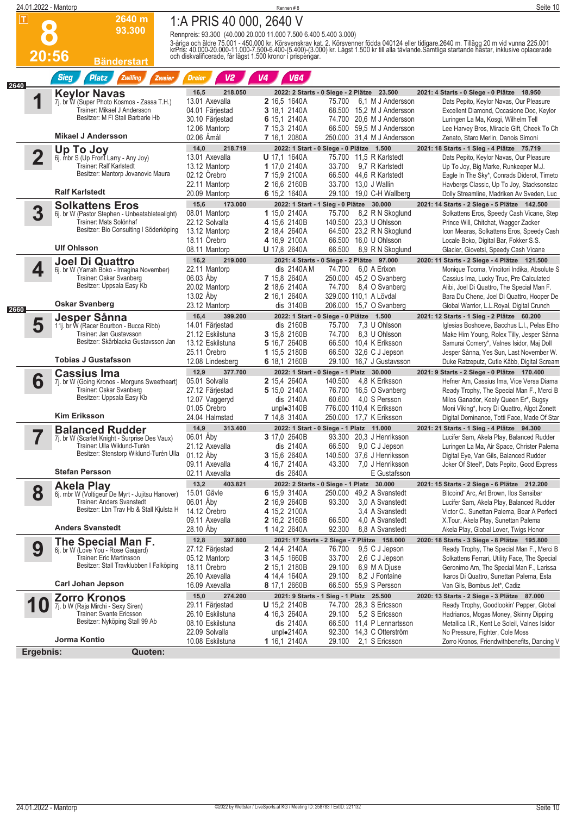|      | 24.01.2022 - Mantorp    |                                                                                                                                                             |                                                                                                         | Rennen#8                                                                                   |                                                                                                                                                                                         | Seite 10                                                                                                                                                                                                                                                           |
|------|-------------------------|-------------------------------------------------------------------------------------------------------------------------------------------------------------|---------------------------------------------------------------------------------------------------------|--------------------------------------------------------------------------------------------|-----------------------------------------------------------------------------------------------------------------------------------------------------------------------------------------|--------------------------------------------------------------------------------------------------------------------------------------------------------------------------------------------------------------------------------------------------------------------|
|      | $\overline{\mathsf{T}}$ | 2640 m<br>93.300                                                                                                                                            | 1:A PRIS 40 000, 2640 V<br>Rennpreis: 93.300 (40.000 20.000 11.000 7.500 6.400 5.400 3.000)             |                                                                                            |                                                                                                                                                                                         |                                                                                                                                                                                                                                                                    |
|      | <u> 20:56</u>           | <b>Bänderstart</b>                                                                                                                                          | och diskvalificerade, får lägst 1.500 kronor i prispengar.                                              |                                                                                            |                                                                                                                                                                                         | 3-åriga och äldre 75.001 - 450.000 kr. Körsvenskrav kat. 2. Körsvenner födda 040124 eller tidigare.2640 m. Tillägg 20 m vid vunna 225.001<br>krPris: 40.000-20.000-11.000-7.500-6.400-(5.400)-(3.000) kr. Lägst 1.500 kr till all                                  |
| 2640 |                         | <b>Sieg</b><br><b>Platz</b><br><b>Zwilling</b><br>Zweier                                                                                                    | <b>Dreier</b><br>V2                                                                                     | V4<br><b>V64</b>                                                                           |                                                                                                                                                                                         |                                                                                                                                                                                                                                                                    |
|      |                         | <b>Keylor Navas</b><br>7j. br W (Super Photo Kosmos - Zassa T.H.)<br>Trainer: Mikael J Andersson<br>Besitzer: M FI Stall Barbarie Hb                        | 16,5<br>218.050<br>13.01 Axevalla<br>04.01 Färjestad<br>30.10 Färjestad                                 | <b>2</b> 16.5 1640A<br>3 18,1 2140A<br>6 15,1 2140A                                        | 2022: 2 Starts - 0 Siege - 2 Plätze 23.500<br>6.1 M J Andersson<br>75.700<br>68.500 15.2 M J Andersson<br>74.700 20.6 M J Andersson                                                     | 2021: 4 Starts - 0 Siege - 0 Plätze 18.950<br>Dats Pepito, Keylor Navas, Our Pleasure<br>Excellent Diamond, Occasione Doc, Keylor<br>Luringen La Ma, Kosgi, Wilhelm Tell                                                                                           |
|      |                         | <b>Mikael J Andersson</b>                                                                                                                                   | 12.06 Mantorp<br>02.06 Åmål                                                                             | 7 15,3 2140A<br>7 16,1 2080A                                                               | 66.500 59.5 M J Andersson<br>250.000 31,4 M J Andersson                                                                                                                                 | Lee Harvey Bros, Miracle Gift, Cheek To Ch<br>Zenato, Staro Merlin, Danois Simoni                                                                                                                                                                                  |
|      | $\overline{\mathbf{2}}$ | Up To Joy<br>6j. mbr S (Up Front Larry - Any Joy)<br>Trainer: Ralf Karlstedt<br>Besitzer: Mantorp Jovanovic Maura<br><b>Ralf Karlstedt</b>                  | 14,0<br>218.719<br>13.01 Axevalla<br>13.12 Mantorp<br>02.12 Örebro<br>22.11 Mantorp                     | <b>U</b> 17,1 1640A<br>1 17,0 2140A<br>7 15,9 2100A<br>2 16,6 2160B                        | 2022: 1 Start - 0 Siege - 0 Plätze 1.500<br>75.700 11,5 R Karlstedt<br>33.700<br>9.7 R Karlstedt<br>66.500 44,6 R Karlstedt<br>33.700 13,0 J Wallin                                     | 2021: 18 Starts - 1 Sieg - 4 Plätze 75.719<br>Dats Pepito, Keylor Navas, Our Pleasure<br>Up To Joy, Big Marke, Runkeeper M.J.<br>Eagle In The Sky*, Conrads Diderot, Timeto<br>Havbergs Classic, Up To Joy, Stacksonstac                                           |
|      |                         | <b>Solkattens Eros</b>                                                                                                                                      | 20.09 Mantorp<br>15,6<br>173.000                                                                        | 6 15,2 1640A                                                                               | 29.100 19,0 C-H Wallberg<br>2022: 1 Start - 1 Sieg - 0 Plätze 30.000                                                                                                                    | Dolly Streamline, Madriken Av Sveden, Luc<br>2021: 14 Starts - 2 Siege - 5 Plätze 142.500                                                                                                                                                                          |
|      | 3                       | 6j. br W (Pastor Stephen - Unbeatabletealight)<br>Trainer: Mats Solönhaf<br>Besitzer: Bio Consulting I Söderköping<br><b>Ulf Ohlsson</b>                    | 08.01 Mantorp<br>22.12 Solvalla<br>13.12 Mantorp<br>18.11 Orebro<br>08.11 Mantorp                       | 1 15.0 2140A<br>4 15,6 2140B<br>2 18,4 2640A<br>4 16,9 2100A<br><b>U</b> 17,8 2640A        | 75.700<br>8,2 R N Skoglund<br>140.500 23,3 U Ohlsson<br>64.500 23,2 R N Skoglund<br>66.500 16,0 U Ohlsson<br>66.500<br>8,9 R N Skoglund                                                 | Solkattens Eros, Speedy Cash Vicane, Step<br>Prince Will, Chitchat, Wagger Zacker<br>Icon Mearas, Solkattens Eros, Speedy Cash<br>Locale Boko, Digital Bar, Fokker S.S.<br>Glacier, Giovetsi, Speedy Cash Vicane                                                   |
|      |                         | <b>Joel Di Quattro</b>                                                                                                                                      | 16,2<br>219.000                                                                                         |                                                                                            | 2021: 4 Starts - 0 Siege - 2 Plätze 97.000                                                                                                                                              | 2020: 11 Starts - 2 Siege - 4 Plätze 121.500                                                                                                                                                                                                                       |
|      | 4                       | 6j. br W (Yarrah Boko - Imagina November)<br>Trainer: Oskar Svanberg<br>Besitzer: Uppsala Easy Kb                                                           | 22.11 Mantorp<br>06.03 Aby<br>20.02 Mantorp<br>13.02 Aby                                                | dis 2140AM<br>7 15,8 2640A<br>2 18,6 2140A<br><b>2</b> 16,1 2640A                          | 74.700<br>6.0 A Erixon<br>250.000 45,2 O Svanberg<br>74.700 8,4 O Svanberg<br>329.000 110,1 A Lövdal                                                                                    | Monique Tooma, Vincitori Indika, Absolute S<br>Cassius Ima, Lucky Truc, Pre Calculated<br>Alibi, Joel Di Quattro, The Special Man F.<br>Bara Du Chene, Joel Di Quattro, Hooper De                                                                                  |
| 2660 |                         | <b>Oskar Svanberg</b>                                                                                                                                       | 23.12 Mantorp                                                                                           | dis 3140B                                                                                  | 206.000 15,7 O Svanberg                                                                                                                                                                 | Global Warrior, L.L.Royal, Digital Crunch                                                                                                                                                                                                                          |
|      | 5                       | Jesper Sånna<br>11j. br W (Racer Bourbon - Bucca Ribb)<br>Trainer: Jan Gustavsson<br>Besitzer: Skärblacka Gustavsson Jan<br><b>Tobias J Gustafsson</b>      | 16,4<br>399.200<br>14.01 Färjestad<br>21.12 Eskilstuna<br>13.12 Eskilstuna<br>25.11 Örebro              | dis 2160B<br>3 15,8 2160B<br>5 16,7 2640B<br>1 15,5 2180B                                  | 2022: 1 Start - 0 Siege - 0 Plätze 1.500<br>75.700<br>7.3 U Ohlsson<br>74.700<br>8.3 U Ohlsson<br>66.500 10,4 K Eriksson<br>66.500<br>32,6 C J Jepson                                   | 2021: 12 Starts - 1 Sieg - 2 Plätze 60.200<br>Iglesias Boshoeve, Bacchus L.I., Pelas Etho<br>Make Him Young, Rolex Tilly, Jesper Sånna<br>Samurai Comery*, Valnes Isidor, Maj Doll<br>Jesper Sånna, Yes Sun, Last November W.                                      |
|      |                         | <b>Cassius Ima</b>                                                                                                                                          | 12.08 Lindesberg<br>12,9<br>377.700                                                                     | 6 18,1 2160B                                                                               | 29.100<br>16,7 J Gustavsson<br>2022: 1 Start - 0 Siege - 1 Platz 30.000                                                                                                                 | Duke Ratzeputz, Cutie Käbb, Digital Scream<br>2021: 9 Starts - 2 Siege - 0 Plätze 170.400                                                                                                                                                                          |
|      | 6                       | 7j. br W (Going Kronos - Morguns Sweetheart)<br>Trainer: Oskar Svanberg<br>Besitzer: Uppsala Easy Kb<br><b>Kim Eriksson</b>                                 | 05.01 Solvalla<br>27.12 Färjestad<br>12.07 Vaggeryd<br>01.05 Örebro<br>24.04 Halmstad                   | 2 15,4 2640A<br>5 15,0 2140A<br>dis 2140A<br>unplo3140B<br>7 14,8 3140A                    | 140.500<br>4.8 K Eriksson<br>76.700 16,5 O Svanberg<br>60.600<br>4.0 S Persson<br>776.000 110,4 K Eriksson<br>250,000 17.7 K Eriksson                                                   | Hefner Am, Cassius Ima, Vice Versa Diama<br>Ready Trophy, The Special Man F., Merci B<br>Milos Ganador, Keely Queen Er*, Bugsy<br>Moni Viking*, Ivory Di Quattro, Algot Zonett<br>Digital Dominance, Totti Face, Made Of Star                                      |
|      |                         | <b>Balanced Rudder</b>                                                                                                                                      | 14,9<br>313.400                                                                                         |                                                                                            | 2022: 1 Start - 0 Siege - 1 Platz 11.000                                                                                                                                                | 2021: 21 Starts - 1 Sieg - 4 Plätze 94.300                                                                                                                                                                                                                         |
|      | T۳<br>I                 | 7j. br W (Scarlet Knight - Surprise Des Vaux)<br>Trainer: Ulla Wiklund-Turén<br>Besitzer: Stenstorp Wiklund-Turén Ulla<br><b>Stefan Persson</b>             | 06.01 Aby<br>21.12 Axevalla<br>01.12 Aby<br>09.11 Axevalla<br>02.11 Axevalla                            | 3 17,0 2640B<br>dis 2140A<br>3 15,6 2640A<br>4 16,7 2140A<br>dis 2640A                     | 93.300 20,3 J Henriksson<br>9,0 C J Jepson<br>66.500<br>140.500 37,6 J Henriksson<br>43.300<br>7,0 J Henriksson<br>E Gustafsson                                                         | Lucifer Sam, Akela Play, Balanced Rudder<br>Luringen La Ma, Air Space, Christer Palema<br>Digital Eye, Van Gils, Balanced Rudder<br>Joker Of Steel*, Dats Pepito, Good Express                                                                                     |
|      |                         | <b>Akela Play</b>                                                                                                                                           | 13,2<br>403.821                                                                                         |                                                                                            | 2022: 2 Starts - 0 Siege - 1 Platz 30.000                                                                                                                                               | 2021: 15 Starts - 2 Siege - 6 Plätze 212.200                                                                                                                                                                                                                       |
|      | 8                       | 6j. mbr W (Voltigeur De Myrt - Jujitsu Hanover)<br>Trainer: Anders Svanstedt<br>Besitzer: Lbn Trav Hb & Stall Kjulsta H                                     | 15.01 Gävle<br>06.01 Aby<br>14.12 Örebro<br>09.11 Axevalla                                              | 6 15,9 3140A<br>2 16,9 2640B<br>4 15,2 2100A<br>2 16,2 2160B                               | 250,000 49.2 A Svanstedt<br>3.0 A Svanstedt<br>93.300<br>3.4 A Svanstedt<br>66.500<br>4,0 A Svanstedt                                                                                   | Bitcoind' Arc, Art Brown, Ilos Sansibar<br>Lucifer Sam, Akela Play, Balanced Rudder<br>Victor C., Sunettan Palema, Bear A Perfecti<br>X. Tour, Akela Play, Sunettan Palema                                                                                         |
|      |                         | <b>Anders Svanstedt</b>                                                                                                                                     | 28.10 Aby                                                                                               | 1 14,2 2640A                                                                               | 92.300<br>8.8 A Svanstedt                                                                                                                                                               | Akela Play, Global Lover, Twigs Honor                                                                                                                                                                                                                              |
|      | 9                       | The Special Man F.<br>6j. br W (Love You - Rose Gaujard)<br>Trainer: Eric Martinsson<br>Besitzer: Stall Travklubben I Falköping<br><b>Carl Johan Jepson</b> | 12,8<br>397.800<br>27.12 Färjestad<br>05.12 Mantorp<br>18.11 Orebro<br>26.10 Axevalla<br>16.09 Axevalla | <b>2</b> 14,4 2140A<br>3 14,5 1660B<br><b>2</b> 15,1 2180B<br>4 14,4 1640A<br>8 17,1 2660B | 2021: 17 Starts - 2 Siege - 7 Plätze 158.000<br>76.700<br>9,5 C J Jepson<br>33.700<br>2,6 C J Jepson<br>29.100<br>6,9 M A Djuse<br>8,2 J Fontaine<br>29.100<br>66.500<br>55,9 S Persson | 2020: 18 Starts - 3 Siege - 8 Plätze 195.800<br>Ready Trophy, The Special Man F., Merci B<br>Solkattens Ferrari, Utility Face, The Special<br>Geronimo Am, The Special Man F., Larissa<br>Ikaros Di Quattro, Sunettan Palema, Esta<br>Van Gils, Bombus Jet*, Cadiz |
|      |                         | <b>Zorro Kronos</b>                                                                                                                                         | 15,0<br>274.200                                                                                         |                                                                                            | 2021: 9 Starts - 1 Sieg - 1 Platz 25.500                                                                                                                                                | 2020: 13 Starts - 2 Siege - 3 Plätze 87.000                                                                                                                                                                                                                        |
|      |                         | 7j. b W (Raja Mirchi - Sexy Siren)<br>Trainer: Svante Ericsson<br>Besitzer: Nyköping Stall 99 Ab                                                            | 29.11 Färjestad<br>26.10 Eskilstuna<br>08.10 Eskilstuna<br>22.09 Solvalla                               | <b>U</b> 15,2 2140B<br>4 16,3 2640A<br>dis 2140A<br>unplo2140A                             | 74.700 28,3 S Ericsson<br>5.2 S Ericsson<br>29.100<br>66.500 11,4 P Lennartsson<br>92.300 14,3 C Otterström                                                                             | Ready Trophy, Goodlookin' Pepper, Global<br>Hadrianos, Mogas Money, Skinny Dipping<br>Metallica I.R., Kent Le Soleil, Valnes Isidor<br>No Pressure, Fighter, Cole Moss                                                                                             |
|      |                         | Jorma Kontio                                                                                                                                                | 10.08 Eskilstuna                                                                                        | 1 16,1 2140A                                                                               | 2,1 S Ericsson<br>29.100                                                                                                                                                                | Zorro Kronos, Friendwithbenefits, Dancing V                                                                                                                                                                                                                        |
|      | Ergebnis:               | Quoten:                                                                                                                                                     |                                                                                                         |                                                                                            |                                                                                                                                                                                         |                                                                                                                                                                                                                                                                    |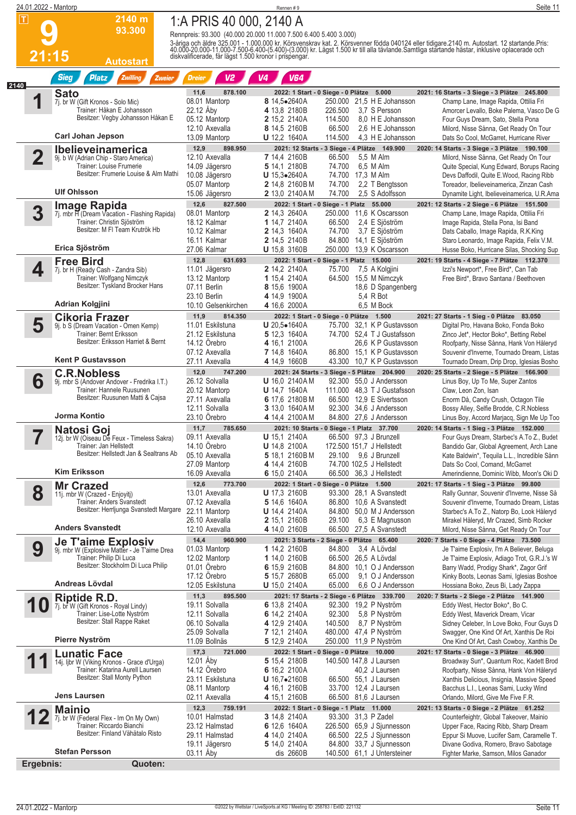| $ \mathsf{T} $<br>2140 m<br>1:A PRIS 40 000, 2140 A<br>93.300<br>Rennpreis: 93.300 (40.000 20.000 11.000 7.500 6.400 5.400 3.000)<br>3-åriga och äldre 325.001 - 1.000.000 kr. Körsvenskrav kat. 2. Körsvenner födda 040124 eller tidigare 2140 m. Autostart. 12 startande Pris:<br>40.000-20.000-11.000-7.500-6.400-(5.400)-(3.000) kr. Lägst 1.500 kr till alla tävl<br>21:15<br>diskvalificerade, får lägst 1.500 kronor i prispengar.<br><b>Autostart</b><br><b>Sieg</b><br><b>Zwilling</b><br>V <sub>2</sub><br><b>V64</b><br><b>Platz</b><br>Zweier<br><b>Dreier</b><br>V4<br>2140<br><b>Sato</b><br>878.100<br>2022: 1 Start - 0 Siege - 0 Plätze 5.000<br>2021: 16 Starts - 3 Siege - 3 Plätze 245.800<br>11,6<br>◀<br>08.01 Mantorp<br>8 14,5•2640A<br>250.000 21,5 H E Johansson<br>Champ Lane, Image Rapida, Ottilia Fri<br>7j. br W (Gift Kronos - Solo Mic)<br>Trainer: Håkan E Johansson<br>22.12 Åby<br>3.7 S Persson<br>4 13,8 2180B<br>226.500<br>Amorcer Levallo, Boke Palema, Vasco De G<br>Besitzer: Vegby Johansson Håkan E<br>05.12 Mantorp<br>8.0 H E Johansson<br><b>2</b> 15,2 2140A<br>114.500<br>Four Guys Dream, Sato, Stella Pona<br>12.10 Axevalla<br>8 14,5 2160B<br>66.500<br>2.6 H E Johansson<br><b>Carl Johan Jepson</b><br><b>U</b> 12,2 1640A<br>114.500<br>4.3 H E Johansson<br>13.09 Mantorp<br>Dats So Cool, McGarret, Hurricane River<br>2020: 14 Starts - 3 Siege - 3 Plätze 190.100<br>12,9<br>898.950<br>2021: 12 Starts - 3 Siege - 4 Plätze 149.900<br><b>Ibelieveinamerica</b><br>$\overline{\mathbf{2}}$<br>12.10 Axevalla<br>7 14,4 2160B<br>66.500<br>5.5 M Alm<br>Milord, Nisse Sånna, Get Ready On Tour<br>9j. b W (Adrian Chip - Staro America)<br>Trainer: Louise Frumerie<br>14.09 Jägersro<br>5 14,1 2180B<br>74.700<br>6,5 M Alm<br>Quite Special, Kung Edward, Borups Racing<br>Besitzer: Frumerie Louise & Alm Mathi<br>10.08 Jägersro<br>$U$ 15,3 $\bullet$ 2640A<br>74.700 17,3 M Alm<br>05.07 Mantorp<br>2 14,8 2160BM<br>74.700<br>2,2 T Bengtsson<br><b>Ulf Ohlsson</b><br>74.700<br>2.5 S Adolfsson<br>15.06 Jägersro<br><b>2</b> 13,0 2140AM<br>12,6<br>2022: 1 Start - 0 Siege - 1 Platz 55.000<br>827.500<br>2021: 12 Starts - 2 Siege - 6 Plätze 151.500<br><b>Image Rapida</b><br>3<br>08.01 Mantorp<br>2 14,3 2640A<br>250.000 11,6 K Oscarsson<br>7j. mbr H (Dream Vacation - Flashing Rapida)<br>Champ Lane, Image Rapida, Ottilia Fri<br>Trainer: Christin Sjöström<br>18.12 Kalmar<br>1 14,7 2140A<br>66.500<br>2,4 E Sjöström<br>Image Rapida, Stella Pona, Isi Band<br>Besitzer: M FI Team Krutrök Hb<br>10.12 Kalmar<br>74.700<br>3.7 E Sjöström<br>2 14.3 1640A<br>Dats Caballo, Image Rapida, R.K.King<br>16.11 Kalmar<br>84.800<br>14,1 E Sjöström<br><b>2</b> 14,5 2140B<br>Erica Sjöström<br>27.06 Kalmar<br><b>U</b> 15,8 3160B<br>250,000<br>13,9 K Oscarsson<br>12,8<br>2022: 1 Start - 0 Siege - 1 Platz 15.000<br>631.693<br><b>Free Bird</b><br>4<br>11.01 Jägersro<br>2 14.2 2140A<br>7,5 A Kolgjini<br>75.700<br>Izzi's Newport*, Free Bird*, Can Tab<br>7j. br H (Ready Cash - Zandra Sib)<br>Trainer: Wolfgang Nimczyk<br>13.12 Mantorp<br>1 15,4 2140A<br>64.500 15,5 M Nimczyk<br>Free Bird*, Bravo Santana / Beethoven<br>Besitzer: Tyskland Brocker Hans<br>07.11 Berlin<br>8 15,6 1900A<br>18,6 D Spangenberg<br>5,4 R Bot<br>23.10 Berlin<br>4 14,9 1900A<br>Adrian Kolgjini<br>10.10 Gelsenkirchen<br>4 16,6 2000A<br>6.5 M Bock<br><b>Cikoria Frazer</b><br>11,9<br>814.350<br>2022: 1 Start - 0 Siege - 0 Plätze 1.500<br>2021: 27 Starts - 1 Sieg - 0 Plätze 83.050<br>5<br>11.01 Eskilstuna<br>$U 20,5 \bullet 1640A$<br>32.1 K P Gustavsson<br>75.700<br>Digital Pro, Havana Boko, Fonda Boko<br>9j. b S (Dream Vacation - Omen Kemp)<br>Trainer: Bernt Eriksson<br>21.12 Eskilstuna<br>5 12,3 1640A<br>74.700 52,4 T J Gustafsson<br>Zinco Jet*, Hector Boko*, Betting Rebel<br>Besitzer: Eriksson Harriet & Bernt<br>14.12 Örebro<br>4 16,1 2100A<br>26.6 K P Gustavsson<br>07.12 Axevalla<br>7 14,8 1640A<br>15.1 K P Gustavsson<br>86.800<br><b>Kent P Gustavsson</b><br>27.11 Axevalla<br>4 14,9 1660B<br>43.300<br>10.7 K P Gustavsson<br>2021: 24 Starts - 3 Siege - 5 Plätze 204.900<br>12,0<br>747.200<br>2020: 25 Starts - 2 Siege - 5 Plätze 166.900<br><b>C.R.Nobless</b><br>6<br>26.12 Solvalla<br>92.300 55,0 J Andersson<br><b>U</b> 16,0 2140AM<br>Linus Boy, Up To Me, Super Zantos<br>9j. mbr S (Andover Andover - Fredrika I.T.)<br>Trainer: Hannele Ruusunen<br>20.12 Mantorp<br><b>U</b> 14,7 1640A<br>111.000<br>48.3 T J Gustafsson<br>Claw, Leon Zon, Isan<br>Besitzer: Ruusunen Matti & Cajsa<br>27.11 Axevalla<br>6 17,6 2180BM<br>66.500 12.9 E Sivertsson<br>12.11 Solvalla<br>3 13.0 1640AM<br>92.300<br>34,6 J Andersson<br>Jorma Kontio<br>23.10 Örebro<br>4 14,4 2100 A M<br>84.800 27,6 J Andersson<br>2021: 10 Starts - 0 Siege - 1 Platz 37.700<br>2020: 14 Starts - 1 Sieg - 3 Plätze 152.000<br>11,7<br>785.650<br><b>Natosi Goj</b><br>7<br>09.11 Axevalla<br>66.500 97,3 J Brunzell<br>U 15,1 2140A<br>12j. br W (Oiseau De Feux - Timeless Sakra)<br>Four Guys Dream, Starbec's A.To Z., Budet<br>I<br>14.10 Orebro<br>Trainer: Jan Hellstedt<br><b>U</b> 14,8 2100A<br>172.500 151,7 J Hellstedt<br>Bandido Gar, Global Agreement, Arch Lane<br>Besitzer: Hellstedt Jan & Sealtrans Ab<br>05.10 Axevalla<br>5 18.1 2160BM<br>9,6 J Brunzell<br>29.100<br>74.700 102,5 J Hellstedt<br>27.09 Mantorp<br>4 14,4 2160B<br>Dats So Cool, Comand, McGarret<br><b>Kim Eriksson</b><br>16.09 Axevalla<br>6 15,0 2140A<br>66.500 36,3 J Hellstedt<br>12,6<br>773.700<br>2022: 1 Start - 0 Siege - 0 Plätze 1.500<br>2021: 17 Starts - 1 Sieg - 3 Plätze 99.800<br><b>Mr Crazed</b><br>8<br>13.01 Axevalla<br><b>U</b> 17,3 2160B<br>93.300 28,1 A Svanstedt<br>Rally Gunnar, Souvenir d'Inverne, Nisse Så<br>11j. mbr W (Crazed - Enjoyitj)<br>Trainer: Anders Svanstedt<br>07.12 Axevalla<br>5 14,6 1640A<br>86.800 10,6 A Svanstedt<br>Souvenir d'Inverne, Tournado Dream, Listas<br>Besitzer: Herrljunga Svanstedt Margare<br>22.11 Mantorp<br><b>U</b> 14,4 2140A<br>84.800<br>50,0 M J Andersson<br>26.10 Axevalla<br>2 15,1 2160B<br>29.100<br>6,3 E Magnusson<br><b>Anders Svanstedt</b><br>12.10 Axevalla<br>4 14,0 2160B<br>66.500<br>27,5 A Svanstedt<br>Milord, Nisse Sånna, Get Ready On Tour<br>14,4<br>960.900<br>2021: 3 Starts - 2 Siege - 0 Plätze 65.400<br>2020: 7 Starts - 0 Siege - 4 Plätze 73.500<br>Je T'aime Explosiv<br>9<br>01.03 Mantorp<br>1 14,2 2160B<br>84.800<br>3,4 A Lövdal<br>Je T'aime Explosiv, I'm A Believer, Beluga<br>9j. mbr W (Explosive Matter - Je T'aime Drea<br>Trainer: Philip Di Luca<br>12.02 Mantorp<br>1 14,0 2160B<br>66.500<br>26,5 A Lövdal<br>Besitzer: Stockholm Di Luca Philip<br>01.01 Orebro<br>6 15,9 2160B<br>10,1 O J Andersson<br>84.800<br>17.12 Örebro<br>65.000<br>5 15,7 2680B<br>9.1 O J Andersson<br>Andreas Lövdal<br>12.05 Eskilstuna<br>65.000<br><b>U</b> 15,0 2140A<br>6,6 O J Andersson<br>Hossiana Boko, Zeus Bi, Lady Zappa<br>11,3<br>2021: 17 Starts - 2 Siege - 6 Plätze 339.700<br>2020: 7 Starts - 2 Siege - 2 Plätze 141.900<br>895.500<br>Riptide R.D.<br>10<br>19.11 Solvalla<br>6 13,8 2140A<br>92.300 19,2 P Nyström<br>7j. br W (Gift Kronos - Royal Lindy)<br>Eddy West, Hector Boko*, Bo C.<br>Trainer: Lise-Lotte Nyström<br>12.11 Solvalla<br>92.300<br>6 14,2 2140A<br>5,8 P Nyström<br>Eddy West, Maverick Dream, Vicar<br>Besitzer: Stall Rappe Raket<br>06.10 Solvalla<br>4 12,9 2140A<br>140.500<br>8,7 P Nyström<br>25.09 Solvalla<br><b>7</b> 12,1 2140A<br>480.000 47,4 P Nyström<br>Pierre Nyström<br>11.09 Bollnäs<br>5 12,9 2140A<br>250.000 11,9 P Nyström<br>17,3<br>721.000<br>2022: 1 Start - 0 Siege - 0 Plätze 10.000<br>2021: 17 Starts - 0 Siege - 3 Plätze 46.900<br><b>Lunatic Face</b><br>12.01 Åby<br>5 15,4 2180B<br>140.500 147,8 J Laursen<br>14j. ljbr W (Viking Kronos - Grace d'Urga)<br>Broadway Sun*, Quantum Roc, Kadett Brod<br>Trainer: Katarina Aurell Laursen<br>14.12 Orebro<br>6 16,2 2100A<br>40,2 J Laursen<br>Besitzer: Stall Monty Python<br>23.11 Eskilstuna<br><b>U</b> 16,7 $\bullet$ 2160B<br>66.500 55,1 J Laursen<br>08.11 Mantorp<br>4 16,1 2160B<br>33.700 12,4 J Laursen<br><b>Jens Laursen</b><br>02.11 Axevalla<br>4 15,1 2160B<br>66.500 81,6 J Laursen<br>Orlando, Milord, Give Me Five F.R.<br>2022: 1 Start - 0 Siege - 1 Platz 11.000<br>12,3<br>759.191<br>2021: 13 Starts - 0 Siege - 2 Plätze 61.252<br><b>Mainio</b><br>10.01 Halmstad<br><b>3</b> 14,8 2140A<br>93.300 31,3 P Zadel<br>7j. br W (Federal Flex - Im On My Own)<br>Counterfeightr, Global Takeover, Mainio<br>Trainer: Riccardo Bianchi<br>23.12 Halmstad<br>6 12,6 1640A<br>226.500 65,9 J Sjunnesson<br>Upper Face, Racing Ribb, Sharp Dream<br>Besitzer: Finland Vähätalo Risto<br>29.11 Halmstad<br>66.500 22,5 J Sjunnesson<br>4 14,0 2140A<br>19.11 Jägersro<br>5 14,0 2140A<br>84.800<br>33,7 J Sjunnesson<br><b>Stefan Persson</b><br>03.11 Aby<br>dis 2660B<br>140.500 61,1 J Untersteiner | 24.01.2022 - Mantorp |  | Rennen #9 | Seite 11                                     |
|-------------------------------------------------------------------------------------------------------------------------------------------------------------------------------------------------------------------------------------------------------------------------------------------------------------------------------------------------------------------------------------------------------------------------------------------------------------------------------------------------------------------------------------------------------------------------------------------------------------------------------------------------------------------------------------------------------------------------------------------------------------------------------------------------------------------------------------------------------------------------------------------------------------------------------------------------------------------------------------------------------------------------------------------------------------------------------------------------------------------------------------------------------------------------------------------------------------------------------------------------------------------------------------------------------------------------------------------------------------------------------------------------------------------------------------------------------------------------------------------------------------------------------------------------------------------------------------------------------------------------------------------------------------------------------------------------------------------------------------------------------------------------------------------------------------------------------------------------------------------------------------------------------------------------------------------------------------------------------------------------------------------------------------------------------------------------------------------------------------------------------------------------------------------------------------------------------------------------------------------------------------------------------------------------------------------------------------------------------------------------------------------------------------------------------------------------------------------------------------------------------------------------------------------------------------------------------------------------------------------------------------------------------------------------------------------------------------------------------------------------------------------------------------------------------------------------------------------------------------------------------------------------------------------------------------------------------------------------------------------------------------------------------------------------------------------------------------------------------------------------------------------------------------------------------------------------------------------------------------------------------------------------------------------------------------------------------------------------------------------------------------------------------------------------------------------------------------------------------------------------------------------------------------------------------------------------------------------------------------------------------------------------------------------------------------------------------------------------------------------------------------------------------------------------------------------------------------------------------------------------------------------------------------------------------------------------------------------------------------------------------------------------------------------------------------------------------------------------------------------------------------------------------------------------------------------------------------------------------------------------------------------------------------------------------------------------------------------------------------------------------------------------------------------------------------------------------------------------------------------------------------------------------------------------------------------------------------------------------------------------------------------------------------------------------------------------------------------------------------------------------------------------------------------------------------------------------------------------------------------------------------------------------------------------------------------------------------------------------------------------------------------------------------------------------------------------------------------------------------------------------------------------------------------------------------------------------------------------------------------------------------------------------------------------------------------------------------------------------------------------------------------------------------------------------------------------------------------------------------------------------------------------------------------------------------------------------------------------------------------------------------------------------------------------------------------------------------------------------------------------------------------------------------------------------------------------------------------------------------------------------------------------------------------------------------------------------------------------------------------------------------------------------------------------------------------------------------------------------------------------------------------------------------------------------------------------------------------------------------------------------------------------------------------------------------------------------------------------------------------------------------------------------------------------------------------------------------------------------------------------------------------------------------------------------------------------------------------------------------------------------------------------------------------------------------------------------------------------------------------------------------------------------------------------------------------------------------------------------------------------------------------------------------------------------------------------------------------------------------------------------------------------------------------------------------------------------------------------------------------------------------------------------------------------------------------------------------------------------------------------------------------------------------------------------------------------------------------------------------------------------------------------------------------------------------------------------------------------------------------------------------------------------------------------------------------------------------------------------------------------------------------------------------------------------------------------------------------------------------------------------------------------------------------------------------------------------------------------------------------------------------------------------------------------------------------------------------------------------------------------------------------------------------------------------------------------------------------------------------------------------------------------------------------------------------------------------------------------------------------------------------------------------------------------------------------------------------------------------------------------------------------------------------------------------------------------------------------------------------------------------------------------------------------------------------------------------------------------------------------------------------------------------------------------------------------------------------------------------------------------------------------------------------------------------------------------------------------------------------------------------------------------------------------------------------------------------------------------------------------------------------------------------------------------------------------------|----------------------|--|-----------|----------------------------------------------|
|                                                                                                                                                                                                                                                                                                                                                                                                                                                                                                                                                                                                                                                                                                                                                                                                                                                                                                                                                                                                                                                                                                                                                                                                                                                                                                                                                                                                                                                                                                                                                                                                                                                                                                                                                                                                                                                                                                                                                                                                                                                                                                                                                                                                                                                                                                                                                                                                                                                                                                                                                                                                                                                                                                                                                                                                                                                                                                                                                                                                                                                                                                                                                                                                                                                                                                                                                                                                                                                                                                                                                                                                                                                                                                                                                                                                                                                                                                                                                                                                                                                                                                                                                                                                                                                                                                                                                                                                                                                                                                                                                                                                                                                                                                                                                                                                                                                                                                                                                                                                                                                                                                                                                                                                                                                                                                                                                                                                                                                                                                                                                                                                                                                                                                                                                                                                                                                                                                                                                                                                                                                                                                                                                                                                                                                                                                                                                                                                                                                                                                                                                                                                                                                                                                                                                                                                                                                                                                                                                                                                                                                                                                                                                                                                                                                                                                                                                                                                                                                                                                                                                                                                                                                                                                                                                                                                                                                                                                                                                                                                                                                                                                                                                                                                                                                                                                                                                                                                                                                                                                                                                                                                                                                                                                                                                                                                                                                                                                                                                                                                                                                                         |                      |  |           |                                              |
|                                                                                                                                                                                                                                                                                                                                                                                                                                                                                                                                                                                                                                                                                                                                                                                                                                                                                                                                                                                                                                                                                                                                                                                                                                                                                                                                                                                                                                                                                                                                                                                                                                                                                                                                                                                                                                                                                                                                                                                                                                                                                                                                                                                                                                                                                                                                                                                                                                                                                                                                                                                                                                                                                                                                                                                                                                                                                                                                                                                                                                                                                                                                                                                                                                                                                                                                                                                                                                                                                                                                                                                                                                                                                                                                                                                                                                                                                                                                                                                                                                                                                                                                                                                                                                                                                                                                                                                                                                                                                                                                                                                                                                                                                                                                                                                                                                                                                                                                                                                                                                                                                                                                                                                                                                                                                                                                                                                                                                                                                                                                                                                                                                                                                                                                                                                                                                                                                                                                                                                                                                                                                                                                                                                                                                                                                                                                                                                                                                                                                                                                                                                                                                                                                                                                                                                                                                                                                                                                                                                                                                                                                                                                                                                                                                                                                                                                                                                                                                                                                                                                                                                                                                                                                                                                                                                                                                                                                                                                                                                                                                                                                                                                                                                                                                                                                                                                                                                                                                                                                                                                                                                                                                                                                                                                                                                                                                                                                                                                                                                                                                                                         |                      |  |           |                                              |
|                                                                                                                                                                                                                                                                                                                                                                                                                                                                                                                                                                                                                                                                                                                                                                                                                                                                                                                                                                                                                                                                                                                                                                                                                                                                                                                                                                                                                                                                                                                                                                                                                                                                                                                                                                                                                                                                                                                                                                                                                                                                                                                                                                                                                                                                                                                                                                                                                                                                                                                                                                                                                                                                                                                                                                                                                                                                                                                                                                                                                                                                                                                                                                                                                                                                                                                                                                                                                                                                                                                                                                                                                                                                                                                                                                                                                                                                                                                                                                                                                                                                                                                                                                                                                                                                                                                                                                                                                                                                                                                                                                                                                                                                                                                                                                                                                                                                                                                                                                                                                                                                                                                                                                                                                                                                                                                                                                                                                                                                                                                                                                                                                                                                                                                                                                                                                                                                                                                                                                                                                                                                                                                                                                                                                                                                                                                                                                                                                                                                                                                                                                                                                                                                                                                                                                                                                                                                                                                                                                                                                                                                                                                                                                                                                                                                                                                                                                                                                                                                                                                                                                                                                                                                                                                                                                                                                                                                                                                                                                                                                                                                                                                                                                                                                                                                                                                                                                                                                                                                                                                                                                                                                                                                                                                                                                                                                                                                                                                                                                                                                                                                         |                      |  |           |                                              |
|                                                                                                                                                                                                                                                                                                                                                                                                                                                                                                                                                                                                                                                                                                                                                                                                                                                                                                                                                                                                                                                                                                                                                                                                                                                                                                                                                                                                                                                                                                                                                                                                                                                                                                                                                                                                                                                                                                                                                                                                                                                                                                                                                                                                                                                                                                                                                                                                                                                                                                                                                                                                                                                                                                                                                                                                                                                                                                                                                                                                                                                                                                                                                                                                                                                                                                                                                                                                                                                                                                                                                                                                                                                                                                                                                                                                                                                                                                                                                                                                                                                                                                                                                                                                                                                                                                                                                                                                                                                                                                                                                                                                                                                                                                                                                                                                                                                                                                                                                                                                                                                                                                                                                                                                                                                                                                                                                                                                                                                                                                                                                                                                                                                                                                                                                                                                                                                                                                                                                                                                                                                                                                                                                                                                                                                                                                                                                                                                                                                                                                                                                                                                                                                                                                                                                                                                                                                                                                                                                                                                                                                                                                                                                                                                                                                                                                                                                                                                                                                                                                                                                                                                                                                                                                                                                                                                                                                                                                                                                                                                                                                                                                                                                                                                                                                                                                                                                                                                                                                                                                                                                                                                                                                                                                                                                                                                                                                                                                                                                                                                                                                                         |                      |  |           |                                              |
|                                                                                                                                                                                                                                                                                                                                                                                                                                                                                                                                                                                                                                                                                                                                                                                                                                                                                                                                                                                                                                                                                                                                                                                                                                                                                                                                                                                                                                                                                                                                                                                                                                                                                                                                                                                                                                                                                                                                                                                                                                                                                                                                                                                                                                                                                                                                                                                                                                                                                                                                                                                                                                                                                                                                                                                                                                                                                                                                                                                                                                                                                                                                                                                                                                                                                                                                                                                                                                                                                                                                                                                                                                                                                                                                                                                                                                                                                                                                                                                                                                                                                                                                                                                                                                                                                                                                                                                                                                                                                                                                                                                                                                                                                                                                                                                                                                                                                                                                                                                                                                                                                                                                                                                                                                                                                                                                                                                                                                                                                                                                                                                                                                                                                                                                                                                                                                                                                                                                                                                                                                                                                                                                                                                                                                                                                                                                                                                                                                                                                                                                                                                                                                                                                                                                                                                                                                                                                                                                                                                                                                                                                                                                                                                                                                                                                                                                                                                                                                                                                                                                                                                                                                                                                                                                                                                                                                                                                                                                                                                                                                                                                                                                                                                                                                                                                                                                                                                                                                                                                                                                                                                                                                                                                                                                                                                                                                                                                                                                                                                                                                                                         |                      |  |           |                                              |
|                                                                                                                                                                                                                                                                                                                                                                                                                                                                                                                                                                                                                                                                                                                                                                                                                                                                                                                                                                                                                                                                                                                                                                                                                                                                                                                                                                                                                                                                                                                                                                                                                                                                                                                                                                                                                                                                                                                                                                                                                                                                                                                                                                                                                                                                                                                                                                                                                                                                                                                                                                                                                                                                                                                                                                                                                                                                                                                                                                                                                                                                                                                                                                                                                                                                                                                                                                                                                                                                                                                                                                                                                                                                                                                                                                                                                                                                                                                                                                                                                                                                                                                                                                                                                                                                                                                                                                                                                                                                                                                                                                                                                                                                                                                                                                                                                                                                                                                                                                                                                                                                                                                                                                                                                                                                                                                                                                                                                                                                                                                                                                                                                                                                                                                                                                                                                                                                                                                                                                                                                                                                                                                                                                                                                                                                                                                                                                                                                                                                                                                                                                                                                                                                                                                                                                                                                                                                                                                                                                                                                                                                                                                                                                                                                                                                                                                                                                                                                                                                                                                                                                                                                                                                                                                                                                                                                                                                                                                                                                                                                                                                                                                                                                                                                                                                                                                                                                                                                                                                                                                                                                                                                                                                                                                                                                                                                                                                                                                                                                                                                                                                         |                      |  |           |                                              |
|                                                                                                                                                                                                                                                                                                                                                                                                                                                                                                                                                                                                                                                                                                                                                                                                                                                                                                                                                                                                                                                                                                                                                                                                                                                                                                                                                                                                                                                                                                                                                                                                                                                                                                                                                                                                                                                                                                                                                                                                                                                                                                                                                                                                                                                                                                                                                                                                                                                                                                                                                                                                                                                                                                                                                                                                                                                                                                                                                                                                                                                                                                                                                                                                                                                                                                                                                                                                                                                                                                                                                                                                                                                                                                                                                                                                                                                                                                                                                                                                                                                                                                                                                                                                                                                                                                                                                                                                                                                                                                                                                                                                                                                                                                                                                                                                                                                                                                                                                                                                                                                                                                                                                                                                                                                                                                                                                                                                                                                                                                                                                                                                                                                                                                                                                                                                                                                                                                                                                                                                                                                                                                                                                                                                                                                                                                                                                                                                                                                                                                                                                                                                                                                                                                                                                                                                                                                                                                                                                                                                                                                                                                                                                                                                                                                                                                                                                                                                                                                                                                                                                                                                                                                                                                                                                                                                                                                                                                                                                                                                                                                                                                                                                                                                                                                                                                                                                                                                                                                                                                                                                                                                                                                                                                                                                                                                                                                                                                                                                                                                                                                                         |                      |  |           |                                              |
|                                                                                                                                                                                                                                                                                                                                                                                                                                                                                                                                                                                                                                                                                                                                                                                                                                                                                                                                                                                                                                                                                                                                                                                                                                                                                                                                                                                                                                                                                                                                                                                                                                                                                                                                                                                                                                                                                                                                                                                                                                                                                                                                                                                                                                                                                                                                                                                                                                                                                                                                                                                                                                                                                                                                                                                                                                                                                                                                                                                                                                                                                                                                                                                                                                                                                                                                                                                                                                                                                                                                                                                                                                                                                                                                                                                                                                                                                                                                                                                                                                                                                                                                                                                                                                                                                                                                                                                                                                                                                                                                                                                                                                                                                                                                                                                                                                                                                                                                                                                                                                                                                                                                                                                                                                                                                                                                                                                                                                                                                                                                                                                                                                                                                                                                                                                                                                                                                                                                                                                                                                                                                                                                                                                                                                                                                                                                                                                                                                                                                                                                                                                                                                                                                                                                                                                                                                                                                                                                                                                                                                                                                                                                                                                                                                                                                                                                                                                                                                                                                                                                                                                                                                                                                                                                                                                                                                                                                                                                                                                                                                                                                                                                                                                                                                                                                                                                                                                                                                                                                                                                                                                                                                                                                                                                                                                                                                                                                                                                                                                                                                                                         |                      |  |           |                                              |
|                                                                                                                                                                                                                                                                                                                                                                                                                                                                                                                                                                                                                                                                                                                                                                                                                                                                                                                                                                                                                                                                                                                                                                                                                                                                                                                                                                                                                                                                                                                                                                                                                                                                                                                                                                                                                                                                                                                                                                                                                                                                                                                                                                                                                                                                                                                                                                                                                                                                                                                                                                                                                                                                                                                                                                                                                                                                                                                                                                                                                                                                                                                                                                                                                                                                                                                                                                                                                                                                                                                                                                                                                                                                                                                                                                                                                                                                                                                                                                                                                                                                                                                                                                                                                                                                                                                                                                                                                                                                                                                                                                                                                                                                                                                                                                                                                                                                                                                                                                                                                                                                                                                                                                                                                                                                                                                                                                                                                                                                                                                                                                                                                                                                                                                                                                                                                                                                                                                                                                                                                                                                                                                                                                                                                                                                                                                                                                                                                                                                                                                                                                                                                                                                                                                                                                                                                                                                                                                                                                                                                                                                                                                                                                                                                                                                                                                                                                                                                                                                                                                                                                                                                                                                                                                                                                                                                                                                                                                                                                                                                                                                                                                                                                                                                                                                                                                                                                                                                                                                                                                                                                                                                                                                                                                                                                                                                                                                                                                                                                                                                                                                         |                      |  |           |                                              |
|                                                                                                                                                                                                                                                                                                                                                                                                                                                                                                                                                                                                                                                                                                                                                                                                                                                                                                                                                                                                                                                                                                                                                                                                                                                                                                                                                                                                                                                                                                                                                                                                                                                                                                                                                                                                                                                                                                                                                                                                                                                                                                                                                                                                                                                                                                                                                                                                                                                                                                                                                                                                                                                                                                                                                                                                                                                                                                                                                                                                                                                                                                                                                                                                                                                                                                                                                                                                                                                                                                                                                                                                                                                                                                                                                                                                                                                                                                                                                                                                                                                                                                                                                                                                                                                                                                                                                                                                                                                                                                                                                                                                                                                                                                                                                                                                                                                                                                                                                                                                                                                                                                                                                                                                                                                                                                                                                                                                                                                                                                                                                                                                                                                                                                                                                                                                                                                                                                                                                                                                                                                                                                                                                                                                                                                                                                                                                                                                                                                                                                                                                                                                                                                                                                                                                                                                                                                                                                                                                                                                                                                                                                                                                                                                                                                                                                                                                                                                                                                                                                                                                                                                                                                                                                                                                                                                                                                                                                                                                                                                                                                                                                                                                                                                                                                                                                                                                                                                                                                                                                                                                                                                                                                                                                                                                                                                                                                                                                                                                                                                                                                                         |                      |  |           |                                              |
|                                                                                                                                                                                                                                                                                                                                                                                                                                                                                                                                                                                                                                                                                                                                                                                                                                                                                                                                                                                                                                                                                                                                                                                                                                                                                                                                                                                                                                                                                                                                                                                                                                                                                                                                                                                                                                                                                                                                                                                                                                                                                                                                                                                                                                                                                                                                                                                                                                                                                                                                                                                                                                                                                                                                                                                                                                                                                                                                                                                                                                                                                                                                                                                                                                                                                                                                                                                                                                                                                                                                                                                                                                                                                                                                                                                                                                                                                                                                                                                                                                                                                                                                                                                                                                                                                                                                                                                                                                                                                                                                                                                                                                                                                                                                                                                                                                                                                                                                                                                                                                                                                                                                                                                                                                                                                                                                                                                                                                                                                                                                                                                                                                                                                                                                                                                                                                                                                                                                                                                                                                                                                                                                                                                                                                                                                                                                                                                                                                                                                                                                                                                                                                                                                                                                                                                                                                                                                                                                                                                                                                                                                                                                                                                                                                                                                                                                                                                                                                                                                                                                                                                                                                                                                                                                                                                                                                                                                                                                                                                                                                                                                                                                                                                                                                                                                                                                                                                                                                                                                                                                                                                                                                                                                                                                                                                                                                                                                                                                                                                                                                                                         |                      |  |           | Milord, Nisse Sånna, Get Ready On Tour       |
|                                                                                                                                                                                                                                                                                                                                                                                                                                                                                                                                                                                                                                                                                                                                                                                                                                                                                                                                                                                                                                                                                                                                                                                                                                                                                                                                                                                                                                                                                                                                                                                                                                                                                                                                                                                                                                                                                                                                                                                                                                                                                                                                                                                                                                                                                                                                                                                                                                                                                                                                                                                                                                                                                                                                                                                                                                                                                                                                                                                                                                                                                                                                                                                                                                                                                                                                                                                                                                                                                                                                                                                                                                                                                                                                                                                                                                                                                                                                                                                                                                                                                                                                                                                                                                                                                                                                                                                                                                                                                                                                                                                                                                                                                                                                                                                                                                                                                                                                                                                                                                                                                                                                                                                                                                                                                                                                                                                                                                                                                                                                                                                                                                                                                                                                                                                                                                                                                                                                                                                                                                                                                                                                                                                                                                                                                                                                                                                                                                                                                                                                                                                                                                                                                                                                                                                                                                                                                                                                                                                                                                                                                                                                                                                                                                                                                                                                                                                                                                                                                                                                                                                                                                                                                                                                                                                                                                                                                                                                                                                                                                                                                                                                                                                                                                                                                                                                                                                                                                                                                                                                                                                                                                                                                                                                                                                                                                                                                                                                                                                                                                                                         |                      |  |           |                                              |
|                                                                                                                                                                                                                                                                                                                                                                                                                                                                                                                                                                                                                                                                                                                                                                                                                                                                                                                                                                                                                                                                                                                                                                                                                                                                                                                                                                                                                                                                                                                                                                                                                                                                                                                                                                                                                                                                                                                                                                                                                                                                                                                                                                                                                                                                                                                                                                                                                                                                                                                                                                                                                                                                                                                                                                                                                                                                                                                                                                                                                                                                                                                                                                                                                                                                                                                                                                                                                                                                                                                                                                                                                                                                                                                                                                                                                                                                                                                                                                                                                                                                                                                                                                                                                                                                                                                                                                                                                                                                                                                                                                                                                                                                                                                                                                                                                                                                                                                                                                                                                                                                                                                                                                                                                                                                                                                                                                                                                                                                                                                                                                                                                                                                                                                                                                                                                                                                                                                                                                                                                                                                                                                                                                                                                                                                                                                                                                                                                                                                                                                                                                                                                                                                                                                                                                                                                                                                                                                                                                                                                                                                                                                                                                                                                                                                                                                                                                                                                                                                                                                                                                                                                                                                                                                                                                                                                                                                                                                                                                                                                                                                                                                                                                                                                                                                                                                                                                                                                                                                                                                                                                                                                                                                                                                                                                                                                                                                                                                                                                                                                                                                         |                      |  |           |                                              |
|                                                                                                                                                                                                                                                                                                                                                                                                                                                                                                                                                                                                                                                                                                                                                                                                                                                                                                                                                                                                                                                                                                                                                                                                                                                                                                                                                                                                                                                                                                                                                                                                                                                                                                                                                                                                                                                                                                                                                                                                                                                                                                                                                                                                                                                                                                                                                                                                                                                                                                                                                                                                                                                                                                                                                                                                                                                                                                                                                                                                                                                                                                                                                                                                                                                                                                                                                                                                                                                                                                                                                                                                                                                                                                                                                                                                                                                                                                                                                                                                                                                                                                                                                                                                                                                                                                                                                                                                                                                                                                                                                                                                                                                                                                                                                                                                                                                                                                                                                                                                                                                                                                                                                                                                                                                                                                                                                                                                                                                                                                                                                                                                                                                                                                                                                                                                                                                                                                                                                                                                                                                                                                                                                                                                                                                                                                                                                                                                                                                                                                                                                                                                                                                                                                                                                                                                                                                                                                                                                                                                                                                                                                                                                                                                                                                                                                                                                                                                                                                                                                                                                                                                                                                                                                                                                                                                                                                                                                                                                                                                                                                                                                                                                                                                                                                                                                                                                                                                                                                                                                                                                                                                                                                                                                                                                                                                                                                                                                                                                                                                                                                                         |                      |  |           |                                              |
|                                                                                                                                                                                                                                                                                                                                                                                                                                                                                                                                                                                                                                                                                                                                                                                                                                                                                                                                                                                                                                                                                                                                                                                                                                                                                                                                                                                                                                                                                                                                                                                                                                                                                                                                                                                                                                                                                                                                                                                                                                                                                                                                                                                                                                                                                                                                                                                                                                                                                                                                                                                                                                                                                                                                                                                                                                                                                                                                                                                                                                                                                                                                                                                                                                                                                                                                                                                                                                                                                                                                                                                                                                                                                                                                                                                                                                                                                                                                                                                                                                                                                                                                                                                                                                                                                                                                                                                                                                                                                                                                                                                                                                                                                                                                                                                                                                                                                                                                                                                                                                                                                                                                                                                                                                                                                                                                                                                                                                                                                                                                                                                                                                                                                                                                                                                                                                                                                                                                                                                                                                                                                                                                                                                                                                                                                                                                                                                                                                                                                                                                                                                                                                                                                                                                                                                                                                                                                                                                                                                                                                                                                                                                                                                                                                                                                                                                                                                                                                                                                                                                                                                                                                                                                                                                                                                                                                                                                                                                                                                                                                                                                                                                                                                                                                                                                                                                                                                                                                                                                                                                                                                                                                                                                                                                                                                                                                                                                                                                                                                                                                                                         |                      |  |           | Devs Daffodil, Quite E.Wood, Racing Ribb     |
|                                                                                                                                                                                                                                                                                                                                                                                                                                                                                                                                                                                                                                                                                                                                                                                                                                                                                                                                                                                                                                                                                                                                                                                                                                                                                                                                                                                                                                                                                                                                                                                                                                                                                                                                                                                                                                                                                                                                                                                                                                                                                                                                                                                                                                                                                                                                                                                                                                                                                                                                                                                                                                                                                                                                                                                                                                                                                                                                                                                                                                                                                                                                                                                                                                                                                                                                                                                                                                                                                                                                                                                                                                                                                                                                                                                                                                                                                                                                                                                                                                                                                                                                                                                                                                                                                                                                                                                                                                                                                                                                                                                                                                                                                                                                                                                                                                                                                                                                                                                                                                                                                                                                                                                                                                                                                                                                                                                                                                                                                                                                                                                                                                                                                                                                                                                                                                                                                                                                                                                                                                                                                                                                                                                                                                                                                                                                                                                                                                                                                                                                                                                                                                                                                                                                                                                                                                                                                                                                                                                                                                                                                                                                                                                                                                                                                                                                                                                                                                                                                                                                                                                                                                                                                                                                                                                                                                                                                                                                                                                                                                                                                                                                                                                                                                                                                                                                                                                                                                                                                                                                                                                                                                                                                                                                                                                                                                                                                                                                                                                                                                                                         |                      |  |           | Toreador, Ibelieveinamerica, Zinzan Cash     |
|                                                                                                                                                                                                                                                                                                                                                                                                                                                                                                                                                                                                                                                                                                                                                                                                                                                                                                                                                                                                                                                                                                                                                                                                                                                                                                                                                                                                                                                                                                                                                                                                                                                                                                                                                                                                                                                                                                                                                                                                                                                                                                                                                                                                                                                                                                                                                                                                                                                                                                                                                                                                                                                                                                                                                                                                                                                                                                                                                                                                                                                                                                                                                                                                                                                                                                                                                                                                                                                                                                                                                                                                                                                                                                                                                                                                                                                                                                                                                                                                                                                                                                                                                                                                                                                                                                                                                                                                                                                                                                                                                                                                                                                                                                                                                                                                                                                                                                                                                                                                                                                                                                                                                                                                                                                                                                                                                                                                                                                                                                                                                                                                                                                                                                                                                                                                                                                                                                                                                                                                                                                                                                                                                                                                                                                                                                                                                                                                                                                                                                                                                                                                                                                                                                                                                                                                                                                                                                                                                                                                                                                                                                                                                                                                                                                                                                                                                                                                                                                                                                                                                                                                                                                                                                                                                                                                                                                                                                                                                                                                                                                                                                                                                                                                                                                                                                                                                                                                                                                                                                                                                                                                                                                                                                                                                                                                                                                                                                                                                                                                                                                                         |                      |  |           | Dynamite Light, Ibelieveinamerica, U.R.Ama   |
|                                                                                                                                                                                                                                                                                                                                                                                                                                                                                                                                                                                                                                                                                                                                                                                                                                                                                                                                                                                                                                                                                                                                                                                                                                                                                                                                                                                                                                                                                                                                                                                                                                                                                                                                                                                                                                                                                                                                                                                                                                                                                                                                                                                                                                                                                                                                                                                                                                                                                                                                                                                                                                                                                                                                                                                                                                                                                                                                                                                                                                                                                                                                                                                                                                                                                                                                                                                                                                                                                                                                                                                                                                                                                                                                                                                                                                                                                                                                                                                                                                                                                                                                                                                                                                                                                                                                                                                                                                                                                                                                                                                                                                                                                                                                                                                                                                                                                                                                                                                                                                                                                                                                                                                                                                                                                                                                                                                                                                                                                                                                                                                                                                                                                                                                                                                                                                                                                                                                                                                                                                                                                                                                                                                                                                                                                                                                                                                                                                                                                                                                                                                                                                                                                                                                                                                                                                                                                                                                                                                                                                                                                                                                                                                                                                                                                                                                                                                                                                                                                                                                                                                                                                                                                                                                                                                                                                                                                                                                                                                                                                                                                                                                                                                                                                                                                                                                                                                                                                                                                                                                                                                                                                                                                                                                                                                                                                                                                                                                                                                                                                                                         |                      |  |           |                                              |
|                                                                                                                                                                                                                                                                                                                                                                                                                                                                                                                                                                                                                                                                                                                                                                                                                                                                                                                                                                                                                                                                                                                                                                                                                                                                                                                                                                                                                                                                                                                                                                                                                                                                                                                                                                                                                                                                                                                                                                                                                                                                                                                                                                                                                                                                                                                                                                                                                                                                                                                                                                                                                                                                                                                                                                                                                                                                                                                                                                                                                                                                                                                                                                                                                                                                                                                                                                                                                                                                                                                                                                                                                                                                                                                                                                                                                                                                                                                                                                                                                                                                                                                                                                                                                                                                                                                                                                                                                                                                                                                                                                                                                                                                                                                                                                                                                                                                                                                                                                                                                                                                                                                                                                                                                                                                                                                                                                                                                                                                                                                                                                                                                                                                                                                                                                                                                                                                                                                                                                                                                                                                                                                                                                                                                                                                                                                                                                                                                                                                                                                                                                                                                                                                                                                                                                                                                                                                                                                                                                                                                                                                                                                                                                                                                                                                                                                                                                                                                                                                                                                                                                                                                                                                                                                                                                                                                                                                                                                                                                                                                                                                                                                                                                                                                                                                                                                                                                                                                                                                                                                                                                                                                                                                                                                                                                                                                                                                                                                                                                                                                                                                         |                      |  |           |                                              |
|                                                                                                                                                                                                                                                                                                                                                                                                                                                                                                                                                                                                                                                                                                                                                                                                                                                                                                                                                                                                                                                                                                                                                                                                                                                                                                                                                                                                                                                                                                                                                                                                                                                                                                                                                                                                                                                                                                                                                                                                                                                                                                                                                                                                                                                                                                                                                                                                                                                                                                                                                                                                                                                                                                                                                                                                                                                                                                                                                                                                                                                                                                                                                                                                                                                                                                                                                                                                                                                                                                                                                                                                                                                                                                                                                                                                                                                                                                                                                                                                                                                                                                                                                                                                                                                                                                                                                                                                                                                                                                                                                                                                                                                                                                                                                                                                                                                                                                                                                                                                                                                                                                                                                                                                                                                                                                                                                                                                                                                                                                                                                                                                                                                                                                                                                                                                                                                                                                                                                                                                                                                                                                                                                                                                                                                                                                                                                                                                                                                                                                                                                                                                                                                                                                                                                                                                                                                                                                                                                                                                                                                                                                                                                                                                                                                                                                                                                                                                                                                                                                                                                                                                                                                                                                                                                                                                                                                                                                                                                                                                                                                                                                                                                                                                                                                                                                                                                                                                                                                                                                                                                                                                                                                                                                                                                                                                                                                                                                                                                                                                                                                                         |                      |  |           |                                              |
|                                                                                                                                                                                                                                                                                                                                                                                                                                                                                                                                                                                                                                                                                                                                                                                                                                                                                                                                                                                                                                                                                                                                                                                                                                                                                                                                                                                                                                                                                                                                                                                                                                                                                                                                                                                                                                                                                                                                                                                                                                                                                                                                                                                                                                                                                                                                                                                                                                                                                                                                                                                                                                                                                                                                                                                                                                                                                                                                                                                                                                                                                                                                                                                                                                                                                                                                                                                                                                                                                                                                                                                                                                                                                                                                                                                                                                                                                                                                                                                                                                                                                                                                                                                                                                                                                                                                                                                                                                                                                                                                                                                                                                                                                                                                                                                                                                                                                                                                                                                                                                                                                                                                                                                                                                                                                                                                                                                                                                                                                                                                                                                                                                                                                                                                                                                                                                                                                                                                                                                                                                                                                                                                                                                                                                                                                                                                                                                                                                                                                                                                                                                                                                                                                                                                                                                                                                                                                                                                                                                                                                                                                                                                                                                                                                                                                                                                                                                                                                                                                                                                                                                                                                                                                                                                                                                                                                                                                                                                                                                                                                                                                                                                                                                                                                                                                                                                                                                                                                                                                                                                                                                                                                                                                                                                                                                                                                                                                                                                                                                                                                                                         |                      |  |           | Staro Leonardo, Image Rapida, Felix V.M.     |
|                                                                                                                                                                                                                                                                                                                                                                                                                                                                                                                                                                                                                                                                                                                                                                                                                                                                                                                                                                                                                                                                                                                                                                                                                                                                                                                                                                                                                                                                                                                                                                                                                                                                                                                                                                                                                                                                                                                                                                                                                                                                                                                                                                                                                                                                                                                                                                                                                                                                                                                                                                                                                                                                                                                                                                                                                                                                                                                                                                                                                                                                                                                                                                                                                                                                                                                                                                                                                                                                                                                                                                                                                                                                                                                                                                                                                                                                                                                                                                                                                                                                                                                                                                                                                                                                                                                                                                                                                                                                                                                                                                                                                                                                                                                                                                                                                                                                                                                                                                                                                                                                                                                                                                                                                                                                                                                                                                                                                                                                                                                                                                                                                                                                                                                                                                                                                                                                                                                                                                                                                                                                                                                                                                                                                                                                                                                                                                                                                                                                                                                                                                                                                                                                                                                                                                                                                                                                                                                                                                                                                                                                                                                                                                                                                                                                                                                                                                                                                                                                                                                                                                                                                                                                                                                                                                                                                                                                                                                                                                                                                                                                                                                                                                                                                                                                                                                                                                                                                                                                                                                                                                                                                                                                                                                                                                                                                                                                                                                                                                                                                                                                         |                      |  |           | Husse Boko, Hurricane Silas, Shocking Sup    |
|                                                                                                                                                                                                                                                                                                                                                                                                                                                                                                                                                                                                                                                                                                                                                                                                                                                                                                                                                                                                                                                                                                                                                                                                                                                                                                                                                                                                                                                                                                                                                                                                                                                                                                                                                                                                                                                                                                                                                                                                                                                                                                                                                                                                                                                                                                                                                                                                                                                                                                                                                                                                                                                                                                                                                                                                                                                                                                                                                                                                                                                                                                                                                                                                                                                                                                                                                                                                                                                                                                                                                                                                                                                                                                                                                                                                                                                                                                                                                                                                                                                                                                                                                                                                                                                                                                                                                                                                                                                                                                                                                                                                                                                                                                                                                                                                                                                                                                                                                                                                                                                                                                                                                                                                                                                                                                                                                                                                                                                                                                                                                                                                                                                                                                                                                                                                                                                                                                                                                                                                                                                                                                                                                                                                                                                                                                                                                                                                                                                                                                                                                                                                                                                                                                                                                                                                                                                                                                                                                                                                                                                                                                                                                                                                                                                                                                                                                                                                                                                                                                                                                                                                                                                                                                                                                                                                                                                                                                                                                                                                                                                                                                                                                                                                                                                                                                                                                                                                                                                                                                                                                                                                                                                                                                                                                                                                                                                                                                                                                                                                                                                                         |                      |  |           | 2021: 19 Starts - 4 Siege - 7 Plätze 112.370 |
|                                                                                                                                                                                                                                                                                                                                                                                                                                                                                                                                                                                                                                                                                                                                                                                                                                                                                                                                                                                                                                                                                                                                                                                                                                                                                                                                                                                                                                                                                                                                                                                                                                                                                                                                                                                                                                                                                                                                                                                                                                                                                                                                                                                                                                                                                                                                                                                                                                                                                                                                                                                                                                                                                                                                                                                                                                                                                                                                                                                                                                                                                                                                                                                                                                                                                                                                                                                                                                                                                                                                                                                                                                                                                                                                                                                                                                                                                                                                                                                                                                                                                                                                                                                                                                                                                                                                                                                                                                                                                                                                                                                                                                                                                                                                                                                                                                                                                                                                                                                                                                                                                                                                                                                                                                                                                                                                                                                                                                                                                                                                                                                                                                                                                                                                                                                                                                                                                                                                                                                                                                                                                                                                                                                                                                                                                                                                                                                                                                                                                                                                                                                                                                                                                                                                                                                                                                                                                                                                                                                                                                                                                                                                                                                                                                                                                                                                                                                                                                                                                                                                                                                                                                                                                                                                                                                                                                                                                                                                                                                                                                                                                                                                                                                                                                                                                                                                                                                                                                                                                                                                                                                                                                                                                                                                                                                                                                                                                                                                                                                                                                                                         |                      |  |           |                                              |
|                                                                                                                                                                                                                                                                                                                                                                                                                                                                                                                                                                                                                                                                                                                                                                                                                                                                                                                                                                                                                                                                                                                                                                                                                                                                                                                                                                                                                                                                                                                                                                                                                                                                                                                                                                                                                                                                                                                                                                                                                                                                                                                                                                                                                                                                                                                                                                                                                                                                                                                                                                                                                                                                                                                                                                                                                                                                                                                                                                                                                                                                                                                                                                                                                                                                                                                                                                                                                                                                                                                                                                                                                                                                                                                                                                                                                                                                                                                                                                                                                                                                                                                                                                                                                                                                                                                                                                                                                                                                                                                                                                                                                                                                                                                                                                                                                                                                                                                                                                                                                                                                                                                                                                                                                                                                                                                                                                                                                                                                                                                                                                                                                                                                                                                                                                                                                                                                                                                                                                                                                                                                                                                                                                                                                                                                                                                                                                                                                                                                                                                                                                                                                                                                                                                                                                                                                                                                                                                                                                                                                                                                                                                                                                                                                                                                                                                                                                                                                                                                                                                                                                                                                                                                                                                                                                                                                                                                                                                                                                                                                                                                                                                                                                                                                                                                                                                                                                                                                                                                                                                                                                                                                                                                                                                                                                                                                                                                                                                                                                                                                                                                         |                      |  |           |                                              |
|                                                                                                                                                                                                                                                                                                                                                                                                                                                                                                                                                                                                                                                                                                                                                                                                                                                                                                                                                                                                                                                                                                                                                                                                                                                                                                                                                                                                                                                                                                                                                                                                                                                                                                                                                                                                                                                                                                                                                                                                                                                                                                                                                                                                                                                                                                                                                                                                                                                                                                                                                                                                                                                                                                                                                                                                                                                                                                                                                                                                                                                                                                                                                                                                                                                                                                                                                                                                                                                                                                                                                                                                                                                                                                                                                                                                                                                                                                                                                                                                                                                                                                                                                                                                                                                                                                                                                                                                                                                                                                                                                                                                                                                                                                                                                                                                                                                                                                                                                                                                                                                                                                                                                                                                                                                                                                                                                                                                                                                                                                                                                                                                                                                                                                                                                                                                                                                                                                                                                                                                                                                                                                                                                                                                                                                                                                                                                                                                                                                                                                                                                                                                                                                                                                                                                                                                                                                                                                                                                                                                                                                                                                                                                                                                                                                                                                                                                                                                                                                                                                                                                                                                                                                                                                                                                                                                                                                                                                                                                                                                                                                                                                                                                                                                                                                                                                                                                                                                                                                                                                                                                                                                                                                                                                                                                                                                                                                                                                                                                                                                                                                                         |                      |  |           |                                              |
|                                                                                                                                                                                                                                                                                                                                                                                                                                                                                                                                                                                                                                                                                                                                                                                                                                                                                                                                                                                                                                                                                                                                                                                                                                                                                                                                                                                                                                                                                                                                                                                                                                                                                                                                                                                                                                                                                                                                                                                                                                                                                                                                                                                                                                                                                                                                                                                                                                                                                                                                                                                                                                                                                                                                                                                                                                                                                                                                                                                                                                                                                                                                                                                                                                                                                                                                                                                                                                                                                                                                                                                                                                                                                                                                                                                                                                                                                                                                                                                                                                                                                                                                                                                                                                                                                                                                                                                                                                                                                                                                                                                                                                                                                                                                                                                                                                                                                                                                                                                                                                                                                                                                                                                                                                                                                                                                                                                                                                                                                                                                                                                                                                                                                                                                                                                                                                                                                                                                                                                                                                                                                                                                                                                                                                                                                                                                                                                                                                                                                                                                                                                                                                                                                                                                                                                                                                                                                                                                                                                                                                                                                                                                                                                                                                                                                                                                                                                                                                                                                                                                                                                                                                                                                                                                                                                                                                                                                                                                                                                                                                                                                                                                                                                                                                                                                                                                                                                                                                                                                                                                                                                                                                                                                                                                                                                                                                                                                                                                                                                                                                                                         |                      |  |           |                                              |
|                                                                                                                                                                                                                                                                                                                                                                                                                                                                                                                                                                                                                                                                                                                                                                                                                                                                                                                                                                                                                                                                                                                                                                                                                                                                                                                                                                                                                                                                                                                                                                                                                                                                                                                                                                                                                                                                                                                                                                                                                                                                                                                                                                                                                                                                                                                                                                                                                                                                                                                                                                                                                                                                                                                                                                                                                                                                                                                                                                                                                                                                                                                                                                                                                                                                                                                                                                                                                                                                                                                                                                                                                                                                                                                                                                                                                                                                                                                                                                                                                                                                                                                                                                                                                                                                                                                                                                                                                                                                                                                                                                                                                                                                                                                                                                                                                                                                                                                                                                                                                                                                                                                                                                                                                                                                                                                                                                                                                                                                                                                                                                                                                                                                                                                                                                                                                                                                                                                                                                                                                                                                                                                                                                                                                                                                                                                                                                                                                                                                                                                                                                                                                                                                                                                                                                                                                                                                                                                                                                                                                                                                                                                                                                                                                                                                                                                                                                                                                                                                                                                                                                                                                                                                                                                                                                                                                                                                                                                                                                                                                                                                                                                                                                                                                                                                                                                                                                                                                                                                                                                                                                                                                                                                                                                                                                                                                                                                                                                                                                                                                                                                         |                      |  |           |                                              |
|                                                                                                                                                                                                                                                                                                                                                                                                                                                                                                                                                                                                                                                                                                                                                                                                                                                                                                                                                                                                                                                                                                                                                                                                                                                                                                                                                                                                                                                                                                                                                                                                                                                                                                                                                                                                                                                                                                                                                                                                                                                                                                                                                                                                                                                                                                                                                                                                                                                                                                                                                                                                                                                                                                                                                                                                                                                                                                                                                                                                                                                                                                                                                                                                                                                                                                                                                                                                                                                                                                                                                                                                                                                                                                                                                                                                                                                                                                                                                                                                                                                                                                                                                                                                                                                                                                                                                                                                                                                                                                                                                                                                                                                                                                                                                                                                                                                                                                                                                                                                                                                                                                                                                                                                                                                                                                                                                                                                                                                                                                                                                                                                                                                                                                                                                                                                                                                                                                                                                                                                                                                                                                                                                                                                                                                                                                                                                                                                                                                                                                                                                                                                                                                                                                                                                                                                                                                                                                                                                                                                                                                                                                                                                                                                                                                                                                                                                                                                                                                                                                                                                                                                                                                                                                                                                                                                                                                                                                                                                                                                                                                                                                                                                                                                                                                                                                                                                                                                                                                                                                                                                                                                                                                                                                                                                                                                                                                                                                                                                                                                                                                                         |                      |  |           |                                              |
|                                                                                                                                                                                                                                                                                                                                                                                                                                                                                                                                                                                                                                                                                                                                                                                                                                                                                                                                                                                                                                                                                                                                                                                                                                                                                                                                                                                                                                                                                                                                                                                                                                                                                                                                                                                                                                                                                                                                                                                                                                                                                                                                                                                                                                                                                                                                                                                                                                                                                                                                                                                                                                                                                                                                                                                                                                                                                                                                                                                                                                                                                                                                                                                                                                                                                                                                                                                                                                                                                                                                                                                                                                                                                                                                                                                                                                                                                                                                                                                                                                                                                                                                                                                                                                                                                                                                                                                                                                                                                                                                                                                                                                                                                                                                                                                                                                                                                                                                                                                                                                                                                                                                                                                                                                                                                                                                                                                                                                                                                                                                                                                                                                                                                                                                                                                                                                                                                                                                                                                                                                                                                                                                                                                                                                                                                                                                                                                                                                                                                                                                                                                                                                                                                                                                                                                                                                                                                                                                                                                                                                                                                                                                                                                                                                                                                                                                                                                                                                                                                                                                                                                                                                                                                                                                                                                                                                                                                                                                                                                                                                                                                                                                                                                                                                                                                                                                                                                                                                                                                                                                                                                                                                                                                                                                                                                                                                                                                                                                                                                                                                                                         |                      |  |           | Roofparty, Nisse Sånna, Hank Von Håleryd     |
|                                                                                                                                                                                                                                                                                                                                                                                                                                                                                                                                                                                                                                                                                                                                                                                                                                                                                                                                                                                                                                                                                                                                                                                                                                                                                                                                                                                                                                                                                                                                                                                                                                                                                                                                                                                                                                                                                                                                                                                                                                                                                                                                                                                                                                                                                                                                                                                                                                                                                                                                                                                                                                                                                                                                                                                                                                                                                                                                                                                                                                                                                                                                                                                                                                                                                                                                                                                                                                                                                                                                                                                                                                                                                                                                                                                                                                                                                                                                                                                                                                                                                                                                                                                                                                                                                                                                                                                                                                                                                                                                                                                                                                                                                                                                                                                                                                                                                                                                                                                                                                                                                                                                                                                                                                                                                                                                                                                                                                                                                                                                                                                                                                                                                                                                                                                                                                                                                                                                                                                                                                                                                                                                                                                                                                                                                                                                                                                                                                                                                                                                                                                                                                                                                                                                                                                                                                                                                                                                                                                                                                                                                                                                                                                                                                                                                                                                                                                                                                                                                                                                                                                                                                                                                                                                                                                                                                                                                                                                                                                                                                                                                                                                                                                                                                                                                                                                                                                                                                                                                                                                                                                                                                                                                                                                                                                                                                                                                                                                                                                                                                                                         |                      |  |           | Souvenir d'Inverne, Tournado Dream, Listas   |
|                                                                                                                                                                                                                                                                                                                                                                                                                                                                                                                                                                                                                                                                                                                                                                                                                                                                                                                                                                                                                                                                                                                                                                                                                                                                                                                                                                                                                                                                                                                                                                                                                                                                                                                                                                                                                                                                                                                                                                                                                                                                                                                                                                                                                                                                                                                                                                                                                                                                                                                                                                                                                                                                                                                                                                                                                                                                                                                                                                                                                                                                                                                                                                                                                                                                                                                                                                                                                                                                                                                                                                                                                                                                                                                                                                                                                                                                                                                                                                                                                                                                                                                                                                                                                                                                                                                                                                                                                                                                                                                                                                                                                                                                                                                                                                                                                                                                                                                                                                                                                                                                                                                                                                                                                                                                                                                                                                                                                                                                                                                                                                                                                                                                                                                                                                                                                                                                                                                                                                                                                                                                                                                                                                                                                                                                                                                                                                                                                                                                                                                                                                                                                                                                                                                                                                                                                                                                                                                                                                                                                                                                                                                                                                                                                                                                                                                                                                                                                                                                                                                                                                                                                                                                                                                                                                                                                                                                                                                                                                                                                                                                                                                                                                                                                                                                                                                                                                                                                                                                                                                                                                                                                                                                                                                                                                                                                                                                                                                                                                                                                                                                         |                      |  |           | Tournado Dream, Drip Drop, Iglesias Bosho    |
|                                                                                                                                                                                                                                                                                                                                                                                                                                                                                                                                                                                                                                                                                                                                                                                                                                                                                                                                                                                                                                                                                                                                                                                                                                                                                                                                                                                                                                                                                                                                                                                                                                                                                                                                                                                                                                                                                                                                                                                                                                                                                                                                                                                                                                                                                                                                                                                                                                                                                                                                                                                                                                                                                                                                                                                                                                                                                                                                                                                                                                                                                                                                                                                                                                                                                                                                                                                                                                                                                                                                                                                                                                                                                                                                                                                                                                                                                                                                                                                                                                                                                                                                                                                                                                                                                                                                                                                                                                                                                                                                                                                                                                                                                                                                                                                                                                                                                                                                                                                                                                                                                                                                                                                                                                                                                                                                                                                                                                                                                                                                                                                                                                                                                                                                                                                                                                                                                                                                                                                                                                                                                                                                                                                                                                                                                                                                                                                                                                                                                                                                                                                                                                                                                                                                                                                                                                                                                                                                                                                                                                                                                                                                                                                                                                                                                                                                                                                                                                                                                                                                                                                                                                                                                                                                                                                                                                                                                                                                                                                                                                                                                                                                                                                                                                                                                                                                                                                                                                                                                                                                                                                                                                                                                                                                                                                                                                                                                                                                                                                                                                                                         |                      |  |           |                                              |
|                                                                                                                                                                                                                                                                                                                                                                                                                                                                                                                                                                                                                                                                                                                                                                                                                                                                                                                                                                                                                                                                                                                                                                                                                                                                                                                                                                                                                                                                                                                                                                                                                                                                                                                                                                                                                                                                                                                                                                                                                                                                                                                                                                                                                                                                                                                                                                                                                                                                                                                                                                                                                                                                                                                                                                                                                                                                                                                                                                                                                                                                                                                                                                                                                                                                                                                                                                                                                                                                                                                                                                                                                                                                                                                                                                                                                                                                                                                                                                                                                                                                                                                                                                                                                                                                                                                                                                                                                                                                                                                                                                                                                                                                                                                                                                                                                                                                                                                                                                                                                                                                                                                                                                                                                                                                                                                                                                                                                                                                                                                                                                                                                                                                                                                                                                                                                                                                                                                                                                                                                                                                                                                                                                                                                                                                                                                                                                                                                                                                                                                                                                                                                                                                                                                                                                                                                                                                                                                                                                                                                                                                                                                                                                                                                                                                                                                                                                                                                                                                                                                                                                                                                                                                                                                                                                                                                                                                                                                                                                                                                                                                                                                                                                                                                                                                                                                                                                                                                                                                                                                                                                                                                                                                                                                                                                                                                                                                                                                                                                                                                                                                         |                      |  |           |                                              |
|                                                                                                                                                                                                                                                                                                                                                                                                                                                                                                                                                                                                                                                                                                                                                                                                                                                                                                                                                                                                                                                                                                                                                                                                                                                                                                                                                                                                                                                                                                                                                                                                                                                                                                                                                                                                                                                                                                                                                                                                                                                                                                                                                                                                                                                                                                                                                                                                                                                                                                                                                                                                                                                                                                                                                                                                                                                                                                                                                                                                                                                                                                                                                                                                                                                                                                                                                                                                                                                                                                                                                                                                                                                                                                                                                                                                                                                                                                                                                                                                                                                                                                                                                                                                                                                                                                                                                                                                                                                                                                                                                                                                                                                                                                                                                                                                                                                                                                                                                                                                                                                                                                                                                                                                                                                                                                                                                                                                                                                                                                                                                                                                                                                                                                                                                                                                                                                                                                                                                                                                                                                                                                                                                                                                                                                                                                                                                                                                                                                                                                                                                                                                                                                                                                                                                                                                                                                                                                                                                                                                                                                                                                                                                                                                                                                                                                                                                                                                                                                                                                                                                                                                                                                                                                                                                                                                                                                                                                                                                                                                                                                                                                                                                                                                                                                                                                                                                                                                                                                                                                                                                                                                                                                                                                                                                                                                                                                                                                                                                                                                                                                                         |                      |  |           | Enorm Då, Candy Crush, Octagon Tile          |
|                                                                                                                                                                                                                                                                                                                                                                                                                                                                                                                                                                                                                                                                                                                                                                                                                                                                                                                                                                                                                                                                                                                                                                                                                                                                                                                                                                                                                                                                                                                                                                                                                                                                                                                                                                                                                                                                                                                                                                                                                                                                                                                                                                                                                                                                                                                                                                                                                                                                                                                                                                                                                                                                                                                                                                                                                                                                                                                                                                                                                                                                                                                                                                                                                                                                                                                                                                                                                                                                                                                                                                                                                                                                                                                                                                                                                                                                                                                                                                                                                                                                                                                                                                                                                                                                                                                                                                                                                                                                                                                                                                                                                                                                                                                                                                                                                                                                                                                                                                                                                                                                                                                                                                                                                                                                                                                                                                                                                                                                                                                                                                                                                                                                                                                                                                                                                                                                                                                                                                                                                                                                                                                                                                                                                                                                                                                                                                                                                                                                                                                                                                                                                                                                                                                                                                                                                                                                                                                                                                                                                                                                                                                                                                                                                                                                                                                                                                                                                                                                                                                                                                                                                                                                                                                                                                                                                                                                                                                                                                                                                                                                                                                                                                                                                                                                                                                                                                                                                                                                                                                                                                                                                                                                                                                                                                                                                                                                                                                                                                                                                                                                         |                      |  |           | Bossy Alley, Selfie Brodde, C.R.Nobless      |
|                                                                                                                                                                                                                                                                                                                                                                                                                                                                                                                                                                                                                                                                                                                                                                                                                                                                                                                                                                                                                                                                                                                                                                                                                                                                                                                                                                                                                                                                                                                                                                                                                                                                                                                                                                                                                                                                                                                                                                                                                                                                                                                                                                                                                                                                                                                                                                                                                                                                                                                                                                                                                                                                                                                                                                                                                                                                                                                                                                                                                                                                                                                                                                                                                                                                                                                                                                                                                                                                                                                                                                                                                                                                                                                                                                                                                                                                                                                                                                                                                                                                                                                                                                                                                                                                                                                                                                                                                                                                                                                                                                                                                                                                                                                                                                                                                                                                                                                                                                                                                                                                                                                                                                                                                                                                                                                                                                                                                                                                                                                                                                                                                                                                                                                                                                                                                                                                                                                                                                                                                                                                                                                                                                                                                                                                                                                                                                                                                                                                                                                                                                                                                                                                                                                                                                                                                                                                                                                                                                                                                                                                                                                                                                                                                                                                                                                                                                                                                                                                                                                                                                                                                                                                                                                                                                                                                                                                                                                                                                                                                                                                                                                                                                                                                                                                                                                                                                                                                                                                                                                                                                                                                                                                                                                                                                                                                                                                                                                                                                                                                                                                         |                      |  |           | Linus Boy, Accord Marjacq, Sign Me Up Too    |
|                                                                                                                                                                                                                                                                                                                                                                                                                                                                                                                                                                                                                                                                                                                                                                                                                                                                                                                                                                                                                                                                                                                                                                                                                                                                                                                                                                                                                                                                                                                                                                                                                                                                                                                                                                                                                                                                                                                                                                                                                                                                                                                                                                                                                                                                                                                                                                                                                                                                                                                                                                                                                                                                                                                                                                                                                                                                                                                                                                                                                                                                                                                                                                                                                                                                                                                                                                                                                                                                                                                                                                                                                                                                                                                                                                                                                                                                                                                                                                                                                                                                                                                                                                                                                                                                                                                                                                                                                                                                                                                                                                                                                                                                                                                                                                                                                                                                                                                                                                                                                                                                                                                                                                                                                                                                                                                                                                                                                                                                                                                                                                                                                                                                                                                                                                                                                                                                                                                                                                                                                                                                                                                                                                                                                                                                                                                                                                                                                                                                                                                                                                                                                                                                                                                                                                                                                                                                                                                                                                                                                                                                                                                                                                                                                                                                                                                                                                                                                                                                                                                                                                                                                                                                                                                                                                                                                                                                                                                                                                                                                                                                                                                                                                                                                                                                                                                                                                                                                                                                                                                                                                                                                                                                                                                                                                                                                                                                                                                                                                                                                                                                         |                      |  |           |                                              |
|                                                                                                                                                                                                                                                                                                                                                                                                                                                                                                                                                                                                                                                                                                                                                                                                                                                                                                                                                                                                                                                                                                                                                                                                                                                                                                                                                                                                                                                                                                                                                                                                                                                                                                                                                                                                                                                                                                                                                                                                                                                                                                                                                                                                                                                                                                                                                                                                                                                                                                                                                                                                                                                                                                                                                                                                                                                                                                                                                                                                                                                                                                                                                                                                                                                                                                                                                                                                                                                                                                                                                                                                                                                                                                                                                                                                                                                                                                                                                                                                                                                                                                                                                                                                                                                                                                                                                                                                                                                                                                                                                                                                                                                                                                                                                                                                                                                                                                                                                                                                                                                                                                                                                                                                                                                                                                                                                                                                                                                                                                                                                                                                                                                                                                                                                                                                                                                                                                                                                                                                                                                                                                                                                                                                                                                                                                                                                                                                                                                                                                                                                                                                                                                                                                                                                                                                                                                                                                                                                                                                                                                                                                                                                                                                                                                                                                                                                                                                                                                                                                                                                                                                                                                                                                                                                                                                                                                                                                                                                                                                                                                                                                                                                                                                                                                                                                                                                                                                                                                                                                                                                                                                                                                                                                                                                                                                                                                                                                                                                                                                                                                                         |                      |  |           |                                              |
|                                                                                                                                                                                                                                                                                                                                                                                                                                                                                                                                                                                                                                                                                                                                                                                                                                                                                                                                                                                                                                                                                                                                                                                                                                                                                                                                                                                                                                                                                                                                                                                                                                                                                                                                                                                                                                                                                                                                                                                                                                                                                                                                                                                                                                                                                                                                                                                                                                                                                                                                                                                                                                                                                                                                                                                                                                                                                                                                                                                                                                                                                                                                                                                                                                                                                                                                                                                                                                                                                                                                                                                                                                                                                                                                                                                                                                                                                                                                                                                                                                                                                                                                                                                                                                                                                                                                                                                                                                                                                                                                                                                                                                                                                                                                                                                                                                                                                                                                                                                                                                                                                                                                                                                                                                                                                                                                                                                                                                                                                                                                                                                                                                                                                                                                                                                                                                                                                                                                                                                                                                                                                                                                                                                                                                                                                                                                                                                                                                                                                                                                                                                                                                                                                                                                                                                                                                                                                                                                                                                                                                                                                                                                                                                                                                                                                                                                                                                                                                                                                                                                                                                                                                                                                                                                                                                                                                                                                                                                                                                                                                                                                                                                                                                                                                                                                                                                                                                                                                                                                                                                                                                                                                                                                                                                                                                                                                                                                                                                                                                                                                                                         |                      |  |           | Kate Baldwin*, Tequila L.L., Incredible Sånn |
|                                                                                                                                                                                                                                                                                                                                                                                                                                                                                                                                                                                                                                                                                                                                                                                                                                                                                                                                                                                                                                                                                                                                                                                                                                                                                                                                                                                                                                                                                                                                                                                                                                                                                                                                                                                                                                                                                                                                                                                                                                                                                                                                                                                                                                                                                                                                                                                                                                                                                                                                                                                                                                                                                                                                                                                                                                                                                                                                                                                                                                                                                                                                                                                                                                                                                                                                                                                                                                                                                                                                                                                                                                                                                                                                                                                                                                                                                                                                                                                                                                                                                                                                                                                                                                                                                                                                                                                                                                                                                                                                                                                                                                                                                                                                                                                                                                                                                                                                                                                                                                                                                                                                                                                                                                                                                                                                                                                                                                                                                                                                                                                                                                                                                                                                                                                                                                                                                                                                                                                                                                                                                                                                                                                                                                                                                                                                                                                                                                                                                                                                                                                                                                                                                                                                                                                                                                                                                                                                                                                                                                                                                                                                                                                                                                                                                                                                                                                                                                                                                                                                                                                                                                                                                                                                                                                                                                                                                                                                                                                                                                                                                                                                                                                                                                                                                                                                                                                                                                                                                                                                                                                                                                                                                                                                                                                                                                                                                                                                                                                                                                                                         |                      |  |           |                                              |
|                                                                                                                                                                                                                                                                                                                                                                                                                                                                                                                                                                                                                                                                                                                                                                                                                                                                                                                                                                                                                                                                                                                                                                                                                                                                                                                                                                                                                                                                                                                                                                                                                                                                                                                                                                                                                                                                                                                                                                                                                                                                                                                                                                                                                                                                                                                                                                                                                                                                                                                                                                                                                                                                                                                                                                                                                                                                                                                                                                                                                                                                                                                                                                                                                                                                                                                                                                                                                                                                                                                                                                                                                                                                                                                                                                                                                                                                                                                                                                                                                                                                                                                                                                                                                                                                                                                                                                                                                                                                                                                                                                                                                                                                                                                                                                                                                                                                                                                                                                                                                                                                                                                                                                                                                                                                                                                                                                                                                                                                                                                                                                                                                                                                                                                                                                                                                                                                                                                                                                                                                                                                                                                                                                                                                                                                                                                                                                                                                                                                                                                                                                                                                                                                                                                                                                                                                                                                                                                                                                                                                                                                                                                                                                                                                                                                                                                                                                                                                                                                                                                                                                                                                                                                                                                                                                                                                                                                                                                                                                                                                                                                                                                                                                                                                                                                                                                                                                                                                                                                                                                                                                                                                                                                                                                                                                                                                                                                                                                                                                                                                                                                         |                      |  |           | Amerindienne, Dominic Wibb, Moon's Oki D     |
|                                                                                                                                                                                                                                                                                                                                                                                                                                                                                                                                                                                                                                                                                                                                                                                                                                                                                                                                                                                                                                                                                                                                                                                                                                                                                                                                                                                                                                                                                                                                                                                                                                                                                                                                                                                                                                                                                                                                                                                                                                                                                                                                                                                                                                                                                                                                                                                                                                                                                                                                                                                                                                                                                                                                                                                                                                                                                                                                                                                                                                                                                                                                                                                                                                                                                                                                                                                                                                                                                                                                                                                                                                                                                                                                                                                                                                                                                                                                                                                                                                                                                                                                                                                                                                                                                                                                                                                                                                                                                                                                                                                                                                                                                                                                                                                                                                                                                                                                                                                                                                                                                                                                                                                                                                                                                                                                                                                                                                                                                                                                                                                                                                                                                                                                                                                                                                                                                                                                                                                                                                                                                                                                                                                                                                                                                                                                                                                                                                                                                                                                                                                                                                                                                                                                                                                                                                                                                                                                                                                                                                                                                                                                                                                                                                                                                                                                                                                                                                                                                                                                                                                                                                                                                                                                                                                                                                                                                                                                                                                                                                                                                                                                                                                                                                                                                                                                                                                                                                                                                                                                                                                                                                                                                                                                                                                                                                                                                                                                                                                                                                                                         |                      |  |           |                                              |
|                                                                                                                                                                                                                                                                                                                                                                                                                                                                                                                                                                                                                                                                                                                                                                                                                                                                                                                                                                                                                                                                                                                                                                                                                                                                                                                                                                                                                                                                                                                                                                                                                                                                                                                                                                                                                                                                                                                                                                                                                                                                                                                                                                                                                                                                                                                                                                                                                                                                                                                                                                                                                                                                                                                                                                                                                                                                                                                                                                                                                                                                                                                                                                                                                                                                                                                                                                                                                                                                                                                                                                                                                                                                                                                                                                                                                                                                                                                                                                                                                                                                                                                                                                                                                                                                                                                                                                                                                                                                                                                                                                                                                                                                                                                                                                                                                                                                                                                                                                                                                                                                                                                                                                                                                                                                                                                                                                                                                                                                                                                                                                                                                                                                                                                                                                                                                                                                                                                                                                                                                                                                                                                                                                                                                                                                                                                                                                                                                                                                                                                                                                                                                                                                                                                                                                                                                                                                                                                                                                                                                                                                                                                                                                                                                                                                                                                                                                                                                                                                                                                                                                                                                                                                                                                                                                                                                                                                                                                                                                                                                                                                                                                                                                                                                                                                                                                                                                                                                                                                                                                                                                                                                                                                                                                                                                                                                                                                                                                                                                                                                                                                         |                      |  |           |                                              |
|                                                                                                                                                                                                                                                                                                                                                                                                                                                                                                                                                                                                                                                                                                                                                                                                                                                                                                                                                                                                                                                                                                                                                                                                                                                                                                                                                                                                                                                                                                                                                                                                                                                                                                                                                                                                                                                                                                                                                                                                                                                                                                                                                                                                                                                                                                                                                                                                                                                                                                                                                                                                                                                                                                                                                                                                                                                                                                                                                                                                                                                                                                                                                                                                                                                                                                                                                                                                                                                                                                                                                                                                                                                                                                                                                                                                                                                                                                                                                                                                                                                                                                                                                                                                                                                                                                                                                                                                                                                                                                                                                                                                                                                                                                                                                                                                                                                                                                                                                                                                                                                                                                                                                                                                                                                                                                                                                                                                                                                                                                                                                                                                                                                                                                                                                                                                                                                                                                                                                                                                                                                                                                                                                                                                                                                                                                                                                                                                                                                                                                                                                                                                                                                                                                                                                                                                                                                                                                                                                                                                                                                                                                                                                                                                                                                                                                                                                                                                                                                                                                                                                                                                                                                                                                                                                                                                                                                                                                                                                                                                                                                                                                                                                                                                                                                                                                                                                                                                                                                                                                                                                                                                                                                                                                                                                                                                                                                                                                                                                                                                                                                                         |                      |  |           | Starbec's A.To Z., Natorp Bo, Look Håleryd   |
|                                                                                                                                                                                                                                                                                                                                                                                                                                                                                                                                                                                                                                                                                                                                                                                                                                                                                                                                                                                                                                                                                                                                                                                                                                                                                                                                                                                                                                                                                                                                                                                                                                                                                                                                                                                                                                                                                                                                                                                                                                                                                                                                                                                                                                                                                                                                                                                                                                                                                                                                                                                                                                                                                                                                                                                                                                                                                                                                                                                                                                                                                                                                                                                                                                                                                                                                                                                                                                                                                                                                                                                                                                                                                                                                                                                                                                                                                                                                                                                                                                                                                                                                                                                                                                                                                                                                                                                                                                                                                                                                                                                                                                                                                                                                                                                                                                                                                                                                                                                                                                                                                                                                                                                                                                                                                                                                                                                                                                                                                                                                                                                                                                                                                                                                                                                                                                                                                                                                                                                                                                                                                                                                                                                                                                                                                                                                                                                                                                                                                                                                                                                                                                                                                                                                                                                                                                                                                                                                                                                                                                                                                                                                                                                                                                                                                                                                                                                                                                                                                                                                                                                                                                                                                                                                                                                                                                                                                                                                                                                                                                                                                                                                                                                                                                                                                                                                                                                                                                                                                                                                                                                                                                                                                                                                                                                                                                                                                                                                                                                                                                                                         |                      |  |           | Mirakel Håleryd, Mr Crazed, Simb Rocker      |
|                                                                                                                                                                                                                                                                                                                                                                                                                                                                                                                                                                                                                                                                                                                                                                                                                                                                                                                                                                                                                                                                                                                                                                                                                                                                                                                                                                                                                                                                                                                                                                                                                                                                                                                                                                                                                                                                                                                                                                                                                                                                                                                                                                                                                                                                                                                                                                                                                                                                                                                                                                                                                                                                                                                                                                                                                                                                                                                                                                                                                                                                                                                                                                                                                                                                                                                                                                                                                                                                                                                                                                                                                                                                                                                                                                                                                                                                                                                                                                                                                                                                                                                                                                                                                                                                                                                                                                                                                                                                                                                                                                                                                                                                                                                                                                                                                                                                                                                                                                                                                                                                                                                                                                                                                                                                                                                                                                                                                                                                                                                                                                                                                                                                                                                                                                                                                                                                                                                                                                                                                                                                                                                                                                                                                                                                                                                                                                                                                                                                                                                                                                                                                                                                                                                                                                                                                                                                                                                                                                                                                                                                                                                                                                                                                                                                                                                                                                                                                                                                                                                                                                                                                                                                                                                                                                                                                                                                                                                                                                                                                                                                                                                                                                                                                                                                                                                                                                                                                                                                                                                                                                                                                                                                                                                                                                                                                                                                                                                                                                                                                                                                         |                      |  |           |                                              |
|                                                                                                                                                                                                                                                                                                                                                                                                                                                                                                                                                                                                                                                                                                                                                                                                                                                                                                                                                                                                                                                                                                                                                                                                                                                                                                                                                                                                                                                                                                                                                                                                                                                                                                                                                                                                                                                                                                                                                                                                                                                                                                                                                                                                                                                                                                                                                                                                                                                                                                                                                                                                                                                                                                                                                                                                                                                                                                                                                                                                                                                                                                                                                                                                                                                                                                                                                                                                                                                                                                                                                                                                                                                                                                                                                                                                                                                                                                                                                                                                                                                                                                                                                                                                                                                                                                                                                                                                                                                                                                                                                                                                                                                                                                                                                                                                                                                                                                                                                                                                                                                                                                                                                                                                                                                                                                                                                                                                                                                                                                                                                                                                                                                                                                                                                                                                                                                                                                                                                                                                                                                                                                                                                                                                                                                                                                                                                                                                                                                                                                                                                                                                                                                                                                                                                                                                                                                                                                                                                                                                                                                                                                                                                                                                                                                                                                                                                                                                                                                                                                                                                                                                                                                                                                                                                                                                                                                                                                                                                                                                                                                                                                                                                                                                                                                                                                                                                                                                                                                                                                                                                                                                                                                                                                                                                                                                                                                                                                                                                                                                                                                                         |                      |  |           |                                              |
|                                                                                                                                                                                                                                                                                                                                                                                                                                                                                                                                                                                                                                                                                                                                                                                                                                                                                                                                                                                                                                                                                                                                                                                                                                                                                                                                                                                                                                                                                                                                                                                                                                                                                                                                                                                                                                                                                                                                                                                                                                                                                                                                                                                                                                                                                                                                                                                                                                                                                                                                                                                                                                                                                                                                                                                                                                                                                                                                                                                                                                                                                                                                                                                                                                                                                                                                                                                                                                                                                                                                                                                                                                                                                                                                                                                                                                                                                                                                                                                                                                                                                                                                                                                                                                                                                                                                                                                                                                                                                                                                                                                                                                                                                                                                                                                                                                                                                                                                                                                                                                                                                                                                                                                                                                                                                                                                                                                                                                                                                                                                                                                                                                                                                                                                                                                                                                                                                                                                                                                                                                                                                                                                                                                                                                                                                                                                                                                                                                                                                                                                                                                                                                                                                                                                                                                                                                                                                                                                                                                                                                                                                                                                                                                                                                                                                                                                                                                                                                                                                                                                                                                                                                                                                                                                                                                                                                                                                                                                                                                                                                                                                                                                                                                                                                                                                                                                                                                                                                                                                                                                                                                                                                                                                                                                                                                                                                                                                                                                                                                                                                                                         |                      |  |           | Je T'aime Explosiv, Adiago Trot, G.R.J.'s W  |
|                                                                                                                                                                                                                                                                                                                                                                                                                                                                                                                                                                                                                                                                                                                                                                                                                                                                                                                                                                                                                                                                                                                                                                                                                                                                                                                                                                                                                                                                                                                                                                                                                                                                                                                                                                                                                                                                                                                                                                                                                                                                                                                                                                                                                                                                                                                                                                                                                                                                                                                                                                                                                                                                                                                                                                                                                                                                                                                                                                                                                                                                                                                                                                                                                                                                                                                                                                                                                                                                                                                                                                                                                                                                                                                                                                                                                                                                                                                                                                                                                                                                                                                                                                                                                                                                                                                                                                                                                                                                                                                                                                                                                                                                                                                                                                                                                                                                                                                                                                                                                                                                                                                                                                                                                                                                                                                                                                                                                                                                                                                                                                                                                                                                                                                                                                                                                                                                                                                                                                                                                                                                                                                                                                                                                                                                                                                                                                                                                                                                                                                                                                                                                                                                                                                                                                                                                                                                                                                                                                                                                                                                                                                                                                                                                                                                                                                                                                                                                                                                                                                                                                                                                                                                                                                                                                                                                                                                                                                                                                                                                                                                                                                                                                                                                                                                                                                                                                                                                                                                                                                                                                                                                                                                                                                                                                                                                                                                                                                                                                                                                                                                         |                      |  |           | Barry Wadd, Prodigy Shark*, Zagor Grif       |
|                                                                                                                                                                                                                                                                                                                                                                                                                                                                                                                                                                                                                                                                                                                                                                                                                                                                                                                                                                                                                                                                                                                                                                                                                                                                                                                                                                                                                                                                                                                                                                                                                                                                                                                                                                                                                                                                                                                                                                                                                                                                                                                                                                                                                                                                                                                                                                                                                                                                                                                                                                                                                                                                                                                                                                                                                                                                                                                                                                                                                                                                                                                                                                                                                                                                                                                                                                                                                                                                                                                                                                                                                                                                                                                                                                                                                                                                                                                                                                                                                                                                                                                                                                                                                                                                                                                                                                                                                                                                                                                                                                                                                                                                                                                                                                                                                                                                                                                                                                                                                                                                                                                                                                                                                                                                                                                                                                                                                                                                                                                                                                                                                                                                                                                                                                                                                                                                                                                                                                                                                                                                                                                                                                                                                                                                                                                                                                                                                                                                                                                                                                                                                                                                                                                                                                                                                                                                                                                                                                                                                                                                                                                                                                                                                                                                                                                                                                                                                                                                                                                                                                                                                                                                                                                                                                                                                                                                                                                                                                                                                                                                                                                                                                                                                                                                                                                                                                                                                                                                                                                                                                                                                                                                                                                                                                                                                                                                                                                                                                                                                                                                         |                      |  |           | Kinky Boots, Leonas Sami, Iglesias Boshoe    |
|                                                                                                                                                                                                                                                                                                                                                                                                                                                                                                                                                                                                                                                                                                                                                                                                                                                                                                                                                                                                                                                                                                                                                                                                                                                                                                                                                                                                                                                                                                                                                                                                                                                                                                                                                                                                                                                                                                                                                                                                                                                                                                                                                                                                                                                                                                                                                                                                                                                                                                                                                                                                                                                                                                                                                                                                                                                                                                                                                                                                                                                                                                                                                                                                                                                                                                                                                                                                                                                                                                                                                                                                                                                                                                                                                                                                                                                                                                                                                                                                                                                                                                                                                                                                                                                                                                                                                                                                                                                                                                                                                                                                                                                                                                                                                                                                                                                                                                                                                                                                                                                                                                                                                                                                                                                                                                                                                                                                                                                                                                                                                                                                                                                                                                                                                                                                                                                                                                                                                                                                                                                                                                                                                                                                                                                                                                                                                                                                                                                                                                                                                                                                                                                                                                                                                                                                                                                                                                                                                                                                                                                                                                                                                                                                                                                                                                                                                                                                                                                                                                                                                                                                                                                                                                                                                                                                                                                                                                                                                                                                                                                                                                                                                                                                                                                                                                                                                                                                                                                                                                                                                                                                                                                                                                                                                                                                                                                                                                                                                                                                                                                                         |                      |  |           |                                              |
|                                                                                                                                                                                                                                                                                                                                                                                                                                                                                                                                                                                                                                                                                                                                                                                                                                                                                                                                                                                                                                                                                                                                                                                                                                                                                                                                                                                                                                                                                                                                                                                                                                                                                                                                                                                                                                                                                                                                                                                                                                                                                                                                                                                                                                                                                                                                                                                                                                                                                                                                                                                                                                                                                                                                                                                                                                                                                                                                                                                                                                                                                                                                                                                                                                                                                                                                                                                                                                                                                                                                                                                                                                                                                                                                                                                                                                                                                                                                                                                                                                                                                                                                                                                                                                                                                                                                                                                                                                                                                                                                                                                                                                                                                                                                                                                                                                                                                                                                                                                                                                                                                                                                                                                                                                                                                                                                                                                                                                                                                                                                                                                                                                                                                                                                                                                                                                                                                                                                                                                                                                                                                                                                                                                                                                                                                                                                                                                                                                                                                                                                                                                                                                                                                                                                                                                                                                                                                                                                                                                                                                                                                                                                                                                                                                                                                                                                                                                                                                                                                                                                                                                                                                                                                                                                                                                                                                                                                                                                                                                                                                                                                                                                                                                                                                                                                                                                                                                                                                                                                                                                                                                                                                                                                                                                                                                                                                                                                                                                                                                                                                                                         |                      |  |           |                                              |
|                                                                                                                                                                                                                                                                                                                                                                                                                                                                                                                                                                                                                                                                                                                                                                                                                                                                                                                                                                                                                                                                                                                                                                                                                                                                                                                                                                                                                                                                                                                                                                                                                                                                                                                                                                                                                                                                                                                                                                                                                                                                                                                                                                                                                                                                                                                                                                                                                                                                                                                                                                                                                                                                                                                                                                                                                                                                                                                                                                                                                                                                                                                                                                                                                                                                                                                                                                                                                                                                                                                                                                                                                                                                                                                                                                                                                                                                                                                                                                                                                                                                                                                                                                                                                                                                                                                                                                                                                                                                                                                                                                                                                                                                                                                                                                                                                                                                                                                                                                                                                                                                                                                                                                                                                                                                                                                                                                                                                                                                                                                                                                                                                                                                                                                                                                                                                                                                                                                                                                                                                                                                                                                                                                                                                                                                                                                                                                                                                                                                                                                                                                                                                                                                                                                                                                                                                                                                                                                                                                                                                                                                                                                                                                                                                                                                                                                                                                                                                                                                                                                                                                                                                                                                                                                                                                                                                                                                                                                                                                                                                                                                                                                                                                                                                                                                                                                                                                                                                                                                                                                                                                                                                                                                                                                                                                                                                                                                                                                                                                                                                                                                         |                      |  |           |                                              |
|                                                                                                                                                                                                                                                                                                                                                                                                                                                                                                                                                                                                                                                                                                                                                                                                                                                                                                                                                                                                                                                                                                                                                                                                                                                                                                                                                                                                                                                                                                                                                                                                                                                                                                                                                                                                                                                                                                                                                                                                                                                                                                                                                                                                                                                                                                                                                                                                                                                                                                                                                                                                                                                                                                                                                                                                                                                                                                                                                                                                                                                                                                                                                                                                                                                                                                                                                                                                                                                                                                                                                                                                                                                                                                                                                                                                                                                                                                                                                                                                                                                                                                                                                                                                                                                                                                                                                                                                                                                                                                                                                                                                                                                                                                                                                                                                                                                                                                                                                                                                                                                                                                                                                                                                                                                                                                                                                                                                                                                                                                                                                                                                                                                                                                                                                                                                                                                                                                                                                                                                                                                                                                                                                                                                                                                                                                                                                                                                                                                                                                                                                                                                                                                                                                                                                                                                                                                                                                                                                                                                                                                                                                                                                                                                                                                                                                                                                                                                                                                                                                                                                                                                                                                                                                                                                                                                                                                                                                                                                                                                                                                                                                                                                                                                                                                                                                                                                                                                                                                                                                                                                                                                                                                                                                                                                                                                                                                                                                                                                                                                                                                                         |                      |  |           | Sidney Celeber, In Love Boko, Four Guys D    |
|                                                                                                                                                                                                                                                                                                                                                                                                                                                                                                                                                                                                                                                                                                                                                                                                                                                                                                                                                                                                                                                                                                                                                                                                                                                                                                                                                                                                                                                                                                                                                                                                                                                                                                                                                                                                                                                                                                                                                                                                                                                                                                                                                                                                                                                                                                                                                                                                                                                                                                                                                                                                                                                                                                                                                                                                                                                                                                                                                                                                                                                                                                                                                                                                                                                                                                                                                                                                                                                                                                                                                                                                                                                                                                                                                                                                                                                                                                                                                                                                                                                                                                                                                                                                                                                                                                                                                                                                                                                                                                                                                                                                                                                                                                                                                                                                                                                                                                                                                                                                                                                                                                                                                                                                                                                                                                                                                                                                                                                                                                                                                                                                                                                                                                                                                                                                                                                                                                                                                                                                                                                                                                                                                                                                                                                                                                                                                                                                                                                                                                                                                                                                                                                                                                                                                                                                                                                                                                                                                                                                                                                                                                                                                                                                                                                                                                                                                                                                                                                                                                                                                                                                                                                                                                                                                                                                                                                                                                                                                                                                                                                                                                                                                                                                                                                                                                                                                                                                                                                                                                                                                                                                                                                                                                                                                                                                                                                                                                                                                                                                                                                                         |                      |  |           | Swagger, One Kind Of Art, Xanthis De Roi     |
|                                                                                                                                                                                                                                                                                                                                                                                                                                                                                                                                                                                                                                                                                                                                                                                                                                                                                                                                                                                                                                                                                                                                                                                                                                                                                                                                                                                                                                                                                                                                                                                                                                                                                                                                                                                                                                                                                                                                                                                                                                                                                                                                                                                                                                                                                                                                                                                                                                                                                                                                                                                                                                                                                                                                                                                                                                                                                                                                                                                                                                                                                                                                                                                                                                                                                                                                                                                                                                                                                                                                                                                                                                                                                                                                                                                                                                                                                                                                                                                                                                                                                                                                                                                                                                                                                                                                                                                                                                                                                                                                                                                                                                                                                                                                                                                                                                                                                                                                                                                                                                                                                                                                                                                                                                                                                                                                                                                                                                                                                                                                                                                                                                                                                                                                                                                                                                                                                                                                                                                                                                                                                                                                                                                                                                                                                                                                                                                                                                                                                                                                                                                                                                                                                                                                                                                                                                                                                                                                                                                                                                                                                                                                                                                                                                                                                                                                                                                                                                                                                                                                                                                                                                                                                                                                                                                                                                                                                                                                                                                                                                                                                                                                                                                                                                                                                                                                                                                                                                                                                                                                                                                                                                                                                                                                                                                                                                                                                                                                                                                                                                                                         |                      |  |           | One Kind Of Art, Cash Cowboy, Xanthis De     |
|                                                                                                                                                                                                                                                                                                                                                                                                                                                                                                                                                                                                                                                                                                                                                                                                                                                                                                                                                                                                                                                                                                                                                                                                                                                                                                                                                                                                                                                                                                                                                                                                                                                                                                                                                                                                                                                                                                                                                                                                                                                                                                                                                                                                                                                                                                                                                                                                                                                                                                                                                                                                                                                                                                                                                                                                                                                                                                                                                                                                                                                                                                                                                                                                                                                                                                                                                                                                                                                                                                                                                                                                                                                                                                                                                                                                                                                                                                                                                                                                                                                                                                                                                                                                                                                                                                                                                                                                                                                                                                                                                                                                                                                                                                                                                                                                                                                                                                                                                                                                                                                                                                                                                                                                                                                                                                                                                                                                                                                                                                                                                                                                                                                                                                                                                                                                                                                                                                                                                                                                                                                                                                                                                                                                                                                                                                                                                                                                                                                                                                                                                                                                                                                                                                                                                                                                                                                                                                                                                                                                                                                                                                                                                                                                                                                                                                                                                                                                                                                                                                                                                                                                                                                                                                                                                                                                                                                                                                                                                                                                                                                                                                                                                                                                                                                                                                                                                                                                                                                                                                                                                                                                                                                                                                                                                                                                                                                                                                                                                                                                                                                                         |                      |  |           |                                              |
|                                                                                                                                                                                                                                                                                                                                                                                                                                                                                                                                                                                                                                                                                                                                                                                                                                                                                                                                                                                                                                                                                                                                                                                                                                                                                                                                                                                                                                                                                                                                                                                                                                                                                                                                                                                                                                                                                                                                                                                                                                                                                                                                                                                                                                                                                                                                                                                                                                                                                                                                                                                                                                                                                                                                                                                                                                                                                                                                                                                                                                                                                                                                                                                                                                                                                                                                                                                                                                                                                                                                                                                                                                                                                                                                                                                                                                                                                                                                                                                                                                                                                                                                                                                                                                                                                                                                                                                                                                                                                                                                                                                                                                                                                                                                                                                                                                                                                                                                                                                                                                                                                                                                                                                                                                                                                                                                                                                                                                                                                                                                                                                                                                                                                                                                                                                                                                                                                                                                                                                                                                                                                                                                                                                                                                                                                                                                                                                                                                                                                                                                                                                                                                                                                                                                                                                                                                                                                                                                                                                                                                                                                                                                                                                                                                                                                                                                                                                                                                                                                                                                                                                                                                                                                                                                                                                                                                                                                                                                                                                                                                                                                                                                                                                                                                                                                                                                                                                                                                                                                                                                                                                                                                                                                                                                                                                                                                                                                                                                                                                                                                                                         |                      |  |           | Roofparty, Nisse Sånna, Hank Von Håleryd     |
|                                                                                                                                                                                                                                                                                                                                                                                                                                                                                                                                                                                                                                                                                                                                                                                                                                                                                                                                                                                                                                                                                                                                                                                                                                                                                                                                                                                                                                                                                                                                                                                                                                                                                                                                                                                                                                                                                                                                                                                                                                                                                                                                                                                                                                                                                                                                                                                                                                                                                                                                                                                                                                                                                                                                                                                                                                                                                                                                                                                                                                                                                                                                                                                                                                                                                                                                                                                                                                                                                                                                                                                                                                                                                                                                                                                                                                                                                                                                                                                                                                                                                                                                                                                                                                                                                                                                                                                                                                                                                                                                                                                                                                                                                                                                                                                                                                                                                                                                                                                                                                                                                                                                                                                                                                                                                                                                                                                                                                                                                                                                                                                                                                                                                                                                                                                                                                                                                                                                                                                                                                                                                                                                                                                                                                                                                                                                                                                                                                                                                                                                                                                                                                                                                                                                                                                                                                                                                                                                                                                                                                                                                                                                                                                                                                                                                                                                                                                                                                                                                                                                                                                                                                                                                                                                                                                                                                                                                                                                                                                                                                                                                                                                                                                                                                                                                                                                                                                                                                                                                                                                                                                                                                                                                                                                                                                                                                                                                                                                                                                                                                                                         |                      |  |           | Xanthis Delicious, Insignia, Massive Speed   |
|                                                                                                                                                                                                                                                                                                                                                                                                                                                                                                                                                                                                                                                                                                                                                                                                                                                                                                                                                                                                                                                                                                                                                                                                                                                                                                                                                                                                                                                                                                                                                                                                                                                                                                                                                                                                                                                                                                                                                                                                                                                                                                                                                                                                                                                                                                                                                                                                                                                                                                                                                                                                                                                                                                                                                                                                                                                                                                                                                                                                                                                                                                                                                                                                                                                                                                                                                                                                                                                                                                                                                                                                                                                                                                                                                                                                                                                                                                                                                                                                                                                                                                                                                                                                                                                                                                                                                                                                                                                                                                                                                                                                                                                                                                                                                                                                                                                                                                                                                                                                                                                                                                                                                                                                                                                                                                                                                                                                                                                                                                                                                                                                                                                                                                                                                                                                                                                                                                                                                                                                                                                                                                                                                                                                                                                                                                                                                                                                                                                                                                                                                                                                                                                                                                                                                                                                                                                                                                                                                                                                                                                                                                                                                                                                                                                                                                                                                                                                                                                                                                                                                                                                                                                                                                                                                                                                                                                                                                                                                                                                                                                                                                                                                                                                                                                                                                                                                                                                                                                                                                                                                                                                                                                                                                                                                                                                                                                                                                                                                                                                                                                                         |                      |  |           | Bacchus L.I., Leonas Sami, Lucky Wind        |
|                                                                                                                                                                                                                                                                                                                                                                                                                                                                                                                                                                                                                                                                                                                                                                                                                                                                                                                                                                                                                                                                                                                                                                                                                                                                                                                                                                                                                                                                                                                                                                                                                                                                                                                                                                                                                                                                                                                                                                                                                                                                                                                                                                                                                                                                                                                                                                                                                                                                                                                                                                                                                                                                                                                                                                                                                                                                                                                                                                                                                                                                                                                                                                                                                                                                                                                                                                                                                                                                                                                                                                                                                                                                                                                                                                                                                                                                                                                                                                                                                                                                                                                                                                                                                                                                                                                                                                                                                                                                                                                                                                                                                                                                                                                                                                                                                                                                                                                                                                                                                                                                                                                                                                                                                                                                                                                                                                                                                                                                                                                                                                                                                                                                                                                                                                                                                                                                                                                                                                                                                                                                                                                                                                                                                                                                                                                                                                                                                                                                                                                                                                                                                                                                                                                                                                                                                                                                                                                                                                                                                                                                                                                                                                                                                                                                                                                                                                                                                                                                                                                                                                                                                                                                                                                                                                                                                                                                                                                                                                                                                                                                                                                                                                                                                                                                                                                                                                                                                                                                                                                                                                                                                                                                                                                                                                                                                                                                                                                                                                                                                                                                         |                      |  |           |                                              |
|                                                                                                                                                                                                                                                                                                                                                                                                                                                                                                                                                                                                                                                                                                                                                                                                                                                                                                                                                                                                                                                                                                                                                                                                                                                                                                                                                                                                                                                                                                                                                                                                                                                                                                                                                                                                                                                                                                                                                                                                                                                                                                                                                                                                                                                                                                                                                                                                                                                                                                                                                                                                                                                                                                                                                                                                                                                                                                                                                                                                                                                                                                                                                                                                                                                                                                                                                                                                                                                                                                                                                                                                                                                                                                                                                                                                                                                                                                                                                                                                                                                                                                                                                                                                                                                                                                                                                                                                                                                                                                                                                                                                                                                                                                                                                                                                                                                                                                                                                                                                                                                                                                                                                                                                                                                                                                                                                                                                                                                                                                                                                                                                                                                                                                                                                                                                                                                                                                                                                                                                                                                                                                                                                                                                                                                                                                                                                                                                                                                                                                                                                                                                                                                                                                                                                                                                                                                                                                                                                                                                                                                                                                                                                                                                                                                                                                                                                                                                                                                                                                                                                                                                                                                                                                                                                                                                                                                                                                                                                                                                                                                                                                                                                                                                                                                                                                                                                                                                                                                                                                                                                                                                                                                                                                                                                                                                                                                                                                                                                                                                                                                                         |                      |  |           |                                              |
|                                                                                                                                                                                                                                                                                                                                                                                                                                                                                                                                                                                                                                                                                                                                                                                                                                                                                                                                                                                                                                                                                                                                                                                                                                                                                                                                                                                                                                                                                                                                                                                                                                                                                                                                                                                                                                                                                                                                                                                                                                                                                                                                                                                                                                                                                                                                                                                                                                                                                                                                                                                                                                                                                                                                                                                                                                                                                                                                                                                                                                                                                                                                                                                                                                                                                                                                                                                                                                                                                                                                                                                                                                                                                                                                                                                                                                                                                                                                                                                                                                                                                                                                                                                                                                                                                                                                                                                                                                                                                                                                                                                                                                                                                                                                                                                                                                                                                                                                                                                                                                                                                                                                                                                                                                                                                                                                                                                                                                                                                                                                                                                                                                                                                                                                                                                                                                                                                                                                                                                                                                                                                                                                                                                                                                                                                                                                                                                                                                                                                                                                                                                                                                                                                                                                                                                                                                                                                                                                                                                                                                                                                                                                                                                                                                                                                                                                                                                                                                                                                                                                                                                                                                                                                                                                                                                                                                                                                                                                                                                                                                                                                                                                                                                                                                                                                                                                                                                                                                                                                                                                                                                                                                                                                                                                                                                                                                                                                                                                                                                                                                                                         |                      |  |           |                                              |
|                                                                                                                                                                                                                                                                                                                                                                                                                                                                                                                                                                                                                                                                                                                                                                                                                                                                                                                                                                                                                                                                                                                                                                                                                                                                                                                                                                                                                                                                                                                                                                                                                                                                                                                                                                                                                                                                                                                                                                                                                                                                                                                                                                                                                                                                                                                                                                                                                                                                                                                                                                                                                                                                                                                                                                                                                                                                                                                                                                                                                                                                                                                                                                                                                                                                                                                                                                                                                                                                                                                                                                                                                                                                                                                                                                                                                                                                                                                                                                                                                                                                                                                                                                                                                                                                                                                                                                                                                                                                                                                                                                                                                                                                                                                                                                                                                                                                                                                                                                                                                                                                                                                                                                                                                                                                                                                                                                                                                                                                                                                                                                                                                                                                                                                                                                                                                                                                                                                                                                                                                                                                                                                                                                                                                                                                                                                                                                                                                                                                                                                                                                                                                                                                                                                                                                                                                                                                                                                                                                                                                                                                                                                                                                                                                                                                                                                                                                                                                                                                                                                                                                                                                                                                                                                                                                                                                                                                                                                                                                                                                                                                                                                                                                                                                                                                                                                                                                                                                                                                                                                                                                                                                                                                                                                                                                                                                                                                                                                                                                                                                                                                         |                      |  |           | Eppur Si Muove, Lucifer Sam, Caramelle T.    |
|                                                                                                                                                                                                                                                                                                                                                                                                                                                                                                                                                                                                                                                                                                                                                                                                                                                                                                                                                                                                                                                                                                                                                                                                                                                                                                                                                                                                                                                                                                                                                                                                                                                                                                                                                                                                                                                                                                                                                                                                                                                                                                                                                                                                                                                                                                                                                                                                                                                                                                                                                                                                                                                                                                                                                                                                                                                                                                                                                                                                                                                                                                                                                                                                                                                                                                                                                                                                                                                                                                                                                                                                                                                                                                                                                                                                                                                                                                                                                                                                                                                                                                                                                                                                                                                                                                                                                                                                                                                                                                                                                                                                                                                                                                                                                                                                                                                                                                                                                                                                                                                                                                                                                                                                                                                                                                                                                                                                                                                                                                                                                                                                                                                                                                                                                                                                                                                                                                                                                                                                                                                                                                                                                                                                                                                                                                                                                                                                                                                                                                                                                                                                                                                                                                                                                                                                                                                                                                                                                                                                                                                                                                                                                                                                                                                                                                                                                                                                                                                                                                                                                                                                                                                                                                                                                                                                                                                                                                                                                                                                                                                                                                                                                                                                                                                                                                                                                                                                                                                                                                                                                                                                                                                                                                                                                                                                                                                                                                                                                                                                                                                                         |                      |  |           | Divane Godiva, Romero, Bravo Sabotage        |
| Ergebnis:<br>Quoten:                                                                                                                                                                                                                                                                                                                                                                                                                                                                                                                                                                                                                                                                                                                                                                                                                                                                                                                                                                                                                                                                                                                                                                                                                                                                                                                                                                                                                                                                                                                                                                                                                                                                                                                                                                                                                                                                                                                                                                                                                                                                                                                                                                                                                                                                                                                                                                                                                                                                                                                                                                                                                                                                                                                                                                                                                                                                                                                                                                                                                                                                                                                                                                                                                                                                                                                                                                                                                                                                                                                                                                                                                                                                                                                                                                                                                                                                                                                                                                                                                                                                                                                                                                                                                                                                                                                                                                                                                                                                                                                                                                                                                                                                                                                                                                                                                                                                                                                                                                                                                                                                                                                                                                                                                                                                                                                                                                                                                                                                                                                                                                                                                                                                                                                                                                                                                                                                                                                                                                                                                                                                                                                                                                                                                                                                                                                                                                                                                                                                                                                                                                                                                                                                                                                                                                                                                                                                                                                                                                                                                                                                                                                                                                                                                                                                                                                                                                                                                                                                                                                                                                                                                                                                                                                                                                                                                                                                                                                                                                                                                                                                                                                                                                                                                                                                                                                                                                                                                                                                                                                                                                                                                                                                                                                                                                                                                                                                                                                                                                                                                                                    |                      |  |           | Fighter Marke, Samson, Milos Ganador         |